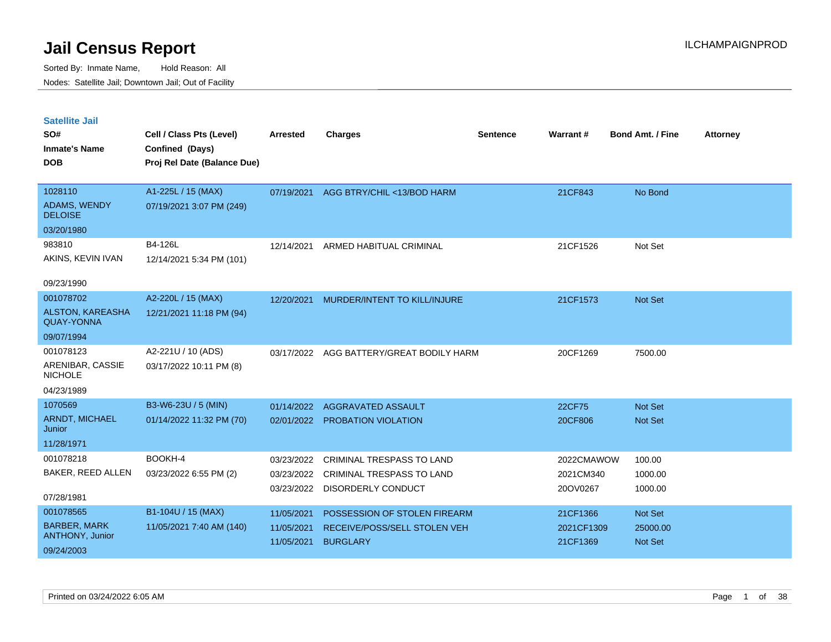| <b>Satellite Jail</b><br>SO#<br><b>Inmate's Name</b><br><b>DOB</b>       | Cell / Class Pts (Level)<br>Confined (Days)<br>Proj Rel Date (Balance Due) | <b>Arrested</b>                        | <b>Charges</b>                                                                             | <b>Sentence</b> | Warrant#                            | <b>Bond Amt. / Fine</b>                      | <b>Attorney</b> |
|--------------------------------------------------------------------------|----------------------------------------------------------------------------|----------------------------------------|--------------------------------------------------------------------------------------------|-----------------|-------------------------------------|----------------------------------------------|-----------------|
| 1028110<br><b>ADAMS, WENDY</b><br><b>DELOISE</b>                         | A1-225L / 15 (MAX)<br>07/19/2021 3:07 PM (249)                             | 07/19/2021                             | AGG BTRY/CHIL <13/BOD HARM                                                                 |                 | 21CF843                             | No Bond                                      |                 |
| 03/20/1980<br>983810<br>AKINS, KEVIN IVAN<br>09/23/1990                  | B4-126L<br>12/14/2021 5:34 PM (101)                                        | 12/14/2021                             | ARMED HABITUAL CRIMINAL                                                                    |                 | 21CF1526                            | Not Set                                      |                 |
| 001078702<br>ALSTON, KAREASHA<br><b>QUAY-YONNA</b><br>09/07/1994         | A2-220L / 15 (MAX)<br>12/21/2021 11:18 PM (94)                             | 12/20/2021                             | MURDER/INTENT TO KILL/INJURE                                                               |                 | 21CF1573                            | <b>Not Set</b>                               |                 |
| 001078123<br>ARENIBAR, CASSIE<br><b>NICHOLE</b><br>04/23/1989            | A2-221U / 10 (ADS)<br>03/17/2022 10:11 PM (8)                              | 03/17/2022                             | AGG BATTERY/GREAT BODILY HARM                                                              |                 | 20CF1269                            | 7500.00                                      |                 |
| 1070569<br><b>ARNDT, MICHAEL</b><br>Junior<br>11/28/1971                 | B3-W6-23U / 5 (MIN)<br>01/14/2022 11:32 PM (70)                            | 01/14/2022<br>02/01/2022               | AGGRAVATED ASSAULT<br>PROBATION VIOLATION                                                  |                 | 22CF75<br>20CF806                   | <b>Not Set</b><br><b>Not Set</b>             |                 |
| 001078218<br>BAKER, REED ALLEN<br>07/28/1981                             | BOOKH-4<br>03/23/2022 6:55 PM (2)                                          | 03/23/2022<br>03/23/2022<br>03/23/2022 | <b>CRIMINAL TRESPASS TO LAND</b><br><b>CRIMINAL TRESPASS TO LAND</b><br>DISORDERLY CONDUCT |                 | 2022CMAWOW<br>2021CM340<br>20OV0267 | 100.00<br>1000.00<br>1000.00                 |                 |
| 001078565<br><b>BARBER, MARK</b><br><b>ANTHONY, Junior</b><br>09/24/2003 | B1-104U / 15 (MAX)<br>11/05/2021 7:40 AM (140)                             | 11/05/2021<br>11/05/2021<br>11/05/2021 | POSSESSION OF STOLEN FIREARM<br>RECEIVE/POSS/SELL STOLEN VEH<br><b>BURGLARY</b>            |                 | 21CF1366<br>2021CF1309<br>21CF1369  | <b>Not Set</b><br>25000.00<br><b>Not Set</b> |                 |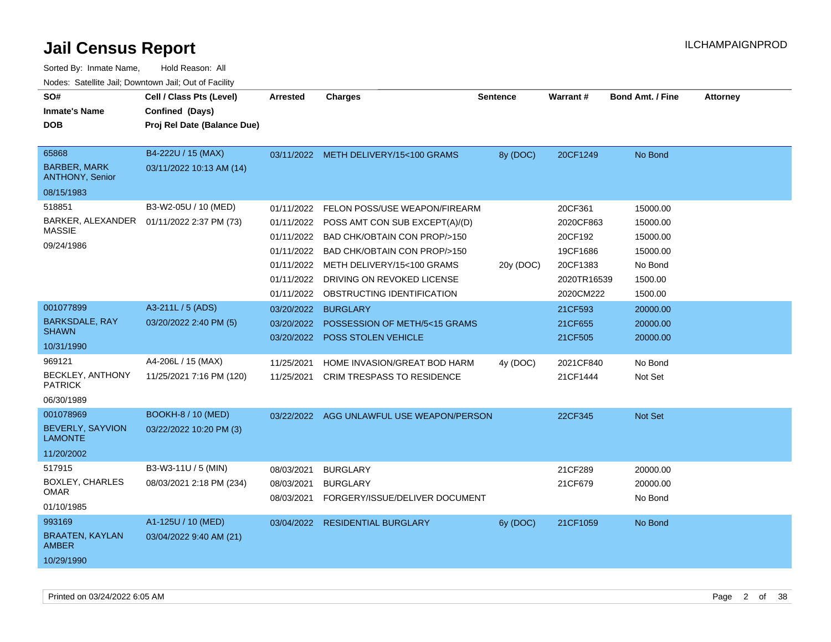| SO#<br><b>Inmate's Name</b><br><b>DOB</b>                        | Cell / Class Pts (Level)<br>Confined (Days)<br>Proj Rel Date (Balance Due) | <b>Arrested</b>                                                                  | <b>Charges</b>                                                                                                                                                                                                                              | <b>Sentence</b> | <b>Warrant#</b>                                                                     | <b>Bond Amt. / Fine</b>                                                       | <b>Attorney</b> |
|------------------------------------------------------------------|----------------------------------------------------------------------------|----------------------------------------------------------------------------------|---------------------------------------------------------------------------------------------------------------------------------------------------------------------------------------------------------------------------------------------|-----------------|-------------------------------------------------------------------------------------|-------------------------------------------------------------------------------|-----------------|
| 65868<br><b>BARBER, MARK</b><br>ANTHONY, Senior                  | B4-222U / 15 (MAX)<br>03/11/2022 10:13 AM (14)                             |                                                                                  | 03/11/2022 METH DELIVERY/15<100 GRAMS                                                                                                                                                                                                       | 8y (DOC)        | 20CF1249                                                                            | No Bond                                                                       |                 |
| 08/15/1983                                                       |                                                                            |                                                                                  |                                                                                                                                                                                                                                             |                 |                                                                                     |                                                                               |                 |
| 518851<br><b>MASSIE</b><br>09/24/1986                            | B3-W2-05U / 10 (MED)<br>BARKER, ALEXANDER  01/11/2022 2:37 PM (73)         | 01/11/2022<br>01/11/2022<br>01/11/2022<br>01/11/2022<br>01/11/2022<br>01/11/2022 | <b>FELON POSS/USE WEAPON/FIREARM</b><br>POSS AMT CON SUB EXCEPT(A)/(D)<br>BAD CHK/OBTAIN CON PROP/>150<br>BAD CHK/OBTAIN CON PROP/>150<br>METH DELIVERY/15<100 GRAMS<br>DRIVING ON REVOKED LICENSE<br>01/11/2022 OBSTRUCTING IDENTIFICATION | 20y (DOC)       | 20CF361<br>2020CF863<br>20CF192<br>19CF1686<br>20CF1383<br>2020TR16539<br>2020CM222 | 15000.00<br>15000.00<br>15000.00<br>15000.00<br>No Bond<br>1500.00<br>1500.00 |                 |
| 001077899<br><b>BARKSDALE, RAY</b><br><b>SHAWN</b><br>10/31/1990 | A3-211L / 5 (ADS)<br>03/20/2022 2:40 PM (5)                                | 03/20/2022<br>03/20/2022<br>03/20/2022                                           | <b>BURGLARY</b><br>POSSESSION OF METH/5<15 GRAMS<br>POSS STOLEN VEHICLE                                                                                                                                                                     |                 | 21CF593<br>21CF655<br>21CF505                                                       | 20000.00<br>20000.00<br>20000.00                                              |                 |
| 969121<br>BECKLEY, ANTHONY<br><b>PATRICK</b><br>06/30/1989       | A4-206L / 15 (MAX)<br>11/25/2021 7:16 PM (120)                             | 11/25/2021<br>11/25/2021                                                         | HOME INVASION/GREAT BOD HARM<br><b>CRIM TRESPASS TO RESIDENCE</b>                                                                                                                                                                           | 4y (DOC)        | 2021CF840<br>21CF1444                                                               | No Bond<br>Not Set                                                            |                 |
| 001078969<br>BEVERLY, SAYVION<br><b>LAMONTE</b><br>11/20/2002    | <b>BOOKH-8 / 10 (MED)</b><br>03/22/2022 10:20 PM (3)                       |                                                                                  | 03/22/2022 AGG UNLAWFUL USE WEAPON/PERSON                                                                                                                                                                                                   |                 | 22CF345                                                                             | Not Set                                                                       |                 |
| 517915<br>BOXLEY, CHARLES<br><b>OMAR</b><br>01/10/1985           | B3-W3-11U / 5 (MIN)<br>08/03/2021 2:18 PM (234)                            | 08/03/2021<br>08/03/2021<br>08/03/2021                                           | <b>BURGLARY</b><br><b>BURGLARY</b><br>FORGERY/ISSUE/DELIVER DOCUMENT                                                                                                                                                                        |                 | 21CF289<br>21CF679                                                                  | 20000.00<br>20000.00<br>No Bond                                               |                 |
| 993169<br><b>BRAATEN, KAYLAN</b><br><b>AMBER</b><br>10/29/1990   | A1-125U / 10 (MED)<br>03/04/2022 9:40 AM (21)                              |                                                                                  | 03/04/2022 RESIDENTIAL BURGLARY                                                                                                                                                                                                             | 6y (DOC)        | 21CF1059                                                                            | No Bond                                                                       |                 |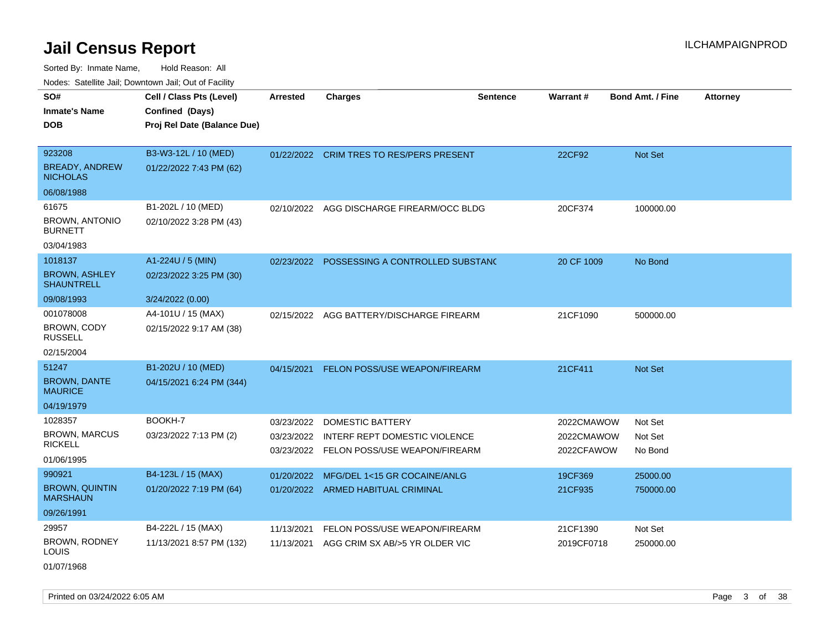Sorted By: Inmate Name, Hold Reason: All Nodes: Satellite Jail; Downtown Jail; Out of Facility

| SO#                                       |                             |                 |                                             |                 |            |                         |                 |
|-------------------------------------------|-----------------------------|-----------------|---------------------------------------------|-----------------|------------|-------------------------|-----------------|
|                                           | Cell / Class Pts (Level)    | <b>Arrested</b> | <b>Charges</b>                              | <b>Sentence</b> | Warrant#   | <b>Bond Amt. / Fine</b> | <b>Attorney</b> |
| <b>Inmate's Name</b>                      | Confined (Days)             |                 |                                             |                 |            |                         |                 |
| <b>DOB</b>                                | Proj Rel Date (Balance Due) |                 |                                             |                 |            |                         |                 |
|                                           |                             |                 |                                             |                 |            |                         |                 |
| 923208                                    | B3-W3-12L / 10 (MED)        |                 | 01/22/2022 CRIM TRES TO RES/PERS PRESENT    |                 | 22CF92     | <b>Not Set</b>          |                 |
| <b>BREADY, ANDREW</b><br><b>NICHOLAS</b>  | 01/22/2022 7:43 PM (62)     |                 |                                             |                 |            |                         |                 |
| 06/08/1988                                |                             |                 |                                             |                 |            |                         |                 |
| 61675                                     | B1-202L / 10 (MED)          |                 | 02/10/2022 AGG DISCHARGE FIREARM/OCC BLDG   |                 | 20CF374    | 100000.00               |                 |
| <b>BROWN, ANTONIO</b><br><b>BURNETT</b>   | 02/10/2022 3:28 PM (43)     |                 |                                             |                 |            |                         |                 |
| 03/04/1983                                |                             |                 |                                             |                 |            |                         |                 |
| 1018137                                   | A1-224U / 5 (MIN)           |                 | 02/23/2022 POSSESSING A CONTROLLED SUBSTANC |                 | 20 CF 1009 | No Bond                 |                 |
| <b>BROWN, ASHLEY</b><br><b>SHAUNTRELL</b> | 02/23/2022 3:25 PM (30)     |                 |                                             |                 |            |                         |                 |
| 09/08/1993                                | 3/24/2022 (0.00)            |                 |                                             |                 |            |                         |                 |
| 001078008                                 | A4-101U / 15 (MAX)          | 02/15/2022      | AGG BATTERY/DISCHARGE FIREARM               |                 | 21CF1090   | 500000.00               |                 |
| BROWN, CODY<br><b>RUSSELL</b>             | 02/15/2022 9:17 AM (38)     |                 |                                             |                 |            |                         |                 |
| 02/15/2004                                |                             |                 |                                             |                 |            |                         |                 |
| 51247                                     | B1-202U / 10 (MED)          | 04/15/2021      | FELON POSS/USE WEAPON/FIREARM               |                 | 21CF411    | Not Set                 |                 |
| <b>BROWN, DANTE</b><br><b>MAURICE</b>     | 04/15/2021 6:24 PM (344)    |                 |                                             |                 |            |                         |                 |
| 04/19/1979                                |                             |                 |                                             |                 |            |                         |                 |
| 1028357                                   | BOOKH-7                     | 03/23/2022      | DOMESTIC BATTERY                            |                 | 2022CMAWOW | Not Set                 |                 |
| <b>BROWN, MARCUS</b>                      | 03/23/2022 7:13 PM (2)      | 03/23/2022      | INTERF REPT DOMESTIC VIOLENCE               |                 | 2022CMAWOW | Not Set                 |                 |
| <b>RICKELL</b>                            |                             |                 | 03/23/2022 FELON POSS/USE WEAPON/FIREARM    |                 | 2022CFAWOW | No Bond                 |                 |
| 01/06/1995                                |                             |                 |                                             |                 |            |                         |                 |
| 990921                                    | B4-123L / 15 (MAX)          | 01/20/2022      | MFG/DEL 1<15 GR COCAINE/ANLG                |                 | 19CF369    | 25000.00                |                 |
| <b>BROWN, QUINTIN</b><br><b>MARSHAUN</b>  | 01/20/2022 7:19 PM (64)     |                 | 01/20/2022 ARMED HABITUAL CRIMINAL          |                 | 21CF935    | 750000.00               |                 |
| 09/26/1991                                |                             |                 |                                             |                 |            |                         |                 |
| 29957                                     | B4-222L / 15 (MAX)          | 11/13/2021      | FELON POSS/USE WEAPON/FIREARM               |                 | 21CF1390   | Not Set                 |                 |
| <b>BROWN, RODNEY</b><br>LOUIS             | 11/13/2021 8:57 PM (132)    | 11/13/2021      | AGG CRIM SX AB/>5 YR OLDER VIC              |                 | 2019CF0718 | 250000.00               |                 |

01/07/1968

Printed on 03/24/2022 6:05 AM Page 3 of 38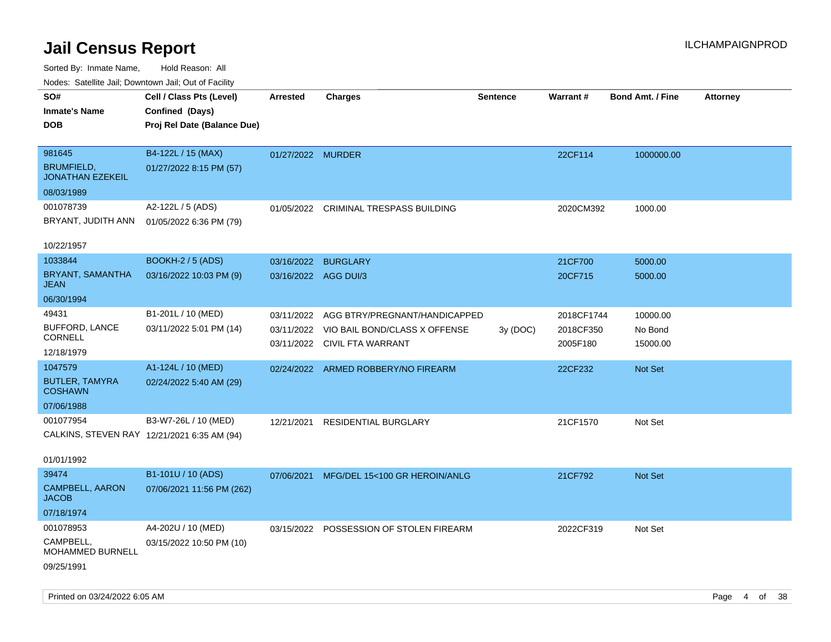| roacs. Calcinic Jan, Downtown Jan, Out of Facility |                                             |                      |                                                               |                 |                       |                         |                 |
|----------------------------------------------------|---------------------------------------------|----------------------|---------------------------------------------------------------|-----------------|-----------------------|-------------------------|-----------------|
| SO#<br><b>Inmate's Name</b>                        | Cell / Class Pts (Level)<br>Confined (Days) | <b>Arrested</b>      | <b>Charges</b>                                                | <b>Sentence</b> | <b>Warrant#</b>       | <b>Bond Amt. / Fine</b> | <b>Attorney</b> |
| <b>DOB</b>                                         | Proj Rel Date (Balance Due)                 |                      |                                                               |                 |                       |                         |                 |
| 981645                                             | B4-122L / 15 (MAX)                          | 01/27/2022 MURDER    |                                                               |                 | 22CF114               | 1000000.00              |                 |
| <b>BRUMFIELD,</b><br><b>JONATHAN EZEKEIL</b>       | 01/27/2022 8:15 PM (57)                     |                      |                                                               |                 |                       |                         |                 |
| 08/03/1989                                         |                                             |                      |                                                               |                 |                       |                         |                 |
| 001078739                                          | A2-122L / 5 (ADS)                           | 01/05/2022           | <b>CRIMINAL TRESPASS BUILDING</b>                             |                 | 2020CM392             | 1000.00                 |                 |
| BRYANT, JUDITH ANN                                 | 01/05/2022 6:36 PM (79)                     |                      |                                                               |                 |                       |                         |                 |
| 10/22/1957                                         |                                             |                      |                                                               |                 |                       |                         |                 |
| 1033844                                            | <b>BOOKH-2 / 5 (ADS)</b>                    | 03/16/2022           | <b>BURGLARY</b>                                               |                 | 21CF700               | 5000.00                 |                 |
| BRYANT, SAMANTHA<br><b>JEAN</b>                    | 03/16/2022 10:03 PM (9)                     | 03/16/2022 AGG DUI/3 |                                                               |                 | 20CF715               | 5000.00                 |                 |
| 06/30/1994                                         |                                             |                      |                                                               |                 |                       |                         |                 |
| 49431                                              | B1-201L / 10 (MED)                          | 03/11/2022           | AGG BTRY/PREGNANT/HANDICAPPED                                 |                 | 2018CF1744            | 10000.00                |                 |
| <b>BUFFORD, LANCE</b><br><b>CORNELL</b>            | 03/11/2022 5:01 PM (14)                     | 03/11/2022           | VIO BAIL BOND/CLASS X OFFENSE<br>03/11/2022 CIVIL FTA WARRANT | 3y(DOC)         | 2018CF350<br>2005F180 | No Bond<br>15000.00     |                 |
| 12/18/1979                                         |                                             |                      |                                                               |                 |                       |                         |                 |
| 1047579                                            | A1-124L / 10 (MED)                          |                      | 02/24/2022 ARMED ROBBERY/NO FIREARM                           |                 | 22CF232               | Not Set                 |                 |
| <b>BUTLER, TAMYRA</b><br><b>COSHAWN</b>            | 02/24/2022 5:40 AM (29)                     |                      |                                                               |                 |                       |                         |                 |
| 07/06/1988                                         |                                             |                      |                                                               |                 |                       |                         |                 |
| 001077954                                          | B3-W7-26L / 10 (MED)                        | 12/21/2021           | <b>RESIDENTIAL BURGLARY</b>                                   |                 | 21CF1570              | Not Set                 |                 |
| CALKINS, STEVEN RAY 12/21/2021 6:35 AM (94)        |                                             |                      |                                                               |                 |                       |                         |                 |
| 01/01/1992                                         |                                             |                      |                                                               |                 |                       |                         |                 |
| 39474                                              | B1-101U / 10 (ADS)                          |                      | 07/06/2021 MFG/DEL 15<100 GR HEROIN/ANLG                      |                 | 21CF792               | <b>Not Set</b>          |                 |
| <b>CAMPBELL, AARON</b><br><b>JACOB</b>             | 07/06/2021 11:56 PM (262)                   |                      |                                                               |                 |                       |                         |                 |
| 07/18/1974                                         |                                             |                      |                                                               |                 |                       |                         |                 |
| 001078953                                          | A4-202U / 10 (MED)                          |                      | 03/15/2022 POSSESSION OF STOLEN FIREARM                       |                 | 2022CF319             | Not Set                 |                 |
| CAMPBELL,<br><b>MOHAMMED BURNELL</b>               | 03/15/2022 10:50 PM (10)                    |                      |                                                               |                 |                       |                         |                 |
| 09/25/1991                                         |                                             |                      |                                                               |                 |                       |                         |                 |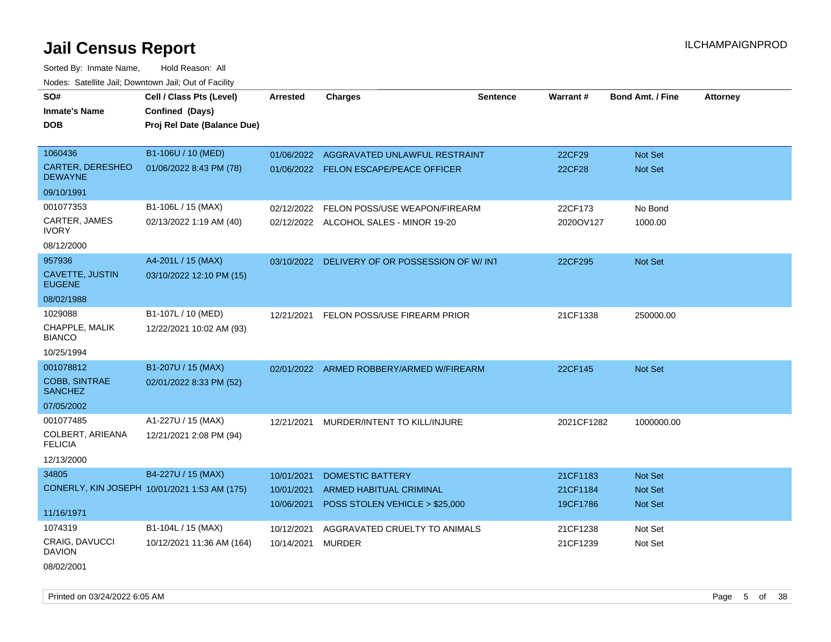Sorted By: Inmate Name, Hold Reason: All Nodes: Satellite Jail; Downtown Jail; Out of Facility

| SO#<br><b>Inmate's Name</b>             | Cell / Class Pts (Level)<br>Confined (Days)  | <b>Arrested</b>   | <b>Charges</b>                                | <b>Sentence</b> | Warrant#      | <b>Bond Amt. / Fine</b> | <b>Attorney</b> |
|-----------------------------------------|----------------------------------------------|-------------------|-----------------------------------------------|-----------------|---------------|-------------------------|-----------------|
| <b>DOB</b>                              | Proj Rel Date (Balance Due)                  |                   |                                               |                 |               |                         |                 |
|                                         |                                              |                   |                                               |                 |               |                         |                 |
| 1060436                                 | B1-106U / 10 (MED)                           | 01/06/2022        | AGGRAVATED UNLAWFUL RESTRAINT                 |                 | 22CF29        | Not Set                 |                 |
| CARTER, DERESHEO<br><b>DEWAYNE</b>      | 01/06/2022 8:43 PM (78)                      |                   | 01/06/2022 FELON ESCAPE/PEACE OFFICER         |                 | <b>22CF28</b> | Not Set                 |                 |
| 09/10/1991                              |                                              |                   |                                               |                 |               |                         |                 |
| 001077353                               | B1-106L / 15 (MAX)                           | 02/12/2022        | FELON POSS/USE WEAPON/FIREARM                 |                 | 22CF173       | No Bond                 |                 |
| CARTER, JAMES<br><b>IVORY</b>           | 02/13/2022 1:19 AM (40)                      |                   | 02/12/2022 ALCOHOL SALES - MINOR 19-20        |                 | 2020OV127     | 1000.00                 |                 |
| 08/12/2000                              |                                              |                   |                                               |                 |               |                         |                 |
| 957936                                  | A4-201L / 15 (MAX)                           |                   | 03/10/2022 DELIVERY OF OR POSSESSION OF W/INT |                 | 22CF295       | Not Set                 |                 |
| <b>CAVETTE, JUSTIN</b><br><b>EUGENE</b> | 03/10/2022 12:10 PM (15)                     |                   |                                               |                 |               |                         |                 |
| 08/02/1988                              |                                              |                   |                                               |                 |               |                         |                 |
| 1029088                                 | B1-107L / 10 (MED)                           |                   | 12/21/2021 FELON POSS/USE FIREARM PRIOR       |                 | 21CF1338      | 250000.00               |                 |
| CHAPPLE, MALIK<br><b>BIANCO</b>         | 12/22/2021 10:02 AM (93)                     |                   |                                               |                 |               |                         |                 |
| 10/25/1994                              |                                              |                   |                                               |                 |               |                         |                 |
| 001078812                               | B1-207U / 15 (MAX)                           |                   | 02/01/2022 ARMED ROBBERY/ARMED W/FIREARM      |                 | 22CF145       | Not Set                 |                 |
| COBB, SINTRAE<br><b>SANCHEZ</b>         | 02/01/2022 8:33 PM (52)                      |                   |                                               |                 |               |                         |                 |
| 07/05/2002                              |                                              |                   |                                               |                 |               |                         |                 |
| 001077485                               | A1-227U / 15 (MAX)                           |                   | 12/21/2021 MURDER/INTENT TO KILL/INJURE       |                 | 2021CF1282    | 1000000.00              |                 |
| COLBERT, ARIEANA<br><b>FELICIA</b>      | 12/21/2021 2:08 PM (94)                      |                   |                                               |                 |               |                         |                 |
| 12/13/2000                              |                                              |                   |                                               |                 |               |                         |                 |
| 34805                                   | B4-227U / 15 (MAX)                           | 10/01/2021        | <b>DOMESTIC BATTERY</b>                       |                 | 21CF1183      | Not Set                 |                 |
|                                         | CONERLY, KIN JOSEPH 10/01/2021 1:53 AM (175) | 10/01/2021        | ARMED HABITUAL CRIMINAL                       |                 | 21CF1184      | Not Set                 |                 |
| 11/16/1971                              |                                              | 10/06/2021        | POSS STOLEN VEHICLE > \$25,000                |                 | 19CF1786      | Not Set                 |                 |
| 1074319                                 | B1-104L / 15 (MAX)                           | 10/12/2021        | AGGRAVATED CRUELTY TO ANIMALS                 |                 | 21CF1238      | Not Set                 |                 |
| CRAIG, DAVUCCI<br><b>DAVION</b>         | 10/12/2021 11:36 AM (164)                    | 10/14/2021 MURDER |                                               |                 | 21CF1239      | Not Set                 |                 |
| 08/02/2001                              |                                              |                   |                                               |                 |               |                         |                 |

Printed on 03/24/2022 6:05 AM Page 5 of 38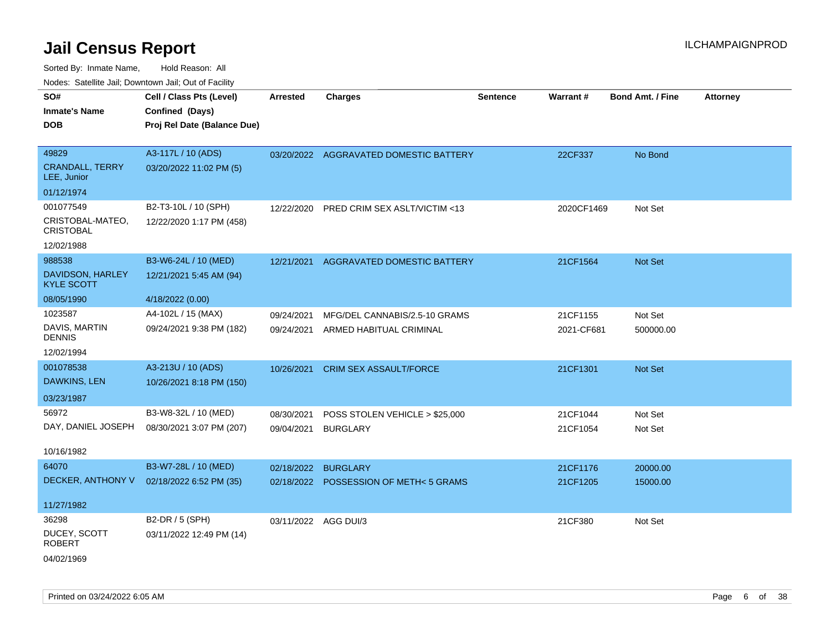Sorted By: Inmate Name, Hold Reason: All Nodes: Satellite Jail; Downtown Jail; Out of Facility

| SO#<br>Inmate's Name<br><b>DOB</b>    | Cell / Class Pts (Level)<br>Confined (Days)<br>Proj Rel Date (Balance Due) | <b>Arrested</b>      | <b>Charges</b>                         | <b>Sentence</b> | Warrant#   | <b>Bond Amt. / Fine</b> | <b>Attorney</b> |
|---------------------------------------|----------------------------------------------------------------------------|----------------------|----------------------------------------|-----------------|------------|-------------------------|-----------------|
|                                       |                                                                            |                      |                                        |                 |            |                         |                 |
| 49829                                 | A3-117L / 10 (ADS)                                                         |                      | 03/20/2022 AGGRAVATED DOMESTIC BATTERY |                 | 22CF337    | No Bond                 |                 |
| <b>CRANDALL, TERRY</b><br>LEE, Junior | 03/20/2022 11:02 PM (5)                                                    |                      |                                        |                 |            |                         |                 |
| 01/12/1974                            |                                                                            |                      |                                        |                 |            |                         |                 |
| 001077549                             | B2-T3-10L / 10 (SPH)                                                       | 12/22/2020           | PRED CRIM SEX ASLT/VICTIM <13          |                 | 2020CF1469 | Not Set                 |                 |
| CRISTOBAL-MATEO,<br><b>CRISTOBAL</b>  | 12/22/2020 1:17 PM (458)                                                   |                      |                                        |                 |            |                         |                 |
| 12/02/1988                            |                                                                            |                      |                                        |                 |            |                         |                 |
| 988538                                | B3-W6-24L / 10 (MED)                                                       | 12/21/2021           | AGGRAVATED DOMESTIC BATTERY            |                 | 21CF1564   | Not Set                 |                 |
| DAVIDSON, HARLEY<br><b>KYLE SCOTT</b> | 12/21/2021 5:45 AM (94)                                                    |                      |                                        |                 |            |                         |                 |
| 08/05/1990                            | 4/18/2022 (0.00)                                                           |                      |                                        |                 |            |                         |                 |
| 1023587                               | A4-102L / 15 (MAX)                                                         | 09/24/2021           | MFG/DEL CANNABIS/2.5-10 GRAMS          |                 | 21CF1155   | Not Set                 |                 |
| DAVIS, MARTIN<br><b>DENNIS</b>        | 09/24/2021 9:38 PM (182)                                                   | 09/24/2021           | ARMED HABITUAL CRIMINAL                |                 | 2021-CF681 | 500000.00               |                 |
| 12/02/1994                            |                                                                            |                      |                                        |                 |            |                         |                 |
| 001078538                             | A3-213U / 10 (ADS)                                                         | 10/26/2021           | <b>CRIM SEX ASSAULT/FORCE</b>          |                 | 21CF1301   | Not Set                 |                 |
| DAWKINS, LEN                          | 10/26/2021 8:18 PM (150)                                                   |                      |                                        |                 |            |                         |                 |
| 03/23/1987                            |                                                                            |                      |                                        |                 |            |                         |                 |
| 56972                                 | B3-W8-32L / 10 (MED)                                                       | 08/30/2021           | POSS STOLEN VEHICLE > \$25,000         |                 | 21CF1044   | Not Set                 |                 |
| DAY, DANIEL JOSEPH                    | 08/30/2021 3:07 PM (207)                                                   | 09/04/2021           | <b>BURGLARY</b>                        |                 | 21CF1054   | Not Set                 |                 |
| 10/16/1982                            |                                                                            |                      |                                        |                 |            |                         |                 |
| 64070                                 | B3-W7-28L / 10 (MED)                                                       | 02/18/2022           | <b>BURGLARY</b>                        |                 | 21CF1176   | 20000.00                |                 |
| DECKER, ANTHONY V                     | 02/18/2022 6:52 PM (35)                                                    |                      | 02/18/2022 POSSESSION OF METH<5 GRAMS  |                 | 21CF1205   | 15000.00                |                 |
| 11/27/1982                            |                                                                            |                      |                                        |                 |            |                         |                 |
| 36298                                 | B2-DR / 5 (SPH)                                                            | 03/11/2022 AGG DUI/3 |                                        |                 | 21CF380    | Not Set                 |                 |
| DUCEY, SCOTT<br>ROBERT                | 03/11/2022 12:49 PM (14)                                                   |                      |                                        |                 |            |                         |                 |
|                                       |                                                                            |                      |                                        |                 |            |                         |                 |

04/02/1969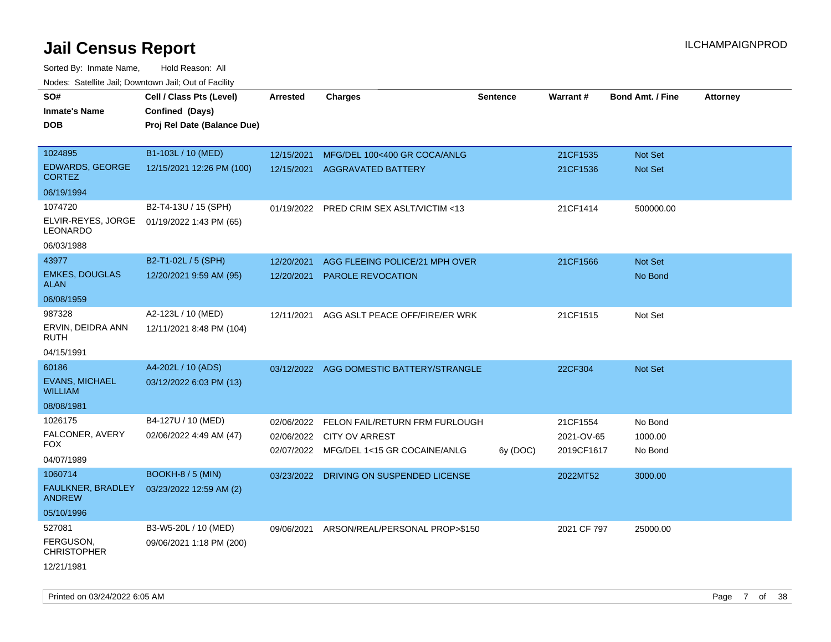| roacs. Catellite Jall, Downtown Jall, Out of Facility |                                             |                 |                                           |                 |             |                         |                 |
|-------------------------------------------------------|---------------------------------------------|-----------------|-------------------------------------------|-----------------|-------------|-------------------------|-----------------|
| SO#<br><b>Inmate's Name</b>                           | Cell / Class Pts (Level)<br>Confined (Days) | <b>Arrested</b> | <b>Charges</b>                            | <b>Sentence</b> | Warrant#    | <b>Bond Amt. / Fine</b> | <b>Attorney</b> |
| <b>DOB</b>                                            | Proj Rel Date (Balance Due)                 |                 |                                           |                 |             |                         |                 |
| 1024895                                               | B1-103L / 10 (MED)                          | 12/15/2021      | MFG/DEL 100<400 GR COCA/ANLG              |                 | 21CF1535    | <b>Not Set</b>          |                 |
| EDWARDS, GEORGE<br><b>CORTEZ</b>                      | 12/15/2021 12:26 PM (100)                   | 12/15/2021      | <b>AGGRAVATED BATTERY</b>                 |                 | 21CF1536    | <b>Not Set</b>          |                 |
| 06/19/1994                                            |                                             |                 |                                           |                 |             |                         |                 |
| 1074720                                               | B2-T4-13U / 15 (SPH)                        |                 | 01/19/2022 PRED CRIM SEX ASLT/VICTIM <13  |                 | 21CF1414    | 500000.00               |                 |
| ELVIR-REYES, JORGE<br>LEONARDO                        | 01/19/2022 1:43 PM (65)                     |                 |                                           |                 |             |                         |                 |
| 06/03/1988                                            |                                             |                 |                                           |                 |             |                         |                 |
| 43977                                                 | B2-T1-02L / 5 (SPH)                         | 12/20/2021      | AGG FLEEING POLICE/21 MPH OVER            |                 | 21CF1566    | Not Set                 |                 |
| <b>EMKES, DOUGLAS</b><br><b>ALAN</b>                  | 12/20/2021 9:59 AM (95)                     | 12/20/2021      | <b>PAROLE REVOCATION</b>                  |                 |             | No Bond                 |                 |
| 06/08/1959                                            |                                             |                 |                                           |                 |             |                         |                 |
| 987328                                                | A2-123L / 10 (MED)                          | 12/11/2021      | AGG ASLT PEACE OFF/FIRE/ER WRK            |                 | 21CF1515    | Not Set                 |                 |
| ERVIN, DEIDRA ANN<br><b>RUTH</b>                      | 12/11/2021 8:48 PM (104)                    |                 |                                           |                 |             |                         |                 |
| 04/15/1991                                            |                                             |                 |                                           |                 |             |                         |                 |
| 60186                                                 | A4-202L / 10 (ADS)                          |                 | 03/12/2022 AGG DOMESTIC BATTERY/STRANGLE  |                 | 22CF304     | <b>Not Set</b>          |                 |
| <b>EVANS, MICHAEL</b><br><b>WILLIAM</b>               | 03/12/2022 6:03 PM (13)                     |                 |                                           |                 |             |                         |                 |
| 08/08/1981                                            |                                             |                 |                                           |                 |             |                         |                 |
| 1026175                                               | B4-127U / 10 (MED)                          | 02/06/2022      | FELON FAIL/RETURN FRM FURLOUGH            |                 | 21CF1554    | No Bond                 |                 |
| FALCONER, AVERY                                       | 02/06/2022 4:49 AM (47)                     |                 | 02/06/2022 CITY OV ARREST                 |                 | 2021-OV-65  | 1000.00                 |                 |
| <b>FOX</b>                                            |                                             | 02/07/2022      | MFG/DEL 1<15 GR COCAINE/ANLG              | 6y (DOC)        | 2019CF1617  | No Bond                 |                 |
| 04/07/1989                                            |                                             |                 |                                           |                 |             |                         |                 |
| 1060714                                               | BOOKH-8 / 5 (MIN)                           |                 | 03/23/2022 DRIVING ON SUSPENDED LICENSE   |                 | 2022MT52    | 3000.00                 |                 |
| FAULKNER, BRADLEY<br><b>ANDREW</b>                    | 03/23/2022 12:59 AM (2)                     |                 |                                           |                 |             |                         |                 |
| 05/10/1996                                            |                                             |                 |                                           |                 |             |                         |                 |
| 527081                                                | B3-W5-20L / 10 (MED)                        |                 | 09/06/2021 ARSON/REAL/PERSONAL PROP>\$150 |                 | 2021 CF 797 | 25000.00                |                 |
| FERGUSON,<br><b>CHRISTOPHER</b>                       | 09/06/2021 1:18 PM (200)                    |                 |                                           |                 |             |                         |                 |
| 12/21/1981                                            |                                             |                 |                                           |                 |             |                         |                 |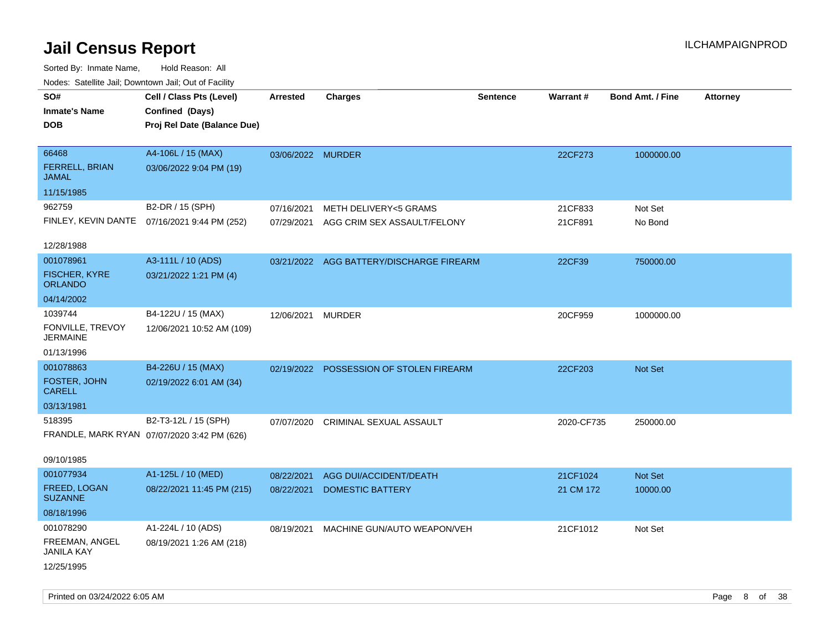| roaco. Calcinio dan, Downtown dan, Cal or Fability |                                              |                   |                                          |                 |            |                         |                 |
|----------------------------------------------------|----------------------------------------------|-------------------|------------------------------------------|-----------------|------------|-------------------------|-----------------|
| SO#                                                | Cell / Class Pts (Level)                     | <b>Arrested</b>   | <b>Charges</b>                           | <b>Sentence</b> | Warrant#   | <b>Bond Amt. / Fine</b> | <b>Attorney</b> |
| <b>Inmate's Name</b>                               | Confined (Days)                              |                   |                                          |                 |            |                         |                 |
| <b>DOB</b>                                         | Proj Rel Date (Balance Due)                  |                   |                                          |                 |            |                         |                 |
|                                                    |                                              |                   |                                          |                 |            |                         |                 |
| 66468                                              | A4-106L / 15 (MAX)                           | 03/06/2022 MURDER |                                          |                 | 22CF273    | 1000000.00              |                 |
| FERRELL, BRIAN<br><b>JAMAL</b>                     | 03/06/2022 9:04 PM (19)                      |                   |                                          |                 |            |                         |                 |
| 11/15/1985                                         |                                              |                   |                                          |                 |            |                         |                 |
| 962759                                             | B2-DR / 15 (SPH)                             | 07/16/2021        | <b>METH DELIVERY&lt;5 GRAMS</b>          |                 | 21CF833    | Not Set                 |                 |
|                                                    | FINLEY, KEVIN DANTE 07/16/2021 9:44 PM (252) | 07/29/2021        | AGG CRIM SEX ASSAULT/FELONY              |                 | 21CF891    | No Bond                 |                 |
|                                                    |                                              |                   |                                          |                 |            |                         |                 |
| 12/28/1988                                         |                                              |                   |                                          |                 |            |                         |                 |
| 001078961                                          | A3-111L / 10 (ADS)                           |                   | 03/21/2022 AGG BATTERY/DISCHARGE FIREARM |                 | 22CF39     | 750000.00               |                 |
| <b>FISCHER, KYRE</b><br><b>ORLANDO</b>             | 03/21/2022 1:21 PM (4)                       |                   |                                          |                 |            |                         |                 |
| 04/14/2002                                         |                                              |                   |                                          |                 |            |                         |                 |
| 1039744                                            | B4-122U / 15 (MAX)                           | 12/06/2021        | <b>MURDER</b>                            |                 | 20CF959    | 1000000.00              |                 |
| FONVILLE, TREVOY<br><b>JERMAINE</b>                | 12/06/2021 10:52 AM (109)                    |                   |                                          |                 |            |                         |                 |
| 01/13/1996                                         |                                              |                   |                                          |                 |            |                         |                 |
| 001078863                                          | B4-226U / 15 (MAX)                           |                   | 02/19/2022 POSSESSION OF STOLEN FIREARM  |                 | 22CF203    | Not Set                 |                 |
| FOSTER, JOHN<br><b>CARELL</b>                      | 02/19/2022 6:01 AM (34)                      |                   |                                          |                 |            |                         |                 |
| 03/13/1981                                         |                                              |                   |                                          |                 |            |                         |                 |
| 518395                                             | B2-T3-12L / 15 (SPH)                         | 07/07/2020        | CRIMINAL SEXUAL ASSAULT                  |                 | 2020-CF735 | 250000.00               |                 |
|                                                    | FRANDLE, MARK RYAN 07/07/2020 3:42 PM (626)  |                   |                                          |                 |            |                         |                 |
|                                                    |                                              |                   |                                          |                 |            |                         |                 |
| 09/10/1985                                         |                                              |                   |                                          |                 |            |                         |                 |
| 001077934                                          | A1-125L / 10 (MED)                           | 08/22/2021        | AGG DUI/ACCIDENT/DEATH                   |                 | 21CF1024   | Not Set                 |                 |
| FREED, LOGAN<br><b>SUZANNE</b>                     | 08/22/2021 11:45 PM (215)                    | 08/22/2021        | <b>DOMESTIC BATTERY</b>                  |                 | 21 CM 172  | 10000.00                |                 |
| 08/18/1996                                         |                                              |                   |                                          |                 |            |                         |                 |
| 001078290                                          | A1-224L / 10 (ADS)                           | 08/19/2021        | MACHINE GUN/AUTO WEAPON/VEH              |                 | 21CF1012   | Not Set                 |                 |
| FREEMAN, ANGEL<br><b>JANILA KAY</b>                | 08/19/2021 1:26 AM (218)                     |                   |                                          |                 |            |                         |                 |
| 12/25/1995                                         |                                              |                   |                                          |                 |            |                         |                 |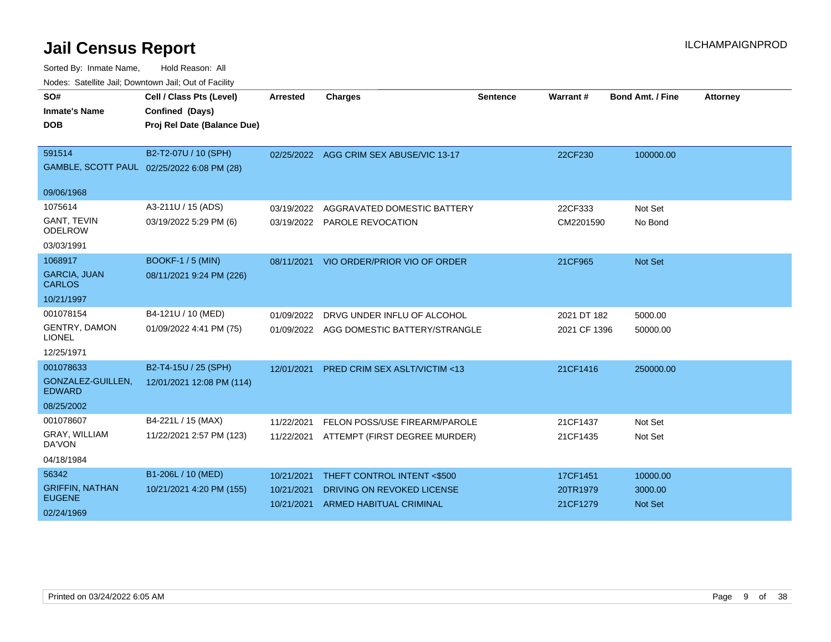| SO#                                     | Cell / Class Pts (Level)                   | <b>Arrested</b> | <b>Charges</b>                           | <b>Sentence</b> | <b>Warrant#</b> | <b>Bond Amt. / Fine</b> | <b>Attorney</b> |
|-----------------------------------------|--------------------------------------------|-----------------|------------------------------------------|-----------------|-----------------|-------------------------|-----------------|
| <b>Inmate's Name</b>                    | Confined (Days)                            |                 |                                          |                 |                 |                         |                 |
| <b>DOB</b>                              | Proj Rel Date (Balance Due)                |                 |                                          |                 |                 |                         |                 |
|                                         |                                            |                 |                                          |                 |                 |                         |                 |
| 591514                                  | B2-T2-07U / 10 (SPH)                       |                 | 02/25/2022 AGG CRIM SEX ABUSE/VIC 13-17  |                 | 22CF230         | 100000.00               |                 |
|                                         | GAMBLE, SCOTT PAUL 02/25/2022 6:08 PM (28) |                 |                                          |                 |                 |                         |                 |
| 09/06/1968                              |                                            |                 |                                          |                 |                 |                         |                 |
| 1075614                                 | A3-211U / 15 (ADS)                         | 03/19/2022      | AGGRAVATED DOMESTIC BATTERY              |                 | 22CF333         | Not Set                 |                 |
| <b>GANT, TEVIN</b><br><b>ODELROW</b>    | 03/19/2022 5:29 PM (6)                     |                 | 03/19/2022 PAROLE REVOCATION             |                 | CM2201590       | No Bond                 |                 |
| 03/03/1991                              |                                            |                 |                                          |                 |                 |                         |                 |
| 1068917                                 | <b>BOOKF-1 / 5 (MIN)</b>                   | 08/11/2021      | VIO ORDER/PRIOR VIO OF ORDER             |                 | 21CF965         | <b>Not Set</b>          |                 |
| <b>GARCIA, JUAN</b><br><b>CARLOS</b>    | 08/11/2021 9:24 PM (226)                   |                 |                                          |                 |                 |                         |                 |
| 10/21/1997                              |                                            |                 |                                          |                 |                 |                         |                 |
| 001078154                               | B4-121U / 10 (MED)                         | 01/09/2022      | DRVG UNDER INFLU OF ALCOHOL              |                 | 2021 DT 182     | 5000.00                 |                 |
| <b>GENTRY, DAMON</b><br><b>LIONEL</b>   | 01/09/2022 4:41 PM (75)                    |                 | 01/09/2022 AGG DOMESTIC BATTERY/STRANGLE |                 | 2021 CF 1396    | 50000.00                |                 |
| 12/25/1971                              |                                            |                 |                                          |                 |                 |                         |                 |
| 001078633                               | B2-T4-15U / 25 (SPH)                       | 12/01/2021      | <b>PRED CRIM SEX ASLT/VICTIM &lt;13</b>  |                 | 21CF1416        | 250000.00               |                 |
| GONZALEZ-GUILLEN.<br><b>EDWARD</b>      | 12/01/2021 12:08 PM (114)                  |                 |                                          |                 |                 |                         |                 |
| 08/25/2002                              |                                            |                 |                                          |                 |                 |                         |                 |
| 001078607                               | B4-221L / 15 (MAX)                         | 11/22/2021      | FELON POSS/USE FIREARM/PAROLE            |                 | 21CF1437        | Not Set                 |                 |
| GRAY, WILLIAM<br>DA'VON                 | 11/22/2021 2:57 PM (123)                   |                 | 11/22/2021 ATTEMPT (FIRST DEGREE MURDER) |                 | 21CF1435        | Not Set                 |                 |
| 04/18/1984                              |                                            |                 |                                          |                 |                 |                         |                 |
| 56342                                   | B1-206L / 10 (MED)                         | 10/21/2021      | THEFT CONTROL INTENT <\$500              |                 | 17CF1451        | 10000.00                |                 |
| <b>GRIFFIN, NATHAN</b><br><b>EUGENE</b> | 10/21/2021 4:20 PM (155)                   | 10/21/2021      | DRIVING ON REVOKED LICENSE               |                 | 20TR1979        | 3000.00                 |                 |
|                                         |                                            | 10/21/2021      | <b>ARMED HABITUAL CRIMINAL</b>           |                 | 21CF1279        | <b>Not Set</b>          |                 |
| 02/24/1969                              |                                            |                 |                                          |                 |                 |                         |                 |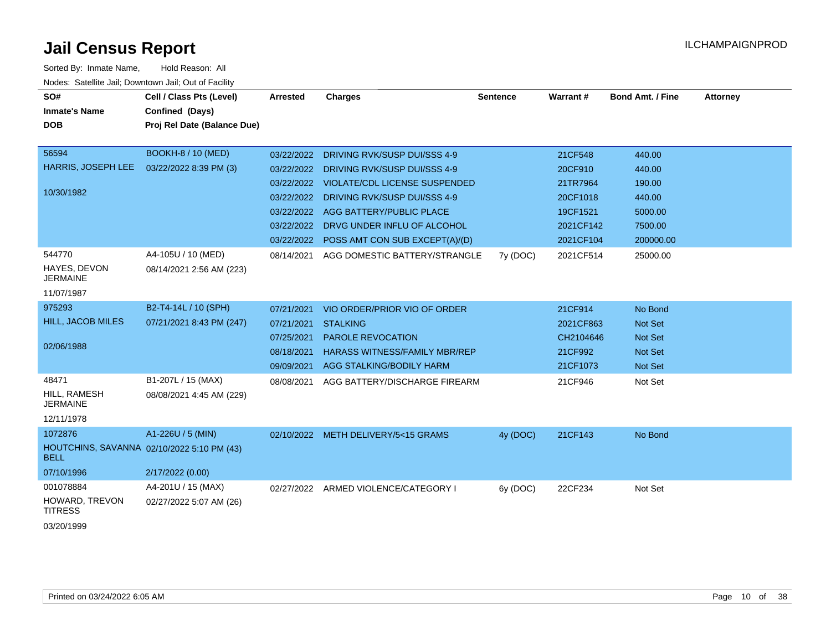| SO#<br><b>Inmate's Name</b><br><b>DOB</b>                                              | Cell / Class Pts (Level)<br>Confined (Days)<br>Proj Rel Date (Balance Due)                            | <b>Arrested</b>                                                                  | <b>Charges</b>                                                                                                                                                                                                                                                                           | <b>Sentence</b> | Warrant#                                                                                      | <b>Bond Amt. / Fine</b>                                                             | <b>Attorney</b> |
|----------------------------------------------------------------------------------------|-------------------------------------------------------------------------------------------------------|----------------------------------------------------------------------------------|------------------------------------------------------------------------------------------------------------------------------------------------------------------------------------------------------------------------------------------------------------------------------------------|-----------------|-----------------------------------------------------------------------------------------------|-------------------------------------------------------------------------------------|-----------------|
| 56594<br>HARRIS, JOSEPH LEE<br>10/30/1982<br>544770<br>HAYES, DEVON<br><b>JERMAINE</b> | <b>BOOKH-8 / 10 (MED)</b><br>03/22/2022 8:39 PM (3)<br>A4-105U / 10 (MED)<br>08/14/2021 2:56 AM (223) | 03/22/2022<br>03/22/2022<br>03/22/2022<br>03/22/2022<br>03/22/2022<br>08/14/2021 | DRIVING RVK/SUSP DUI/SSS 4-9<br>DRIVING RVK/SUSP DUI/SSS 4-9<br><b>VIOLATE/CDL LICENSE SUSPENDED</b><br>03/22/2022 DRIVING RVK/SUSP DUI/SSS 4-9<br>AGG BATTERY/PUBLIC PLACE<br>DRVG UNDER INFLU OF ALCOHOL<br>03/22/2022 POSS AMT CON SUB EXCEPT(A)/(D)<br>AGG DOMESTIC BATTERY/STRANGLE | 7y (DOC)        | 21CF548<br>20CF910<br>21TR7964<br>20CF1018<br>19CF1521<br>2021CF142<br>2021CF104<br>2021CF514 | 440.00<br>440.00<br>190.00<br>440.00<br>5000.00<br>7500.00<br>200000.00<br>25000.00 |                 |
| 11/07/1987<br>975293<br><b>HILL, JACOB MILES</b><br>02/06/1988                         | B2-T4-14L / 10 (SPH)<br>07/21/2021 8:43 PM (247)                                                      | 07/21/2021<br>07/21/2021<br>07/25/2021<br>08/18/2021<br>09/09/2021               | VIO ORDER/PRIOR VIO OF ORDER<br><b>STALKING</b><br><b>PAROLE REVOCATION</b><br><b>HARASS WITNESS/FAMILY MBR/REP</b><br>AGG STALKING/BODILY HARM                                                                                                                                          |                 | 21CF914<br>2021CF863<br>CH2104646<br>21CF992<br>21CF1073                                      | No Bond<br><b>Not Set</b><br>Not Set<br>Not Set<br>Not Set                          |                 |
| 48471<br>HILL, RAMESH<br><b>JERMAINE</b><br>12/11/1978                                 | B1-207L / 15 (MAX)<br>08/08/2021 4:45 AM (229)                                                        | 08/08/2021                                                                       | AGG BATTERY/DISCHARGE FIREARM                                                                                                                                                                                                                                                            |                 | 21CF946                                                                                       | Not Set                                                                             |                 |
| 1072876<br><b>BELL</b><br>07/10/1996                                                   | A1-226U / 5 (MIN)<br>HOUTCHINS, SAVANNA 02/10/2022 5:10 PM (43)<br>2/17/2022 (0.00)                   |                                                                                  | 02/10/2022 METH DELIVERY/5<15 GRAMS                                                                                                                                                                                                                                                      | 4y (DOC)        | 21CF143                                                                                       | No Bond                                                                             |                 |
| 001078884<br>HOWARD, TREVON<br><b>TITRESS</b><br>03/20/1999                            | A4-201U / 15 (MAX)<br>02/27/2022 5:07 AM (26)                                                         |                                                                                  | 02/27/2022 ARMED VIOLENCE/CATEGORY I                                                                                                                                                                                                                                                     | 6y (DOC)        | 22CF234                                                                                       | Not Set                                                                             |                 |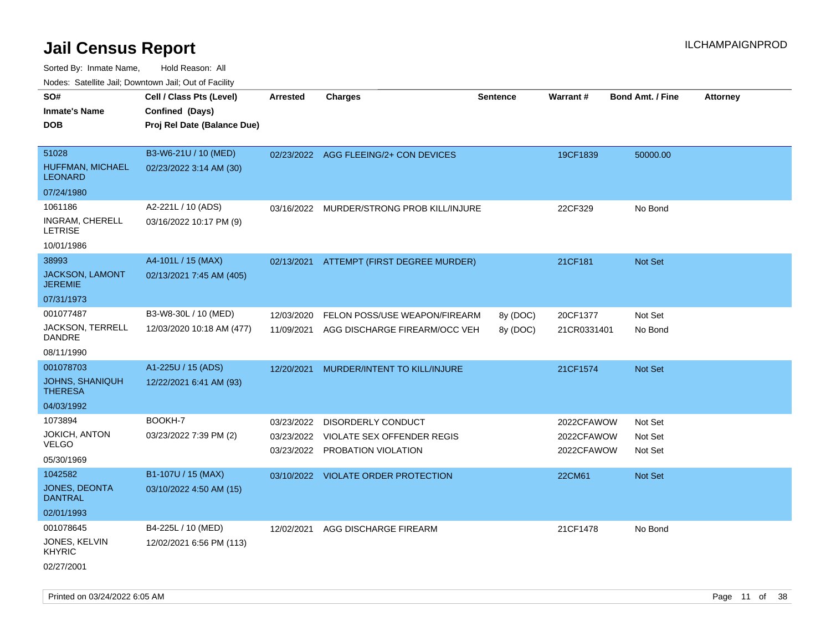| rouco. Calcillo Jali, Downtown Jali, Out of Facility                |                                                                            |                          |                                                                                           |                      |                                        |                               |                 |
|---------------------------------------------------------------------|----------------------------------------------------------------------------|--------------------------|-------------------------------------------------------------------------------------------|----------------------|----------------------------------------|-------------------------------|-----------------|
| SO#<br>Inmate's Name<br><b>DOB</b>                                  | Cell / Class Pts (Level)<br>Confined (Days)<br>Proj Rel Date (Balance Due) | <b>Arrested</b>          | <b>Charges</b>                                                                            | <b>Sentence</b>      | Warrant#                               | <b>Bond Amt. / Fine</b>       | <b>Attorney</b> |
| 51028<br>HUFFMAN, MICHAEL<br>LEONARD                                | B3-W6-21U / 10 (MED)<br>02/23/2022 3:14 AM (30)                            |                          | 02/23/2022 AGG FLEEING/2+ CON DEVICES                                                     |                      | 19CF1839                               | 50000.00                      |                 |
| 07/24/1980<br>1061186<br>INGRAM, CHERELL<br>LETRISE<br>10/01/1986   | A2-221L / 10 (ADS)<br>03/16/2022 10:17 PM (9)                              |                          | 03/16/2022 MURDER/STRONG PROB KILL/INJURE                                                 |                      | 22CF329                                | No Bond                       |                 |
| 38993<br><b>JACKSON, LAMONT</b><br>JEREMIE                          | A4-101L / 15 (MAX)<br>02/13/2021 7:45 AM (405)                             |                          | 02/13/2021 ATTEMPT (FIRST DEGREE MURDER)                                                  |                      | 21CF181                                | <b>Not Set</b>                |                 |
| 07/31/1973<br>001077487<br>JACKSON, TERRELL<br>DANDRE<br>08/11/1990 | B3-W8-30L / 10 (MED)<br>12/03/2020 10:18 AM (477)                          | 12/03/2020<br>11/09/2021 | FELON POSS/USE WEAPON/FIREARM<br>AGG DISCHARGE FIREARM/OCC VEH                            | 8y (DOC)<br>8y (DOC) | 20CF1377<br>21CR0331401                | Not Set<br>No Bond            |                 |
| 001078703<br>JOHNS, SHANIQUH<br>THERESA<br>04/03/1992               | A1-225U / 15 (ADS)<br>12/22/2021 6:41 AM (93)                              | 12/20/2021               | <b>MURDER/INTENT TO KILL/INJURE</b>                                                       |                      | 21CF1574                               | <b>Not Set</b>                |                 |
| 1073894<br>JOKICH, ANTON<br>VELGO<br>05/30/1969                     | BOOKH-7<br>03/23/2022 7:39 PM (2)                                          | 03/23/2022<br>03/23/2022 | DISORDERLY CONDUCT<br><b>VIOLATE SEX OFFENDER REGIS</b><br>03/23/2022 PROBATION VIOLATION |                      | 2022CFAWOW<br>2022CFAWOW<br>2022CFAWOW | Not Set<br>Not Set<br>Not Set |                 |
| 1042582<br>JONES, DEONTA<br>DANTRAL<br>02/01/1993                   | B1-107U / 15 (MAX)<br>03/10/2022 4:50 AM (15)                              |                          | 03/10/2022 VIOLATE ORDER PROTECTION                                                       |                      | 22CM61                                 | <b>Not Set</b>                |                 |
| 001078645<br>JONES, KELVIN<br>KHYRIC<br>02/27/2001                  | B4-225L / 10 (MED)<br>12/02/2021 6:56 PM (113)                             | 12/02/2021               | AGG DISCHARGE FIREARM                                                                     |                      | 21CF1478                               | No Bond                       |                 |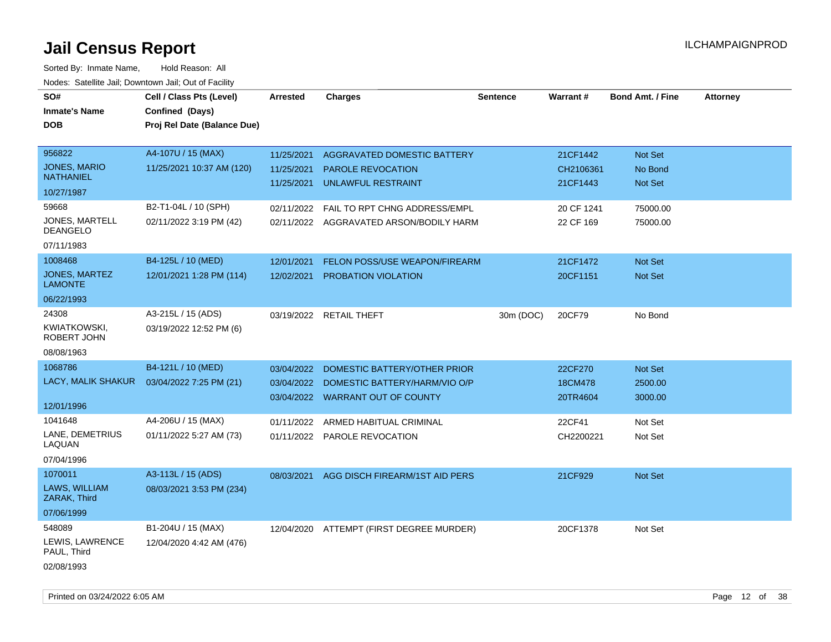| SO#<br><b>Inmate's Name</b><br><b>DOB</b> | Cell / Class Pts (Level)<br>Confined (Days)<br>Proj Rel Date (Balance Due) | <b>Arrested</b> | <b>Charges</b>                           | <b>Sentence</b> | Warrant#   | <b>Bond Amt. / Fine</b> | <b>Attorney</b> |
|-------------------------------------------|----------------------------------------------------------------------------|-----------------|------------------------------------------|-----------------|------------|-------------------------|-----------------|
| 956822                                    | A4-107U / 15 (MAX)                                                         | 11/25/2021      | AGGRAVATED DOMESTIC BATTERY              |                 | 21CF1442   | Not Set                 |                 |
| <b>JONES, MARIO</b><br><b>NATHANIEL</b>   | 11/25/2021 10:37 AM (120)                                                  | 11/25/2021      | PAROLE REVOCATION                        |                 | CH2106361  | No Bond                 |                 |
| 10/27/1987                                |                                                                            | 11/25/2021      | UNLAWFUL RESTRAINT                       |                 | 21CF1443   | Not Set                 |                 |
| 59668                                     | B2-T1-04L / 10 (SPH)                                                       | 02/11/2022      | FAIL TO RPT CHNG ADDRESS/EMPL            |                 | 20 CF 1241 | 75000.00                |                 |
| JONES, MARTELL<br><b>DEANGELO</b>         | 02/11/2022 3:19 PM (42)                                                    |                 | 02/11/2022 AGGRAVATED ARSON/BODILY HARM  |                 | 22 CF 169  | 75000.00                |                 |
| 07/11/1983                                |                                                                            |                 |                                          |                 |            |                         |                 |
| 1008468                                   | B4-125L / 10 (MED)                                                         | 12/01/2021      | FELON POSS/USE WEAPON/FIREARM            |                 | 21CF1472   | Not Set                 |                 |
| JONES, MARTEZ<br><b>LAMONTE</b>           | 12/01/2021 1:28 PM (114)                                                   | 12/02/2021      | PROBATION VIOLATION                      |                 | 20CF1151   | <b>Not Set</b>          |                 |
| 06/22/1993                                |                                                                            |                 |                                          |                 |            |                         |                 |
| 24308                                     | A3-215L / 15 (ADS)                                                         |                 | 03/19/2022 RETAIL THEFT                  | 30m (DOC)       | 20CF79     | No Bond                 |                 |
| KWIATKOWSKI,<br>ROBERT JOHN               | 03/19/2022 12:52 PM (6)                                                    |                 |                                          |                 |            |                         |                 |
| 08/08/1963                                |                                                                            |                 |                                          |                 |            |                         |                 |
| 1068786                                   | B4-121L / 10 (MED)                                                         | 03/04/2022      | DOMESTIC BATTERY/OTHER PRIOR             |                 | 22CF270    | Not Set                 |                 |
| LACY, MALIK SHAKUR                        | 03/04/2022 7:25 PM (21)                                                    | 03/04/2022      | DOMESTIC BATTERY/HARM/VIO O/P            |                 | 18CM478    | 2500.00                 |                 |
| 12/01/1996                                |                                                                            | 03/04/2022      | <b>WARRANT OUT OF COUNTY</b>             |                 | 20TR4604   | 3000.00                 |                 |
| 1041648                                   | A4-206U / 15 (MAX)                                                         | 01/11/2022      | ARMED HABITUAL CRIMINAL                  |                 | 22CF41     | Not Set                 |                 |
| LANE, DEMETRIUS<br>LAQUAN                 | 01/11/2022 5:27 AM (73)                                                    |                 | 01/11/2022 PAROLE REVOCATION             |                 | CH2200221  | Not Set                 |                 |
| 07/04/1996                                |                                                                            |                 |                                          |                 |            |                         |                 |
| 1070011                                   | A3-113L / 15 (ADS)                                                         | 08/03/2021      | AGG DISCH FIREARM/1ST AID PERS           |                 | 21CF929    | <b>Not Set</b>          |                 |
| LAWS, WILLIAM<br>ZARAK, Third             | 08/03/2021 3:53 PM (234)                                                   |                 |                                          |                 |            |                         |                 |
| 07/06/1999                                |                                                                            |                 |                                          |                 |            |                         |                 |
| 548089                                    | B1-204U / 15 (MAX)                                                         |                 | 12/04/2020 ATTEMPT (FIRST DEGREE MURDER) |                 | 20CF1378   | Not Set                 |                 |
| LEWIS, LAWRENCE<br>PAUL, Third            | 12/04/2020 4:42 AM (476)                                                   |                 |                                          |                 |            |                         |                 |
| 02/08/1993                                |                                                                            |                 |                                          |                 |            |                         |                 |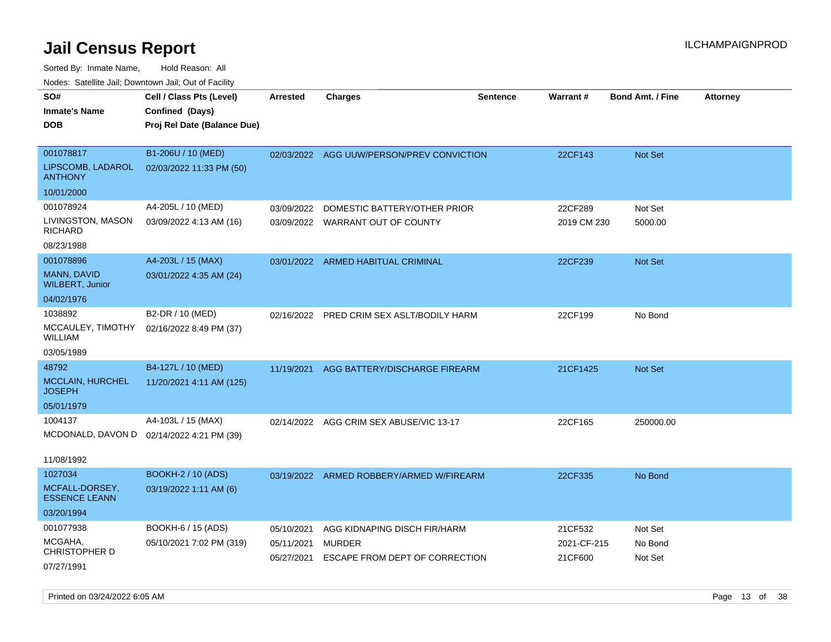| soupois catomic can, Dominomii can, Cat or I domt |                                                                            |                 |                                           |                 |             |                         |                 |
|---------------------------------------------------|----------------------------------------------------------------------------|-----------------|-------------------------------------------|-----------------|-------------|-------------------------|-----------------|
| SO#<br>Inmate's Name<br><b>DOB</b>                | Cell / Class Pts (Level)<br>Confined (Days)<br>Proj Rel Date (Balance Due) | <b>Arrested</b> | <b>Charges</b>                            | <b>Sentence</b> | Warrant#    | <b>Bond Amt. / Fine</b> | <b>Attorney</b> |
| 001078817<br>LIPSCOMB, LADAROL                    | B1-206U / 10 (MED)<br>02/03/2022 11:33 PM (50)                             |                 | 02/03/2022 AGG UUW/PERSON/PREV CONVICTION |                 | 22CF143     | <b>Not Set</b>          |                 |
| ANTHONY                                           |                                                                            |                 |                                           |                 |             |                         |                 |
| 10/01/2000                                        |                                                                            |                 |                                           |                 |             |                         |                 |
| 001078924                                         | A4-205L / 10 (MED)                                                         | 03/09/2022      | DOMESTIC BATTERY/OTHER PRIOR              |                 | 22CF289     | Not Set                 |                 |
| LIVINGSTON, MASON<br><b>RICHARD</b>               | 03/09/2022 4:13 AM (16)                                                    |                 | 03/09/2022 WARRANT OUT OF COUNTY          |                 | 2019 CM 230 | 5000.00                 |                 |
| 08/23/1988                                        |                                                                            |                 |                                           |                 |             |                         |                 |
| 001078896                                         | A4-203L / 15 (MAX)                                                         |                 | 03/01/2022 ARMED HABITUAL CRIMINAL        |                 | 22CF239     | <b>Not Set</b>          |                 |
| MANN, DAVID<br><b>WILBERT, Junior</b>             | 03/01/2022 4:35 AM (24)                                                    |                 |                                           |                 |             |                         |                 |
| 04/02/1976                                        |                                                                            |                 |                                           |                 |             |                         |                 |
| 1038892                                           | B2-DR / 10 (MED)                                                           | 02/16/2022      | PRED CRIM SEX ASLT/BODILY HARM            |                 | 22CF199     | No Bond                 |                 |
| MCCAULEY, TIMOTHY<br>WILLIAM                      | 02/16/2022 8:49 PM (37)                                                    |                 |                                           |                 |             |                         |                 |
| 03/05/1989                                        |                                                                            |                 |                                           |                 |             |                         |                 |
| 48792                                             | B4-127L / 10 (MED)                                                         | 11/19/2021      | AGG BATTERY/DISCHARGE FIREARM             |                 | 21CF1425    | <b>Not Set</b>          |                 |
| MCCLAIN, HURCHEL<br>JOSEPH                        | 11/20/2021 4:11 AM (125)                                                   |                 |                                           |                 |             |                         |                 |
| 05/01/1979                                        |                                                                            |                 |                                           |                 |             |                         |                 |
| 1004137                                           | A4-103L / 15 (MAX)                                                         |                 | 02/14/2022 AGG CRIM SEX ABUSE/VIC 13-17   |                 | 22CF165     | 250000.00               |                 |
|                                                   | MCDONALD, DAVON D 02/14/2022 4:21 PM (39)                                  |                 |                                           |                 |             |                         |                 |
| 11/08/1992                                        |                                                                            |                 |                                           |                 |             |                         |                 |
| 1027034                                           | <b>BOOKH-2 / 10 (ADS)</b>                                                  |                 | 03/19/2022 ARMED ROBBERY/ARMED W/FIREARM  |                 | 22CF335     | No Bond                 |                 |
| MCFALL-DORSEY,<br><b>ESSENCE LEANN</b>            | 03/19/2022 1:11 AM (6)                                                     |                 |                                           |                 |             |                         |                 |
| 03/20/1994                                        |                                                                            |                 |                                           |                 |             |                         |                 |
| 001077938                                         | <b>BOOKH-6 / 15 (ADS)</b>                                                  | 05/10/2021      | AGG KIDNAPING DISCH FIR/HARM              |                 | 21CF532     | Not Set                 |                 |
| MCGAHA,<br>CHRISTOPHER D                          | 05/10/2021 7:02 PM (319)                                                   | 05/11/2021      | MURDER                                    |                 | 2021-CF-215 | No Bond                 |                 |
| 07/27/1991                                        |                                                                            | 05/27/2021      | ESCAPE FROM DEPT OF CORRECTION            |                 | 21CF600     | Not Set                 |                 |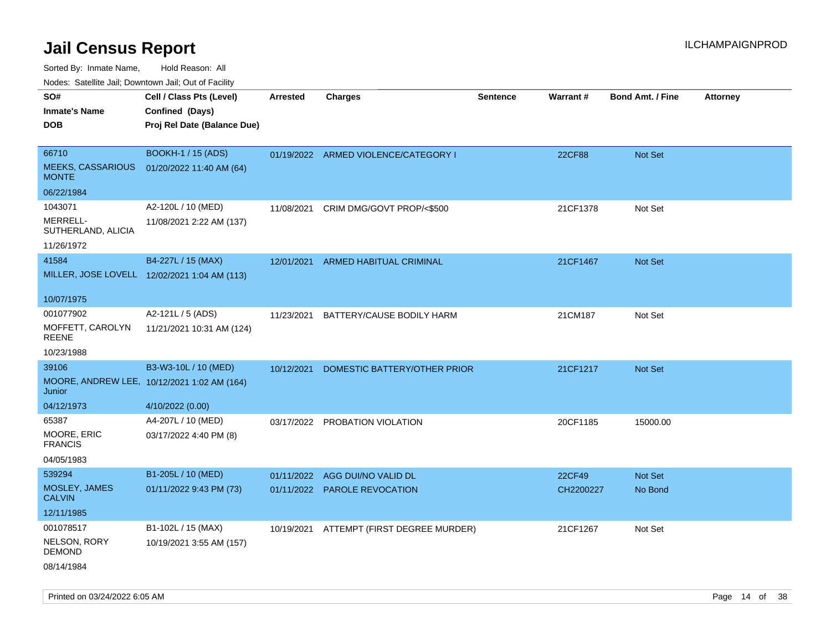Sorted By: Inmate Name, Hold Reason: All

Nodes: Satellite Jail; Downtown Jail; Out of Facility

| SO#                                      | Cell / Class Pts (Level)                     | <b>Arrested</b> | <b>Charges</b>                       | <b>Sentence</b> | Warrant#  | <b>Bond Amt. / Fine</b> | <b>Attorney</b> |
|------------------------------------------|----------------------------------------------|-----------------|--------------------------------------|-----------------|-----------|-------------------------|-----------------|
| <b>Inmate's Name</b>                     | Confined (Days)                              |                 |                                      |                 |           |                         |                 |
| <b>DOB</b>                               | Proj Rel Date (Balance Due)                  |                 |                                      |                 |           |                         |                 |
|                                          |                                              |                 |                                      |                 |           |                         |                 |
| 66710                                    | <b>BOOKH-1 / 15 (ADS)</b>                    |                 | 01/19/2022 ARMED VIOLENCE/CATEGORY I |                 | 22CF88    | Not Set                 |                 |
| <b>MEEKS, CASSARIOUS</b><br><b>MONTE</b> | 01/20/2022 11:40 AM (64)                     |                 |                                      |                 |           |                         |                 |
| 06/22/1984                               |                                              |                 |                                      |                 |           |                         |                 |
| 1043071                                  | A2-120L / 10 (MED)                           | 11/08/2021      | CRIM DMG/GOVT PROP/<\$500            |                 | 21CF1378  | Not Set                 |                 |
| MERRELL-<br>SUTHERLAND, ALICIA           | 11/08/2021 2:22 AM (137)                     |                 |                                      |                 |           |                         |                 |
| 11/26/1972                               |                                              |                 |                                      |                 |           |                         |                 |
| 41584                                    | B4-227L / 15 (MAX)                           | 12/01/2021      | ARMED HABITUAL CRIMINAL              |                 | 21CF1467  | Not Set                 |                 |
|                                          | MILLER, JOSE LOVELL 12/02/2021 1:04 AM (113) |                 |                                      |                 |           |                         |                 |
|                                          |                                              |                 |                                      |                 |           |                         |                 |
| 10/07/1975                               |                                              |                 |                                      |                 |           |                         |                 |
| 001077902                                | A2-121L / 5 (ADS)                            | 11/23/2021      | BATTERY/CAUSE BODILY HARM            |                 | 21CM187   | Not Set                 |                 |
| MOFFETT, CAROLYN<br><b>REENE</b>         | 11/21/2021 10:31 AM (124)                    |                 |                                      |                 |           |                         |                 |
| 10/23/1988                               |                                              |                 |                                      |                 |           |                         |                 |
| 39106                                    | B3-W3-10L / 10 (MED)                         | 10/12/2021      | DOMESTIC BATTERY/OTHER PRIOR         |                 | 21CF1217  | Not Set                 |                 |
| Junior                                   | MOORE, ANDREW LEE, 10/12/2021 1:02 AM (164)  |                 |                                      |                 |           |                         |                 |
| 04/12/1973                               | 4/10/2022 (0.00)                             |                 |                                      |                 |           |                         |                 |
| 65387                                    | A4-207L / 10 (MED)                           |                 | 03/17/2022 PROBATION VIOLATION       |                 | 20CF1185  | 15000.00                |                 |
| MOORE, ERIC<br><b>FRANCIS</b>            | 03/17/2022 4:40 PM (8)                       |                 |                                      |                 |           |                         |                 |
| 04/05/1983                               |                                              |                 |                                      |                 |           |                         |                 |
| 539294                                   | B1-205L / 10 (MED)                           |                 | 01/11/2022 AGG DUI/NO VALID DL       |                 | 22CF49    | Not Set                 |                 |
| MOSLEY, JAMES<br><b>CALVIN</b>           | 01/11/2022 9:43 PM (73)                      |                 | 01/11/2022 PAROLE REVOCATION         |                 | CH2200227 | No Bond                 |                 |
| 12/11/1985                               |                                              |                 |                                      |                 |           |                         |                 |
| 001078517                                | B1-102L / 15 (MAX)                           | 10/19/2021      | ATTEMPT (FIRST DEGREE MURDER)        |                 | 21CF1267  | Not Set                 |                 |
| NELSON, RORY<br><b>DEMOND</b>            | 10/19/2021 3:55 AM (157)                     |                 |                                      |                 |           |                         |                 |
| 08/14/1984                               |                                              |                 |                                      |                 |           |                         |                 |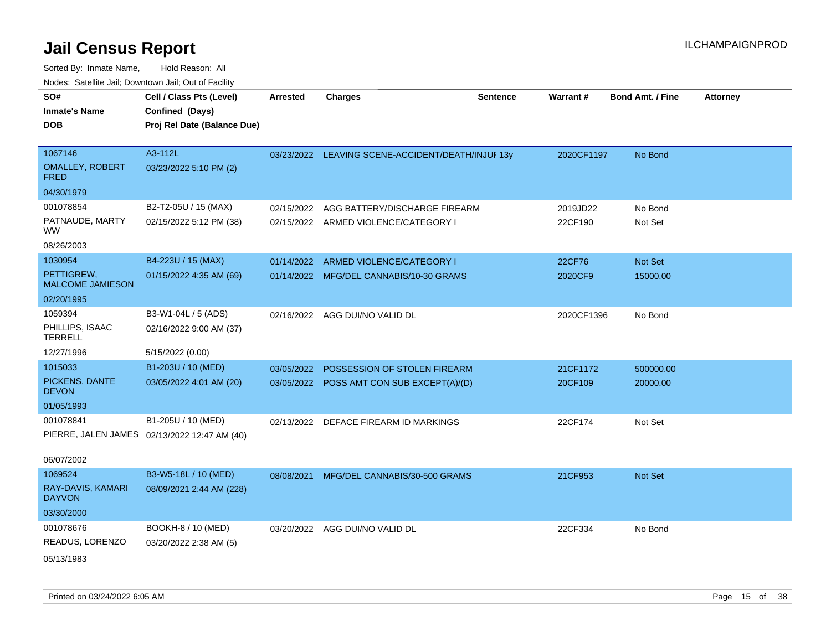| SO#<br><b>Inmate's Name</b>           | Cell / Class Pts (Level)<br>Confined (Days)  | <b>Arrested</b> | <b>Charges</b>                                    | <b>Sentence</b> | <b>Warrant#</b> | Bond Amt. / Fine | <b>Attorney</b> |
|---------------------------------------|----------------------------------------------|-----------------|---------------------------------------------------|-----------------|-----------------|------------------|-----------------|
| <b>DOB</b>                            | Proj Rel Date (Balance Due)                  |                 |                                                   |                 |                 |                  |                 |
| 1067146                               | A3-112L                                      |                 | 03/23/2022 LEAVING SCENE-ACCIDENT/DEATH/INJUF 13y |                 | 2020CF1197      | No Bond          |                 |
| <b>OMALLEY, ROBERT</b><br><b>FRED</b> | 03/23/2022 5:10 PM (2)                       |                 |                                                   |                 |                 |                  |                 |
| 04/30/1979                            |                                              |                 |                                                   |                 |                 |                  |                 |
| 001078854                             | B2-T2-05U / 15 (MAX)                         | 02/15/2022      | AGG BATTERY/DISCHARGE FIREARM                     |                 | 2019JD22        | No Bond          |                 |
| PATNAUDE, MARTY<br><b>WW</b>          | 02/15/2022 5:12 PM (38)                      |                 | 02/15/2022 ARMED VIOLENCE/CATEGORY I              |                 | 22CF190         | Not Set          |                 |
| 08/26/2003                            |                                              |                 |                                                   |                 |                 |                  |                 |
| 1030954                               | B4-223U / 15 (MAX)                           | 01/14/2022      | ARMED VIOLENCE/CATEGORY I                         |                 | 22CF76          | Not Set          |                 |
| PETTIGREW,<br><b>MALCOME JAMIESON</b> | 01/15/2022 4:35 AM (69)                      |                 | 01/14/2022 MFG/DEL CANNABIS/10-30 GRAMS           |                 | 2020CF9         | 15000.00         |                 |
| 02/20/1995                            |                                              |                 |                                                   |                 |                 |                  |                 |
| 1059394                               | B3-W1-04L / 5 (ADS)                          |                 | 02/16/2022 AGG DUI/NO VALID DL                    |                 | 2020CF1396      | No Bond          |                 |
| PHILLIPS, ISAAC<br><b>TERRELL</b>     | 02/16/2022 9:00 AM (37)                      |                 |                                                   |                 |                 |                  |                 |
| 12/27/1996                            | 5/15/2022 (0.00)                             |                 |                                                   |                 |                 |                  |                 |
| 1015033                               | B1-203U / 10 (MED)                           | 03/05/2022      | POSSESSION OF STOLEN FIREARM                      |                 | 21CF1172        | 500000.00        |                 |
| PICKENS, DANTE<br><b>DEVON</b>        | 03/05/2022 4:01 AM (20)                      |                 | 03/05/2022 POSS AMT CON SUB EXCEPT(A)/(D)         |                 | 20CF109         | 20000.00         |                 |
| 01/05/1993                            |                                              |                 |                                                   |                 |                 |                  |                 |
| 001078841                             | B1-205U / 10 (MED)                           |                 | 02/13/2022 DEFACE FIREARM ID MARKINGS             |                 | 22CF174         | Not Set          |                 |
|                                       | PIERRE, JALEN JAMES 02/13/2022 12:47 AM (40) |                 |                                                   |                 |                 |                  |                 |
| 06/07/2002                            |                                              |                 |                                                   |                 |                 |                  |                 |
| 1069524                               | B3-W5-18L / 10 (MED)                         | 08/08/2021      | MFG/DEL CANNABIS/30-500 GRAMS                     |                 | 21CF953         | Not Set          |                 |
| RAY-DAVIS, KAMARI<br><b>DAYVON</b>    | 08/09/2021 2:44 AM (228)                     |                 |                                                   |                 |                 |                  |                 |
| 03/30/2000                            |                                              |                 |                                                   |                 |                 |                  |                 |
| 001078676                             | BOOKH-8 / 10 (MED)                           |                 | 03/20/2022 AGG DUI/NO VALID DL                    |                 | 22CF334         | No Bond          |                 |
| READUS, LORENZO                       | 03/20/2022 2:38 AM (5)                       |                 |                                                   |                 |                 |                  |                 |
| 05/13/1983                            |                                              |                 |                                                   |                 |                 |                  |                 |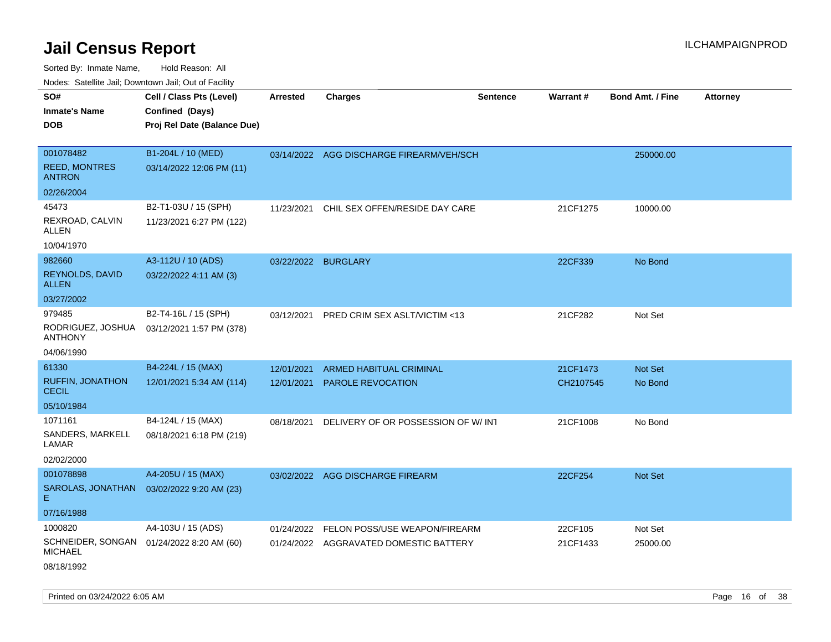| SO#<br><b>Inmate's Name</b><br><b>DOB</b>          | Cell / Class Pts (Level)<br>Confined (Days)<br>Proj Rel Date (Balance Due) | <b>Arrested</b>     | <b>Charges</b>                           | <b>Sentence</b> | Warrant#  | <b>Bond Amt. / Fine</b> | <b>Attorney</b> |
|----------------------------------------------------|----------------------------------------------------------------------------|---------------------|------------------------------------------|-----------------|-----------|-------------------------|-----------------|
| 001078482<br><b>REED, MONTRES</b><br><b>ANTRON</b> | B1-204L / 10 (MED)<br>03/14/2022 12:06 PM (11)                             |                     | 03/14/2022 AGG DISCHARGE FIREARM/VEH/SCH |                 |           | 250000.00               |                 |
| 02/26/2004                                         |                                                                            |                     |                                          |                 |           |                         |                 |
| 45473<br>REXROAD, CALVIN<br>ALLEN                  | B2-T1-03U / 15 (SPH)<br>11/23/2021 6:27 PM (122)                           | 11/23/2021          | CHIL SEX OFFEN/RESIDE DAY CARE           |                 | 21CF1275  | 10000.00                |                 |
| 10/04/1970                                         |                                                                            |                     |                                          |                 |           |                         |                 |
| 982660<br><b>REYNOLDS, DAVID</b><br>ALLEN          | A3-112U / 10 (ADS)<br>03/22/2022 4:11 AM (3)                               | 03/22/2022 BURGLARY |                                          |                 | 22CF339   | No Bond                 |                 |
| 03/27/2002                                         |                                                                            |                     |                                          |                 |           |                         |                 |
| 979485<br>RODRIGUEZ, JOSHUA<br><b>ANTHONY</b>      | B2-T4-16L / 15 (SPH)<br>03/12/2021 1:57 PM (378)                           | 03/12/2021          | PRED CRIM SEX ASLT/VICTIM <13            |                 | 21CF282   | Not Set                 |                 |
| 04/06/1990                                         |                                                                            |                     |                                          |                 |           |                         |                 |
| 61330                                              | B4-224L / 15 (MAX)                                                         | 12/01/2021          | <b>ARMED HABITUAL CRIMINAL</b>           |                 | 21CF1473  | Not Set                 |                 |
| <b>RUFFIN, JONATHON</b><br><b>CECIL</b>            | 12/01/2021 5:34 AM (114)                                                   | 12/01/2021          | <b>PAROLE REVOCATION</b>                 |                 | CH2107545 | No Bond                 |                 |
| 05/10/1984                                         |                                                                            |                     |                                          |                 |           |                         |                 |
| 1071161                                            | B4-124L / 15 (MAX)                                                         | 08/18/2021          | DELIVERY OF OR POSSESSION OF W/INT       |                 | 21CF1008  | No Bond                 |                 |
| SANDERS, MARKELL<br>LAMAR                          | 08/18/2021 6:18 PM (219)                                                   |                     |                                          |                 |           |                         |                 |
| 02/02/2000                                         |                                                                            |                     |                                          |                 |           |                         |                 |
| 001078898                                          | A4-205U / 15 (MAX)                                                         |                     | 03/02/2022 AGG DISCHARGE FIREARM         |                 | 22CF254   | Not Set                 |                 |
| SAROLAS, JONATHAN<br>Е                             | 03/02/2022 9:20 AM (23)                                                    |                     |                                          |                 |           |                         |                 |
| 07/16/1988                                         |                                                                            |                     |                                          |                 |           |                         |                 |
| 1000820                                            | A4-103U / 15 (ADS)                                                         |                     | 01/24/2022 FELON POSS/USE WEAPON/FIREARM |                 | 22CF105   | Not Set                 |                 |
| <b>MICHAEL</b>                                     | SCHNEIDER, SONGAN 01/24/2022 8:20 AM (60)                                  |                     | 01/24/2022 AGGRAVATED DOMESTIC BATTERY   |                 | 21CF1433  | 25000.00                |                 |
| 08/18/1992                                         |                                                                            |                     |                                          |                 |           |                         |                 |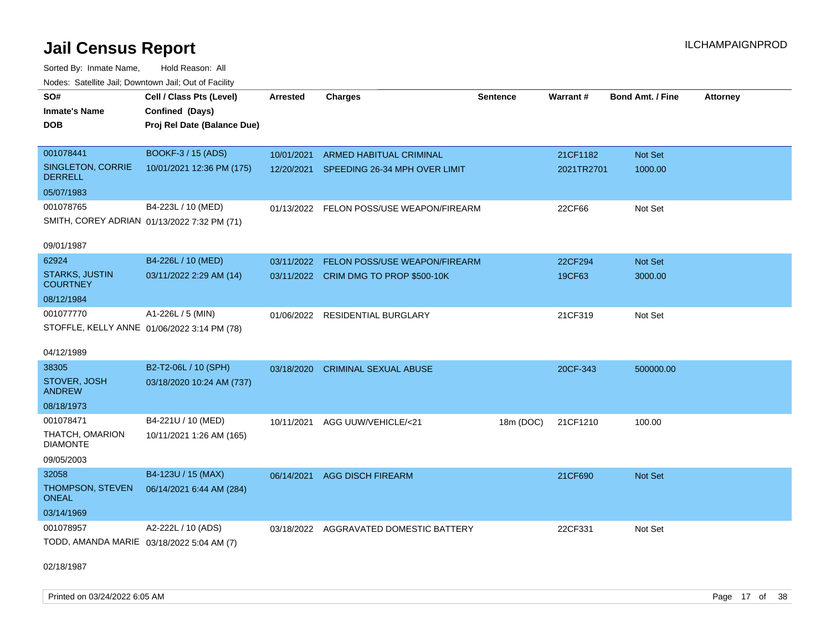Sorted By: Inmate Name, Hold Reason: All Nodes: Satellite Jail; Downtown Jail; Out of Facility

| rouce. Calcillic Jali, Downtown Jali, Out of Facility |                                             |                 |                                          |                 |                 |                         |                 |
|-------------------------------------------------------|---------------------------------------------|-----------------|------------------------------------------|-----------------|-----------------|-------------------------|-----------------|
| SO#                                                   | Cell / Class Pts (Level)                    | <b>Arrested</b> | <b>Charges</b>                           | <b>Sentence</b> | <b>Warrant#</b> | <b>Bond Amt. / Fine</b> | <b>Attorney</b> |
| <b>Inmate's Name</b>                                  | Confined (Days)                             |                 |                                          |                 |                 |                         |                 |
| <b>DOB</b>                                            | Proj Rel Date (Balance Due)                 |                 |                                          |                 |                 |                         |                 |
|                                                       |                                             |                 |                                          |                 |                 |                         |                 |
| 001078441                                             | BOOKF-3 / 15 (ADS)                          | 10/01/2021      | ARMED HABITUAL CRIMINAL                  |                 | 21CF1182        | Not Set                 |                 |
| <b>SINGLETON, CORRIE</b><br><b>DERRELL</b>            | 10/01/2021 12:36 PM (175)                   |                 | 12/20/2021 SPEEDING 26-34 MPH OVER LIMIT |                 | 2021TR2701      | 1000.00                 |                 |
| 05/07/1983                                            |                                             |                 |                                          |                 |                 |                         |                 |
| 001078765                                             | B4-223L / 10 (MED)                          |                 | 01/13/2022 FELON POSS/USE WEAPON/FIREARM |                 | 22CF66          | Not Set                 |                 |
|                                                       | SMITH, COREY ADRIAN 01/13/2022 7:32 PM (71) |                 |                                          |                 |                 |                         |                 |
| 09/01/1987                                            |                                             |                 |                                          |                 |                 |                         |                 |
| 62924                                                 | B4-226L / 10 (MED)                          | 03/11/2022      | FELON POSS/USE WEAPON/FIREARM            |                 | 22CF294         | Not Set                 |                 |
| <b>STARKS, JUSTIN</b>                                 | 03/11/2022 2:29 AM (14)                     |                 | 03/11/2022 CRIM DMG TO PROP \$500-10K    |                 | 19CF63          | 3000.00                 |                 |
| <b>COURTNEY</b>                                       |                                             |                 |                                          |                 |                 |                         |                 |
| 08/12/1984                                            |                                             |                 |                                          |                 |                 |                         |                 |
| 001077770                                             | A1-226L / 5 (MIN)                           |                 | 01/06/2022 RESIDENTIAL BURGLARY          |                 | 21CF319         | Not Set                 |                 |
|                                                       | STOFFLE, KELLY ANNE 01/06/2022 3:14 PM (78) |                 |                                          |                 |                 |                         |                 |
| 04/12/1989                                            |                                             |                 |                                          |                 |                 |                         |                 |
| 38305                                                 | B2-T2-06L / 10 (SPH)                        | 03/18/2020      | <b>CRIMINAL SEXUAL ABUSE</b>             |                 | 20CF-343        | 500000.00               |                 |
| STOVER, JOSH<br><b>ANDREW</b>                         | 03/18/2020 10:24 AM (737)                   |                 |                                          |                 |                 |                         |                 |
| 08/18/1973                                            |                                             |                 |                                          |                 |                 |                         |                 |
| 001078471                                             | B4-221U / 10 (MED)                          | 10/11/2021      | AGG UUW/VEHICLE/<21                      | 18m (DOC)       | 21CF1210        | 100.00                  |                 |
| THATCH, OMARION<br><b>DIAMONTE</b>                    | 10/11/2021 1:26 AM (165)                    |                 |                                          |                 |                 |                         |                 |
| 09/05/2003                                            |                                             |                 |                                          |                 |                 |                         |                 |
| 32058                                                 | B4-123U / 15 (MAX)                          | 06/14/2021      | <b>AGG DISCH FIREARM</b>                 |                 | 21CF690         | Not Set                 |                 |
| THOMPSON, STEVEN<br><b>ONEAL</b>                      | 06/14/2021 6:44 AM (284)                    |                 |                                          |                 |                 |                         |                 |
| 03/14/1969                                            |                                             |                 |                                          |                 |                 |                         |                 |
| 001078957                                             | A2-222L / 10 (ADS)                          |                 | 03/18/2022 AGGRAVATED DOMESTIC BATTERY   |                 | 22CF331         | Not Set                 |                 |
| TODD, AMANDA MARIE 03/18/2022 5:04 AM (7)             |                                             |                 |                                          |                 |                 |                         |                 |
|                                                       |                                             |                 |                                          |                 |                 |                         |                 |

02/18/1987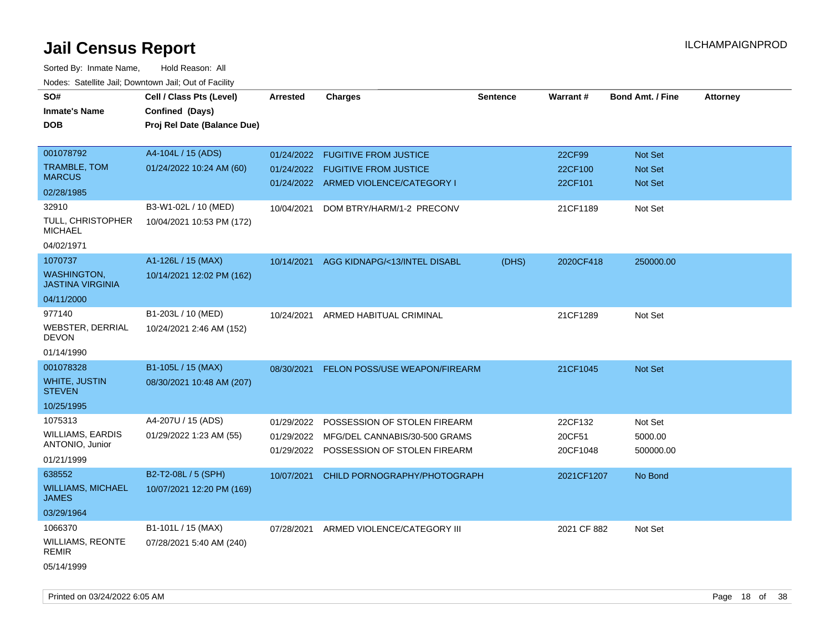| roaco. Oatomto dan, Downtown dan, Oat or Fability |                             |                 |                                         |                 |             |                         |                 |
|---------------------------------------------------|-----------------------------|-----------------|-----------------------------------------|-----------------|-------------|-------------------------|-----------------|
| SO#                                               | Cell / Class Pts (Level)    | <b>Arrested</b> | <b>Charges</b>                          | <b>Sentence</b> | Warrant#    | <b>Bond Amt. / Fine</b> | <b>Attorney</b> |
| <b>Inmate's Name</b>                              | Confined (Days)             |                 |                                         |                 |             |                         |                 |
| <b>DOB</b>                                        | Proj Rel Date (Balance Due) |                 |                                         |                 |             |                         |                 |
|                                                   |                             |                 |                                         |                 |             |                         |                 |
| 001078792                                         | A4-104L / 15 (ADS)          |                 | 01/24/2022 FUGITIVE FROM JUSTICE        |                 | 22CF99      | Not Set                 |                 |
| TRAMBLE, TOM                                      | 01/24/2022 10:24 AM (60)    |                 | 01/24/2022 FUGITIVE FROM JUSTICE        |                 | 22CF100     | <b>Not Set</b>          |                 |
| <b>MARCUS</b>                                     |                             |                 | 01/24/2022 ARMED VIOLENCE/CATEGORY I    |                 | 22CF101     | Not Set                 |                 |
| 02/28/1985                                        |                             |                 |                                         |                 |             |                         |                 |
| 32910                                             | B3-W1-02L / 10 (MED)        | 10/04/2021      | DOM BTRY/HARM/1-2 PRECONV               |                 | 21CF1189    | Not Set                 |                 |
| TULL, CHRISTOPHER<br><b>MICHAEL</b>               | 10/04/2021 10:53 PM (172)   |                 |                                         |                 |             |                         |                 |
| 04/02/1971                                        |                             |                 |                                         |                 |             |                         |                 |
| 1070737                                           | A1-126L / 15 (MAX)          |                 | 10/14/2021 AGG KIDNAPG/<13/INTEL DISABL | (DHS)           | 2020CF418   | 250000.00               |                 |
| <b>WASHINGTON,</b><br><b>JASTINA VIRGINIA</b>     | 10/14/2021 12:02 PM (162)   |                 |                                         |                 |             |                         |                 |
| 04/11/2000                                        |                             |                 |                                         |                 |             |                         |                 |
| 977140                                            | B1-203L / 10 (MED)          |                 | 10/24/2021 ARMED HABITUAL CRIMINAL      |                 | 21CF1289    | Not Set                 |                 |
| WEBSTER, DERRIAL<br><b>DEVON</b>                  | 10/24/2021 2:46 AM (152)    |                 |                                         |                 |             |                         |                 |
| 01/14/1990                                        |                             |                 |                                         |                 |             |                         |                 |
| 001078328                                         | B1-105L / 15 (MAX)          | 08/30/2021      | <b>FELON POSS/USE WEAPON/FIREARM</b>    |                 | 21CF1045    | Not Set                 |                 |
| <b>WHITE, JUSTIN</b><br><b>STEVEN</b>             | 08/30/2021 10:48 AM (207)   |                 |                                         |                 |             |                         |                 |
| 10/25/1995                                        |                             |                 |                                         |                 |             |                         |                 |
| 1075313                                           | A4-207U / 15 (ADS)          | 01/29/2022      | POSSESSION OF STOLEN FIREARM            |                 | 22CF132     | Not Set                 |                 |
| WILLIAMS, EARDIS                                  | 01/29/2022 1:23 AM (55)     | 01/29/2022      | MFG/DEL CANNABIS/30-500 GRAMS           |                 | 20CF51      | 5000.00                 |                 |
| ANTONIO, Junior                                   |                             |                 | 01/29/2022 POSSESSION OF STOLEN FIREARM |                 | 20CF1048    | 500000.00               |                 |
| 01/21/1999                                        |                             |                 |                                         |                 |             |                         |                 |
| 638552                                            | B2-T2-08L / 5 (SPH)         | 10/07/2021      | CHILD PORNOGRAPHY/PHOTOGRAPH            |                 | 2021CF1207  | No Bond                 |                 |
| <b>WILLIAMS, MICHAEL</b><br><b>JAMES</b>          | 10/07/2021 12:20 PM (169)   |                 |                                         |                 |             |                         |                 |
| 03/29/1964                                        |                             |                 |                                         |                 |             |                         |                 |
| 1066370                                           | B1-101L / 15 (MAX)          | 07/28/2021      | ARMED VIOLENCE/CATEGORY III             |                 | 2021 CF 882 | Not Set                 |                 |
| <b>WILLIAMS, REONTE</b><br><b>REMIR</b>           | 07/28/2021 5:40 AM (240)    |                 |                                         |                 |             |                         |                 |
| 05/14/1999                                        |                             |                 |                                         |                 |             |                         |                 |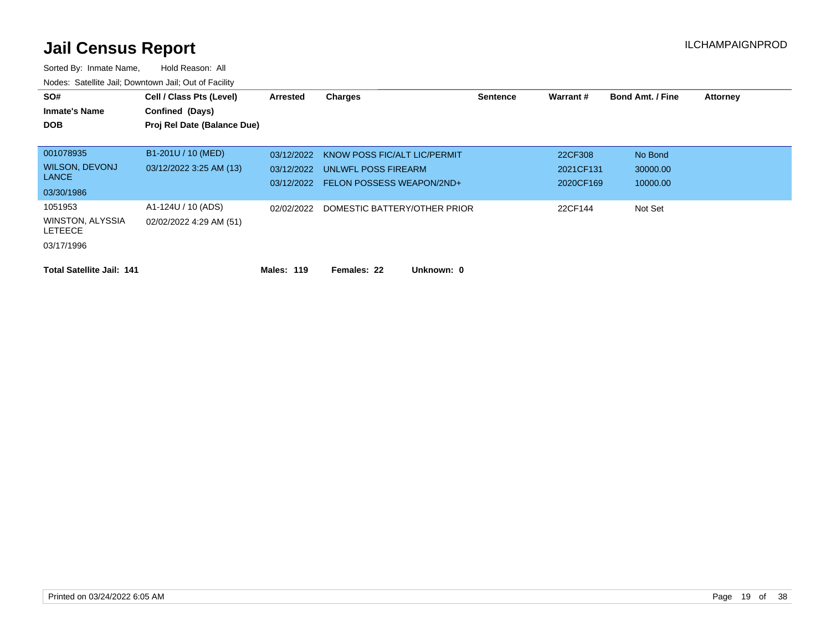| SO#<br><b>Inmate's Name</b><br><b>DOB</b>     | Cell / Class Pts (Level)<br>Confined (Days)<br>Proj Rel Date (Balance Due) | Arrested                 | Charges                                                 | <b>Sentence</b> | Warrant#               | <b>Bond Amt. / Fine</b> | <b>Attorney</b> |
|-----------------------------------------------|----------------------------------------------------------------------------|--------------------------|---------------------------------------------------------|-----------------|------------------------|-------------------------|-----------------|
| 001078935                                     | B1-201U / 10 (MED)                                                         | 03/12/2022               | KNOW POSS FIC/ALT LIC/PERMIT                            |                 | 22CF308                | No Bond                 |                 |
| <b>WILSON, DEVONJ</b><br><b>LANCE</b>         | 03/12/2022 3:25 AM (13)                                                    | 03/12/2022<br>03/12/2022 | UNLWFL POSS FIREARM<br><b>FELON POSSESS WEAPON/2ND+</b> |                 | 2021CF131<br>2020CF169 | 30000.00<br>10000.00    |                 |
| 03/30/1986                                    |                                                                            |                          |                                                         |                 |                        |                         |                 |
| 1051953<br>WINSTON, ALYSSIA<br><b>LETEECE</b> | A1-124U / 10 (ADS)<br>02/02/2022 4:29 AM (51)                              | 02/02/2022               | DOMESTIC BATTERY/OTHER PRIOR                            |                 | 22CF144                | Not Set                 |                 |
| 03/17/1996                                    |                                                                            |                          |                                                         |                 |                        |                         |                 |
| <b>Total Satellite Jail: 141</b>              |                                                                            | <b>Males: 119</b>        | Unknown: 0<br>Females: 22                               |                 |                        |                         |                 |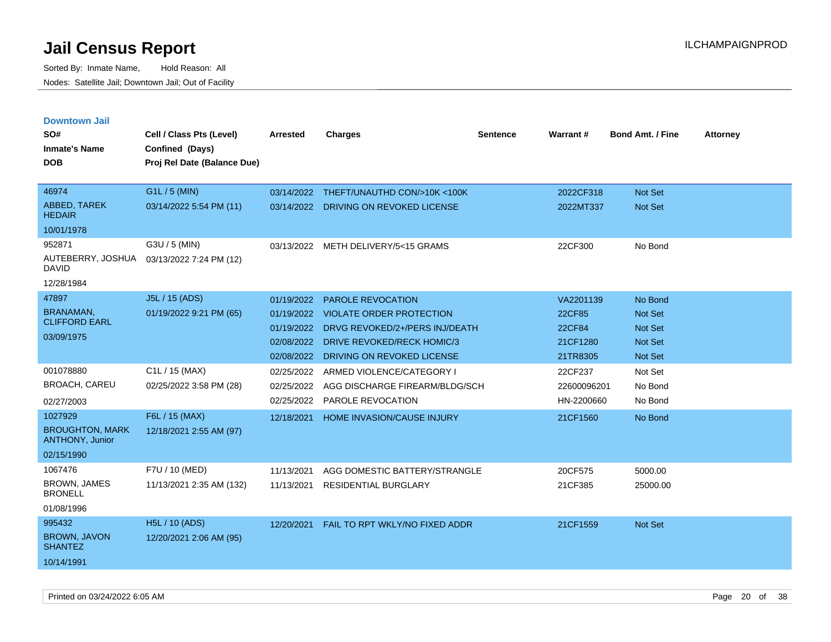| <b>Downtown Jail</b><br>SO#<br><b>Inmate's Name</b><br><b>DOB</b> | Cell / Class Pts (Level)<br>Confined (Days)<br>Proj Rel Date (Balance Due) | <b>Arrested</b> | <b>Charges</b>                        | <b>Sentence</b> | <b>Warrant#</b> | <b>Bond Amt. / Fine</b> | <b>Attorney</b> |
|-------------------------------------------------------------------|----------------------------------------------------------------------------|-----------------|---------------------------------------|-----------------|-----------------|-------------------------|-----------------|
| 46974                                                             | G1L / 5 (MIN)                                                              | 03/14/2022      | THEFT/UNAUTHD CON/>10K <100K          |                 | 2022CF318       | <b>Not Set</b>          |                 |
| ABBED, TAREK<br><b>HEDAIR</b>                                     | 03/14/2022 5:54 PM (11)                                                    |                 | 03/14/2022 DRIVING ON REVOKED LICENSE |                 | 2022MT337       | <b>Not Set</b>          |                 |
| 10/01/1978                                                        |                                                                            |                 |                                       |                 |                 |                         |                 |
| 952871                                                            | G3U / 5 (MIN)                                                              |                 | 03/13/2022 METH DELIVERY/5<15 GRAMS   |                 | 22CF300         | No Bond                 |                 |
| AUTEBERRY, JOSHUA<br><b>DAVID</b>                                 | 03/13/2022 7:24 PM (12)                                                    |                 |                                       |                 |                 |                         |                 |
| 12/28/1984                                                        |                                                                            |                 |                                       |                 |                 |                         |                 |
| 47897                                                             | J5L / 15 (ADS)                                                             | 01/19/2022      | PAROLE REVOCATION                     |                 | VA2201139       | No Bond                 |                 |
| <b>BRANAMAN,</b><br><b>CLIFFORD EARL</b>                          | 01/19/2022 9:21 PM (65)                                                    |                 | 01/19/2022 VIOLATE ORDER PROTECTION   |                 | 22CF85          | <b>Not Set</b>          |                 |
| 03/09/1975                                                        |                                                                            | 01/19/2022      | DRVG REVOKED/2+/PERS INJ/DEATH        |                 | 22CF84          | <b>Not Set</b>          |                 |
|                                                                   |                                                                            | 02/08/2022      | <b>DRIVE REVOKED/RECK HOMIC/3</b>     |                 | 21CF1280        | <b>Not Set</b>          |                 |
|                                                                   |                                                                            | 02/08/2022      | DRIVING ON REVOKED LICENSE            |                 | 21TR8305        | Not Set                 |                 |
| 001078880                                                         | C1L / 15 (MAX)                                                             | 02/25/2022      | ARMED VIOLENCE/CATEGORY I             |                 | 22CF237         | Not Set                 |                 |
| <b>BROACH, CAREU</b>                                              | 02/25/2022 3:58 PM (28)                                                    | 02/25/2022      | AGG DISCHARGE FIREARM/BLDG/SCH        |                 | 22600096201     | No Bond                 |                 |
| 02/27/2003                                                        |                                                                            | 02/25/2022      | <b>PAROLE REVOCATION</b>              |                 | HN-2200660      | No Bond                 |                 |
| 1027929                                                           | F6L / 15 (MAX)                                                             | 12/18/2021      | <b>HOME INVASION/CAUSE INJURY</b>     |                 | 21CF1560        | No Bond                 |                 |
| <b>BROUGHTON, MARK</b><br><b>ANTHONY, Junior</b>                  | 12/18/2021 2:55 AM (97)                                                    |                 |                                       |                 |                 |                         |                 |
| 02/15/1990                                                        |                                                                            |                 |                                       |                 |                 |                         |                 |
| 1067476                                                           | F7U / 10 (MED)                                                             | 11/13/2021      | AGG DOMESTIC BATTERY/STRANGLE         |                 | 20CF575         | 5000.00                 |                 |
| <b>BROWN, JAMES</b><br><b>BRONELL</b>                             | 11/13/2021 2:35 AM (132)                                                   | 11/13/2021      | <b>RESIDENTIAL BURGLARY</b>           |                 | 21CF385         | 25000.00                |                 |
| 01/08/1996                                                        |                                                                            |                 |                                       |                 |                 |                         |                 |
| 995432                                                            | H5L / 10 (ADS)                                                             | 12/20/2021      | FAIL TO RPT WKLY/NO FIXED ADDR        |                 | 21CF1559        | <b>Not Set</b>          |                 |
| <b>BROWN, JAVON</b><br><b>SHANTEZ</b>                             | 12/20/2021 2:06 AM (95)                                                    |                 |                                       |                 |                 |                         |                 |
| 10/14/1991                                                        |                                                                            |                 |                                       |                 |                 |                         |                 |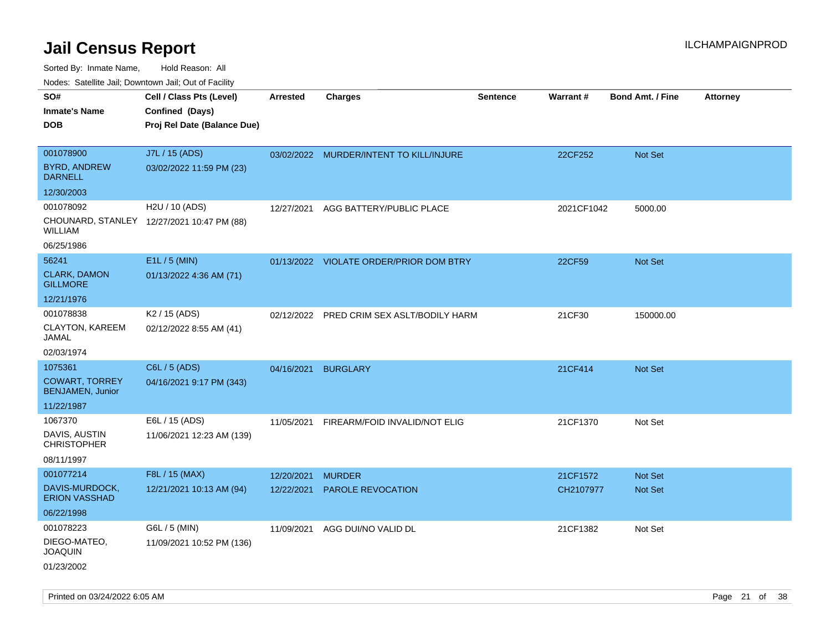| Noues. Sateme Jan, Downtown Jan, Out or Facility |                                            |            |                                           |                 |                 |                         |                 |
|--------------------------------------------------|--------------------------------------------|------------|-------------------------------------------|-----------------|-----------------|-------------------------|-----------------|
| SO#                                              | Cell / Class Pts (Level)                   | Arrested   | <b>Charges</b>                            | <b>Sentence</b> | <b>Warrant#</b> | <b>Bond Amt. / Fine</b> | <b>Attorney</b> |
| <b>Inmate's Name</b>                             | Confined (Days)                            |            |                                           |                 |                 |                         |                 |
| <b>DOB</b>                                       | Proj Rel Date (Balance Due)                |            |                                           |                 |                 |                         |                 |
|                                                  |                                            |            |                                           |                 |                 |                         |                 |
| 001078900                                        | J7L / 15 (ADS)                             |            | 03/02/2022 MURDER/INTENT TO KILL/INJURE   |                 | 22CF252         | Not Set                 |                 |
| <b>BYRD, ANDREW</b><br><b>DARNELL</b>            | 03/02/2022 11:59 PM (23)                   |            |                                           |                 |                 |                         |                 |
| 12/30/2003                                       |                                            |            |                                           |                 |                 |                         |                 |
| 001078092                                        | H2U / 10 (ADS)                             | 12/27/2021 | AGG BATTERY/PUBLIC PLACE                  |                 | 2021CF1042      | 5000.00                 |                 |
| WILLIAM                                          | CHOUNARD, STANLEY 12/27/2021 10:47 PM (88) |            |                                           |                 |                 |                         |                 |
| 06/25/1986                                       |                                            |            |                                           |                 |                 |                         |                 |
| 56241                                            | E1L / 5 (MIN)                              |            | 01/13/2022 VIOLATE ORDER/PRIOR DOM BTRY   |                 | 22CF59          | Not Set                 |                 |
| <b>CLARK, DAMON</b><br><b>GILLMORE</b>           | 01/13/2022 4:36 AM (71)                    |            |                                           |                 |                 |                         |                 |
| 12/21/1976                                       |                                            |            |                                           |                 |                 |                         |                 |
| 001078838                                        | K2 / 15 (ADS)                              |            | 02/12/2022 PRED CRIM SEX ASLT/BODILY HARM |                 | 21CF30          | 150000.00               |                 |
| <b>CLAYTON, KAREEM</b><br>JAMAL                  | 02/12/2022 8:55 AM (41)                    |            |                                           |                 |                 |                         |                 |
| 02/03/1974                                       |                                            |            |                                           |                 |                 |                         |                 |
| 1075361                                          | C6L / 5 (ADS)                              | 04/16/2021 | <b>BURGLARY</b>                           |                 | 21CF414         | Not Set                 |                 |
| <b>COWART, TORREY</b><br><b>BENJAMEN, Junior</b> | 04/16/2021 9:17 PM (343)                   |            |                                           |                 |                 |                         |                 |
| 11/22/1987                                       |                                            |            |                                           |                 |                 |                         |                 |
| 1067370                                          | E6L / 15 (ADS)                             | 11/05/2021 | FIREARM/FOID INVALID/NOT ELIG             |                 | 21CF1370        | Not Set                 |                 |
| DAVIS, AUSTIN<br><b>CHRISTOPHER</b>              | 11/06/2021 12:23 AM (139)                  |            |                                           |                 |                 |                         |                 |
| 08/11/1997                                       |                                            |            |                                           |                 |                 |                         |                 |
| 001077214                                        | F8L / 15 (MAX)                             | 12/20/2021 | <b>MURDER</b>                             |                 | 21CF1572        | Not Set                 |                 |
| DAVIS-MURDOCK,<br><b>ERION VASSHAD</b>           | 12/21/2021 10:13 AM (94)                   | 12/22/2021 | <b>PAROLE REVOCATION</b>                  |                 | CH2107977       | <b>Not Set</b>          |                 |
| 06/22/1998                                       |                                            |            |                                           |                 |                 |                         |                 |
| 001078223                                        | G6L / 5 (MIN)                              | 11/09/2021 | AGG DUI/NO VALID DL                       |                 | 21CF1382        | Not Set                 |                 |
| DIEGO-MATEO,<br><b>JOAQUIN</b>                   | 11/09/2021 10:52 PM (136)                  |            |                                           |                 |                 |                         |                 |
| 01/23/2002                                       |                                            |            |                                           |                 |                 |                         |                 |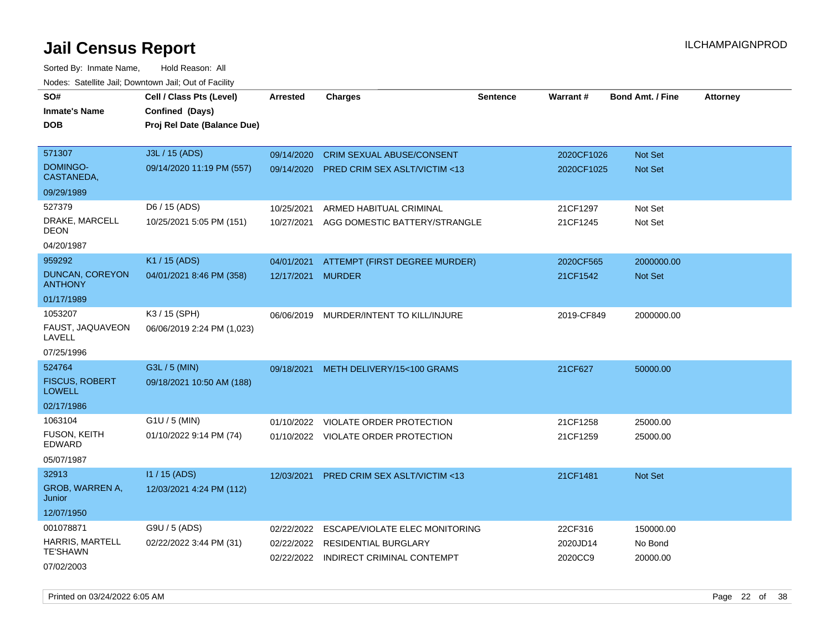Sorted By: Inmate Name, Hold Reason: All Nodes: Satellite Jail; Downtown Jail; Out of Facility

| wacs. Calcinic Jan, Downtown Jan, Out of Facility |                                                                            |                          |                                                           |                 |                     |                         |                 |
|---------------------------------------------------|----------------------------------------------------------------------------|--------------------------|-----------------------------------------------------------|-----------------|---------------------|-------------------------|-----------------|
| SO#<br>Inmate's Name<br>DOB                       | Cell / Class Pts (Level)<br>Confined (Days)<br>Proj Rel Date (Balance Due) | <b>Arrested</b>          | <b>Charges</b>                                            | <b>Sentence</b> | Warrant#            | <b>Bond Amt. / Fine</b> | <b>Attorney</b> |
| 571307                                            | J3L / 15 (ADS)                                                             | 09/14/2020               | <b>CRIM SEXUAL ABUSE/CONSENT</b>                          |                 | 2020CF1026          | Not Set                 |                 |
| DOMINGO-<br>CASTANEDA,                            | 09/14/2020 11:19 PM (557)                                                  | 09/14/2020               | <b>PRED CRIM SEX ASLT/VICTIM &lt;13</b>                   |                 | 2020CF1025          | <b>Not Set</b>          |                 |
| 09/29/1989                                        |                                                                            |                          |                                                           |                 |                     |                         |                 |
| 527379                                            | D6 / 15 (ADS)                                                              | 10/25/2021               | ARMED HABITUAL CRIMINAL                                   |                 | 21CF1297            | Not Set                 |                 |
| DRAKE, MARCELL<br>DEON                            | 10/25/2021 5:05 PM (151)                                                   | 10/27/2021               | AGG DOMESTIC BATTERY/STRANGLE                             |                 | 21CF1245            | Not Set                 |                 |
| 04/20/1987                                        |                                                                            |                          |                                                           |                 |                     |                         |                 |
| 959292                                            | K1 / 15 (ADS)                                                              | 04/01/2021               | ATTEMPT (FIRST DEGREE MURDER)                             |                 | 2020CF565           | 2000000.00              |                 |
| <b>DUNCAN, COREYON</b><br><b>ANTHONY</b>          | 04/01/2021 8:46 PM (358)                                                   | 12/17/2021               | <b>MURDER</b>                                             |                 | 21CF1542            | <b>Not Set</b>          |                 |
| 01/17/1989                                        |                                                                            |                          |                                                           |                 |                     |                         |                 |
| 1053207<br>FAUST, JAQUAVEON<br>LAVELL             | K3 / 15 (SPH)<br>06/06/2019 2:24 PM (1,023)                                | 06/06/2019               | MURDER/INTENT TO KILL/INJURE                              |                 | 2019-CF849          | 2000000.00              |                 |
| 07/25/1996                                        |                                                                            |                          |                                                           |                 |                     |                         |                 |
| 524764                                            | G3L / 5 (MIN)                                                              | 09/18/2021               | METH DELIVERY/15<100 GRAMS                                |                 | 21CF627             | 50000.00                |                 |
| <b>FISCUS, ROBERT</b><br><b>LOWELL</b>            | 09/18/2021 10:50 AM (188)                                                  |                          |                                                           |                 |                     |                         |                 |
| 02/17/1986                                        |                                                                            |                          |                                                           |                 |                     |                         |                 |
| 1063104                                           | G1U / 5 (MIN)                                                              | 01/10/2022               | VIOLATE ORDER PROTECTION                                  |                 | 21CF1258            | 25000.00                |                 |
| <b>FUSON, KEITH</b><br>EDWARD                     | 01/10/2022 9:14 PM (74)                                                    |                          | 01/10/2022 VIOLATE ORDER PROTECTION                       |                 | 21CF1259            | 25000.00                |                 |
| 05/07/1987                                        |                                                                            |                          |                                                           |                 |                     |                         |                 |
| 32913                                             | $11/15$ (ADS)                                                              | 12/03/2021               | <b>PRED CRIM SEX ASLT/VICTIM &lt;13</b>                   |                 | 21CF1481            | <b>Not Set</b>          |                 |
| GROB, WARREN A,<br>Junior                         | 12/03/2021 4:24 PM (112)                                                   |                          |                                                           |                 |                     |                         |                 |
| 12/07/1950                                        |                                                                            |                          |                                                           |                 |                     |                         |                 |
| 001078871                                         | G9U / 5 (ADS)                                                              | 02/22/2022               | ESCAPE/VIOLATE ELEC MONITORING                            |                 | 22CF316             | 150000.00               |                 |
| <b>HARRIS, MARTELL</b><br><b>TE'SHAWN</b>         | 02/22/2022 3:44 PM (31)                                                    | 02/22/2022<br>02/22/2022 | <b>RESIDENTIAL BURGLARY</b><br>INDIRECT CRIMINAL CONTEMPT |                 | 2020JD14<br>2020CC9 | No Bond<br>20000.00     |                 |
| 07/02/2003                                        |                                                                            |                          |                                                           |                 |                     |                         |                 |

Printed on 03/24/2022 6:05 AM Page 22 of 38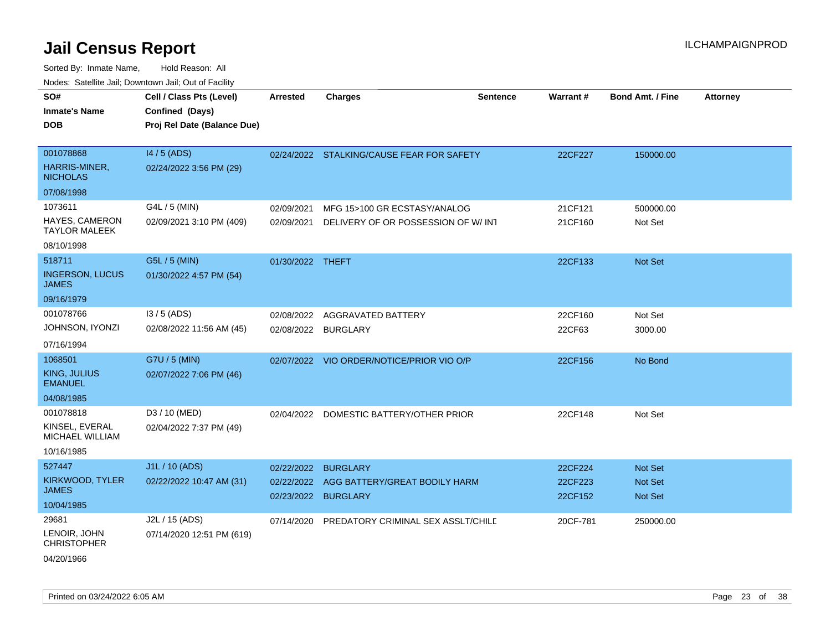| ivouss. Satellite Jali, Downtown Jali, Out of Facility |                             |                  |                                               |                 |          |                         |                 |
|--------------------------------------------------------|-----------------------------|------------------|-----------------------------------------------|-----------------|----------|-------------------------|-----------------|
| SO#                                                    | Cell / Class Pts (Level)    | <b>Arrested</b>  | <b>Charges</b>                                | <b>Sentence</b> | Warrant# | <b>Bond Amt. / Fine</b> | <b>Attorney</b> |
| Inmate's Name                                          | Confined (Days)             |                  |                                               |                 |          |                         |                 |
| DOB                                                    | Proj Rel Date (Balance Due) |                  |                                               |                 |          |                         |                 |
|                                                        |                             |                  |                                               |                 |          |                         |                 |
| 001078868                                              | 14 / 5 (ADS)                |                  | 02/24/2022 STALKING/CAUSE FEAR FOR SAFETY     |                 | 22CF227  | 150000.00               |                 |
| HARRIS-MINER,<br><b>NICHOLAS</b>                       | 02/24/2022 3:56 PM (29)     |                  |                                               |                 |          |                         |                 |
| 07/08/1998                                             |                             |                  |                                               |                 |          |                         |                 |
| 1073611                                                | G4L / 5 (MIN)               | 02/09/2021       | MFG 15>100 GR ECSTASY/ANALOG                  |                 | 21CF121  | 500000.00               |                 |
| <b>HAYES, CAMERON</b><br><b>TAYLOR MALEEK</b>          | 02/09/2021 3:10 PM (409)    | 02/09/2021       | DELIVERY OF OR POSSESSION OF W/ INT           |                 | 21CF160  | Not Set                 |                 |
| 08/10/1998                                             |                             |                  |                                               |                 |          |                         |                 |
| 518711                                                 | G5L / 5 (MIN)               | 01/30/2022 THEFT |                                               |                 | 22CF133  | Not Set                 |                 |
| <b>INGERSON, LUCUS</b><br>JAMES                        | 01/30/2022 4:57 PM (54)     |                  |                                               |                 |          |                         |                 |
| 09/16/1979                                             |                             |                  |                                               |                 |          |                         |                 |
| 001078766                                              | $13/5$ (ADS)                | 02/08/2022       | AGGRAVATED BATTERY                            |                 | 22CF160  | Not Set                 |                 |
| JOHNSON, IYONZI                                        | 02/08/2022 11:56 AM (45)    | 02/08/2022       | <b>BURGLARY</b>                               |                 | 22CF63   | 3000.00                 |                 |
| 07/16/1994                                             |                             |                  |                                               |                 |          |                         |                 |
| 1068501                                                | G7U / 5 (MIN)               |                  | 02/07/2022 VIO ORDER/NOTICE/PRIOR VIO O/P     |                 | 22CF156  | No Bond                 |                 |
| KING, JULIUS<br><b>EMANUEL</b>                         | 02/07/2022 7:06 PM (46)     |                  |                                               |                 |          |                         |                 |
| 04/08/1985                                             |                             |                  |                                               |                 |          |                         |                 |
| 001078818                                              | D3 / 10 (MED)               | 02/04/2022       | DOMESTIC BATTERY/OTHER PRIOR                  |                 | 22CF148  | Not Set                 |                 |
| KINSEL, EVERAL<br>MICHAEL WILLIAM                      | 02/04/2022 7:37 PM (49)     |                  |                                               |                 |          |                         |                 |
| 10/16/1985                                             |                             |                  |                                               |                 |          |                         |                 |
| 527447                                                 | J1L / 10 (ADS)              | 02/22/2022       | <b>BURGLARY</b>                               |                 | 22CF224  | <b>Not Set</b>          |                 |
| KIRKWOOD, TYLER                                        | 02/22/2022 10:47 AM (31)    | 02/22/2022       | AGG BATTERY/GREAT BODILY HARM                 |                 | 22CF223  | <b>Not Set</b>          |                 |
| JAMES                                                  |                             | 02/23/2022       | <b>BURGLARY</b>                               |                 | 22CF152  | <b>Not Set</b>          |                 |
| 10/04/1985                                             |                             |                  |                                               |                 |          |                         |                 |
| 29681                                                  | J2L / 15 (ADS)              |                  | 07/14/2020 PREDATORY CRIMINAL SEX ASSLT/CHILD |                 | 20CF-781 | 250000.00               |                 |
| LENOIR, JOHN<br>CHRISTOPHER                            | 07/14/2020 12:51 PM (619)   |                  |                                               |                 |          |                         |                 |
| 04/20/1966                                             |                             |                  |                                               |                 |          |                         |                 |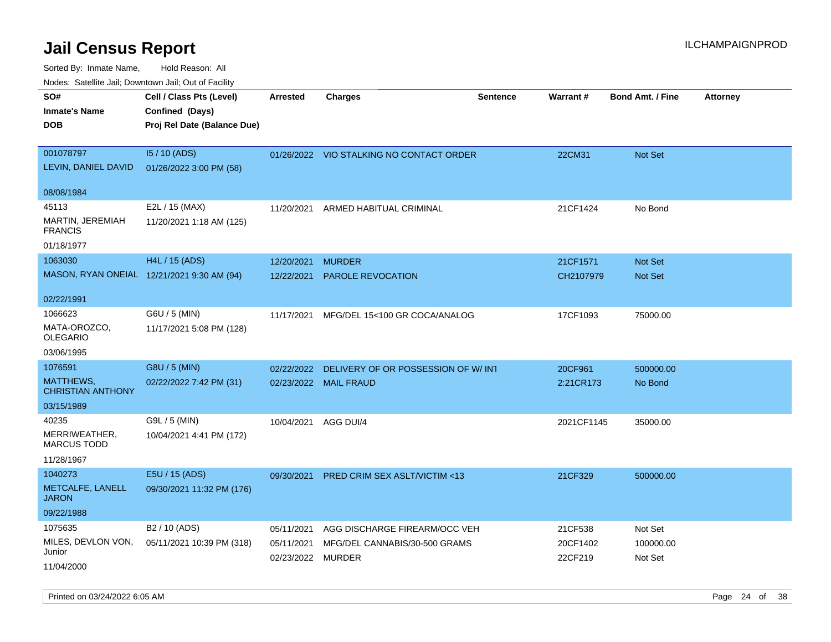| ivouss. Satellite Jali, Downtown Jali, Out of Facility |                                             |                   |                                          |                 |                 |                         |                 |
|--------------------------------------------------------|---------------------------------------------|-------------------|------------------------------------------|-----------------|-----------------|-------------------------|-----------------|
| SO#<br>Inmate's Name                                   | Cell / Class Pts (Level)<br>Confined (Days) | Arrested          | <b>Charges</b>                           | <b>Sentence</b> | <b>Warrant#</b> | <b>Bond Amt. / Fine</b> | <b>Attorney</b> |
| <b>DOB</b>                                             | Proj Rel Date (Balance Due)                 |                   |                                          |                 |                 |                         |                 |
| 001078797                                              | 15 / 10 (ADS)                               |                   | 01/26/2022 VIO STALKING NO CONTACT ORDER |                 | 22CM31          | Not Set                 |                 |
| LEVIN, DANIEL DAVID                                    | 01/26/2022 3:00 PM (58)                     |                   |                                          |                 |                 |                         |                 |
| 08/08/1984                                             |                                             |                   |                                          |                 |                 |                         |                 |
| 45113                                                  | E2L / 15 (MAX)                              | 11/20/2021        | ARMED HABITUAL CRIMINAL                  |                 | 21CF1424        | No Bond                 |                 |
| MARTIN, JEREMIAH<br><b>FRANCIS</b>                     | 11/20/2021 1:18 AM (125)                    |                   |                                          |                 |                 |                         |                 |
| 01/18/1977                                             |                                             |                   |                                          |                 |                 |                         |                 |
| 1063030                                                | H4L / 15 (ADS)                              | 12/20/2021        | <b>MURDER</b>                            |                 | 21CF1571        | <b>Not Set</b>          |                 |
|                                                        | MASON, RYAN ONEIAL 12/21/2021 9:30 AM (94)  | 12/22/2021        | PAROLE REVOCATION                        |                 | CH2107979       | Not Set                 |                 |
| 02/22/1991                                             |                                             |                   |                                          |                 |                 |                         |                 |
| 1066623                                                | G6U / 5 (MIN)                               | 11/17/2021        | MFG/DEL 15<100 GR COCA/ANALOG            |                 | 17CF1093        | 75000.00                |                 |
| MATA-OROZCO.<br>OLEGARIO                               | 11/17/2021 5:08 PM (128)                    |                   |                                          |                 |                 |                         |                 |
| 03/06/1995                                             |                                             |                   |                                          |                 |                 |                         |                 |
| 1076591                                                | G8U / 5 (MIN)                               | 02/22/2022        | DELIVERY OF OR POSSESSION OF W/INT       |                 | 20CF961         | 500000.00               |                 |
| MATTHEWS,<br><b>CHRISTIAN ANTHONY</b>                  | 02/22/2022 7:42 PM (31)                     |                   | 02/23/2022 MAIL FRAUD                    |                 | 2:21CR173       | No Bond                 |                 |
| 03/15/1989                                             |                                             |                   |                                          |                 |                 |                         |                 |
| 40235                                                  | G9L / 5 (MIN)                               | 10/04/2021        | AGG DUI/4                                |                 | 2021CF1145      | 35000.00                |                 |
| MERRIWEATHER,<br>MARCUS TODD                           | 10/04/2021 4:41 PM (172)                    |                   |                                          |                 |                 |                         |                 |
| 11/28/1967                                             |                                             |                   |                                          |                 |                 |                         |                 |
| 1040273                                                | E5U / 15 (ADS)                              | 09/30/2021        | <b>PRED CRIM SEX ASLT/VICTIM &lt;13</b>  |                 | 21CF329         | 500000.00               |                 |
| METCALFE, LANELL<br>JARON                              | 09/30/2021 11:32 PM (176)                   |                   |                                          |                 |                 |                         |                 |
| 09/22/1988                                             |                                             |                   |                                          |                 |                 |                         |                 |
| 1075635                                                | B <sub>2</sub> / 10 (ADS)                   | 05/11/2021        | AGG DISCHARGE FIREARM/OCC VEH            |                 | 21CF538         | Not Set                 |                 |
| MILES, DEVLON VON,<br>Junior                           | 05/11/2021 10:39 PM (318)                   | 05/11/2021        | MFG/DEL CANNABIS/30-500 GRAMS            |                 | 20CF1402        | 100000.00               |                 |
| 11/04/2000                                             |                                             | 02/23/2022 MURDER |                                          |                 | 22CF219         | Not Set                 |                 |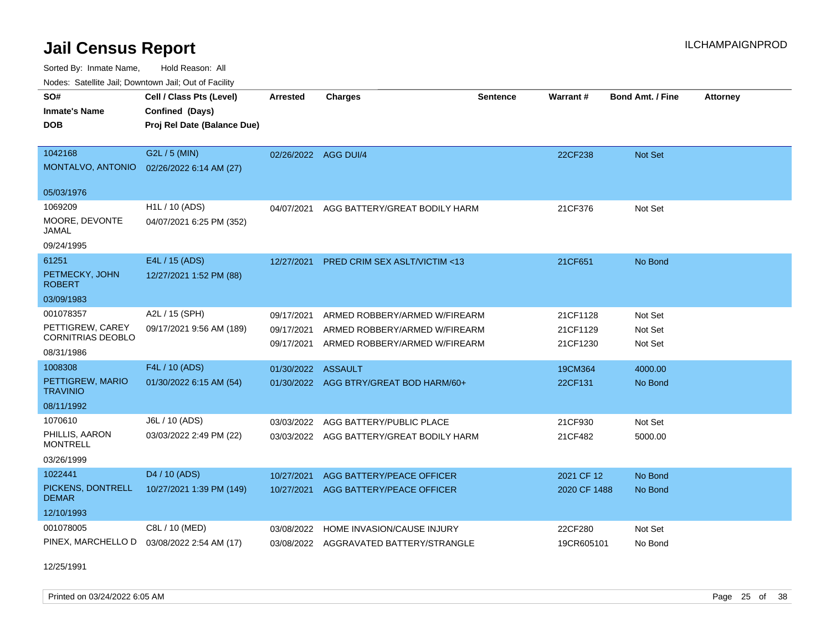Sorted By: Inmate Name, Hold Reason: All Nodes: Satellite Jail; Downtown Jail; Out of Facility

| Nodes: Satellite Jali, Downtown Jali, Out of Facility |                             |                 |                                         |          |                 |                         |                 |
|-------------------------------------------------------|-----------------------------|-----------------|-----------------------------------------|----------|-----------------|-------------------------|-----------------|
| SO#                                                   | Cell / Class Pts (Level)    | <b>Arrested</b> | <b>Charges</b>                          | Sentence | <b>Warrant#</b> | <b>Bond Amt. / Fine</b> | <b>Attorney</b> |
| <b>Inmate's Name</b>                                  | Confined (Days)             |                 |                                         |          |                 |                         |                 |
| <b>DOB</b>                                            | Proj Rel Date (Balance Due) |                 |                                         |          |                 |                         |                 |
|                                                       |                             |                 |                                         |          |                 |                         |                 |
| 1042168                                               | G2L / 5 (MIN)               |                 | 02/26/2022 AGG DUI/4                    |          | 22CF238         | <b>Not Set</b>          |                 |
| MONTALVO, ANTONIO                                     | 02/26/2022 6:14 AM (27)     |                 |                                         |          |                 |                         |                 |
|                                                       |                             |                 |                                         |          |                 |                         |                 |
| 05/03/1976                                            |                             |                 |                                         |          |                 |                         |                 |
| 1069209                                               | H1L / 10 (ADS)              | 04/07/2021      | AGG BATTERY/GREAT BODILY HARM           |          | 21CF376         | Not Set                 |                 |
| MOORE, DEVONTE                                        | 04/07/2021 6:25 PM (352)    |                 |                                         |          |                 |                         |                 |
| JAMAL                                                 |                             |                 |                                         |          |                 |                         |                 |
| 09/24/1995                                            |                             |                 |                                         |          |                 |                         |                 |
| 61251                                                 | E4L / 15 (ADS)              | 12/27/2021      | <b>PRED CRIM SEX ASLT/VICTIM &lt;13</b> |          | 21CF651         | No Bond                 |                 |
| PETMECKY, JOHN<br><b>ROBERT</b>                       | 12/27/2021 1:52 PM (88)     |                 |                                         |          |                 |                         |                 |
|                                                       |                             |                 |                                         |          |                 |                         |                 |
| 03/09/1983                                            |                             |                 |                                         |          |                 |                         |                 |
| 001078357                                             | A2L / 15 (SPH)              | 09/17/2021      | ARMED ROBBERY/ARMED W/FIREARM           |          | 21CF1128        | Not Set                 |                 |
| PETTIGREW, CAREY<br><b>CORNITRIAS DEOBLO</b>          | 09/17/2021 9:56 AM (189)    | 09/17/2021      | ARMED ROBBERY/ARMED W/FIREARM           |          | 21CF1129        | Not Set                 |                 |
|                                                       |                             | 09/17/2021      | ARMED ROBBERY/ARMED W/FIREARM           |          | 21CF1230        | Not Set                 |                 |
| 08/31/1986                                            |                             |                 |                                         |          |                 |                         |                 |
| 1008308                                               | F4L / 10 (ADS)              | 01/30/2022      | <b>ASSAULT</b>                          |          | 19CM364         | 4000.00                 |                 |
| PETTIGREW, MARIO<br><b>TRAVINIO</b>                   | 01/30/2022 6:15 AM (54)     |                 | 01/30/2022 AGG BTRY/GREAT BOD HARM/60+  |          | 22CF131         | No Bond                 |                 |
| 08/11/1992                                            |                             |                 |                                         |          |                 |                         |                 |
|                                                       |                             |                 |                                         |          |                 |                         |                 |
| 1070610                                               | J6L / 10 (ADS)              | 03/03/2022      | AGG BATTERY/PUBLIC PLACE                |          | 21CF930         | Not Set                 |                 |
| PHILLIS, AARON<br><b>MONTRELL</b>                     | 03/03/2022 2:49 PM (22)     | 03/03/2022      | AGG BATTERY/GREAT BODILY HARM           |          | 21CF482         | 5000.00                 |                 |
| 03/26/1999                                            |                             |                 |                                         |          |                 |                         |                 |
| 1022441                                               |                             |                 |                                         |          |                 |                         |                 |
|                                                       | D4 / 10 (ADS)               | 10/27/2021      | AGG BATTERY/PEACE OFFICER               |          | 2021 CF 12      | No Bond                 |                 |
| PICKENS, DONTRELL<br><b>DEMAR</b>                     | 10/27/2021 1:39 PM (149)    | 10/27/2021      | AGG BATTERY/PEACE OFFICER               |          | 2020 CF 1488    | No Bond                 |                 |
| 12/10/1993                                            |                             |                 |                                         |          |                 |                         |                 |
| 001078005                                             |                             |                 |                                         |          |                 |                         |                 |
|                                                       | C8L / 10 (MED)              | 03/08/2022      | HOME INVASION/CAUSE INJURY              |          | 22CF280         | Not Set                 |                 |
| PINEX, MARCHELLO D                                    | 03/08/2022 2:54 AM (17)     |                 | 03/08/2022 AGGRAVATED BATTERY/STRANGLE  |          | 19CR605101      | No Bond                 |                 |

12/25/1991

Printed on 03/24/2022 6:05 AM Page 25 of 38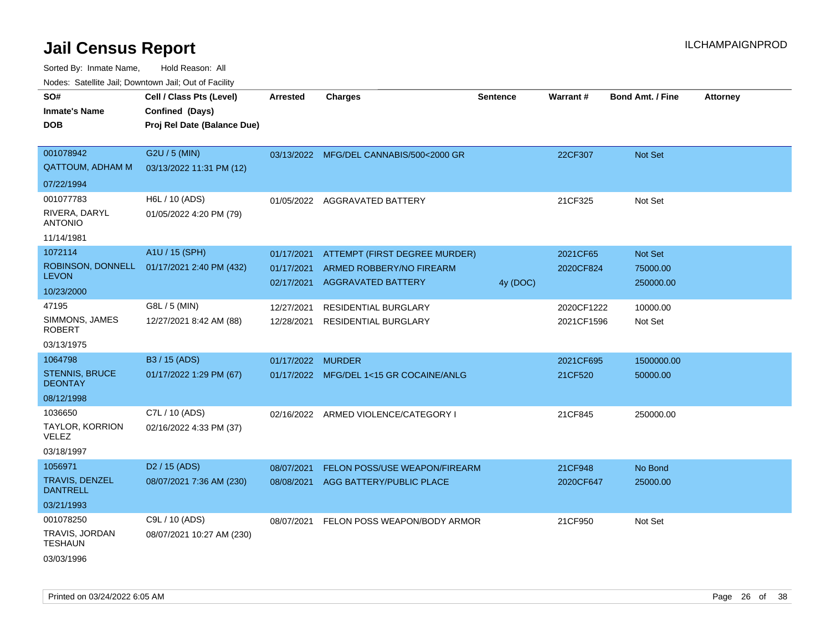| SO#                                     | Cell / Class Pts (Level)    | <b>Arrested</b> | <b>Charges</b>                          | <b>Sentence</b> | Warrant#   | <b>Bond Amt. / Fine</b> | <b>Attorney</b> |
|-----------------------------------------|-----------------------------|-----------------|-----------------------------------------|-----------------|------------|-------------------------|-----------------|
| <b>Inmate's Name</b>                    | Confined (Days)             |                 |                                         |                 |            |                         |                 |
| <b>DOB</b>                              | Proj Rel Date (Balance Due) |                 |                                         |                 |            |                         |                 |
| 001078942                               | G2U / 5 (MIN)               |                 | 03/13/2022 MFG/DEL CANNABIS/500<2000 GR |                 | 22CF307    | Not Set                 |                 |
| <b>QATTOUM, ADHAM M</b>                 | 03/13/2022 11:31 PM (12)    |                 |                                         |                 |            |                         |                 |
| 07/22/1994                              |                             |                 |                                         |                 |            |                         |                 |
| 001077783                               | H6L / 10 (ADS)              |                 | 01/05/2022 AGGRAVATED BATTERY           |                 | 21CF325    | Not Set                 |                 |
| RIVERA, DARYL<br><b>ANTONIO</b>         | 01/05/2022 4:20 PM (79)     |                 |                                         |                 |            |                         |                 |
| 11/14/1981                              |                             |                 |                                         |                 |            |                         |                 |
| 1072114                                 | A1U / 15 (SPH)              | 01/17/2021      | ATTEMPT (FIRST DEGREE MURDER)           |                 | 2021CF65   | Not Set                 |                 |
| ROBINSON, DONNELL                       | 01/17/2021 2:40 PM (432)    | 01/17/2021      | ARMED ROBBERY/NO FIREARM                |                 | 2020CF824  | 75000.00                |                 |
| <b>LEVON</b>                            |                             | 02/17/2021      | <b>AGGRAVATED BATTERY</b>               | 4y (DOC)        |            | 250000.00               |                 |
| 10/23/2000                              |                             |                 |                                         |                 |            |                         |                 |
| 47195                                   | G8L / 5 (MIN)               | 12/27/2021      | <b>RESIDENTIAL BURGLARY</b>             |                 | 2020CF1222 | 10000.00                |                 |
| SIMMONS, JAMES<br><b>ROBERT</b>         | 12/27/2021 8:42 AM (88)     | 12/28/2021      | <b>RESIDENTIAL BURGLARY</b>             |                 | 2021CF1596 | Not Set                 |                 |
| 03/13/1975                              |                             |                 |                                         |                 |            |                         |                 |
| 1064798                                 | B3 / 15 (ADS)               | 01/17/2022      | <b>MURDER</b>                           |                 | 2021CF695  | 1500000.00              |                 |
| <b>STENNIS, BRUCE</b><br><b>DEONTAY</b> | 01/17/2022 1:29 PM (67)     |                 | 01/17/2022 MFG/DEL 1<15 GR COCAINE/ANLG |                 | 21CF520    | 50000.00                |                 |
| 08/12/1998                              |                             |                 |                                         |                 |            |                         |                 |
| 1036650                                 | C7L / 10 (ADS)              |                 | 02/16/2022 ARMED VIOLENCE/CATEGORY I    |                 | 21CF845    | 250000.00               |                 |
| TAYLOR, KORRION<br>VELEZ                | 02/16/2022 4:33 PM (37)     |                 |                                         |                 |            |                         |                 |
| 03/18/1997                              |                             |                 |                                         |                 |            |                         |                 |
| 1056971                                 | D <sub>2</sub> / 15 (ADS)   | 08/07/2021      | <b>FELON POSS/USE WEAPON/FIREARM</b>    |                 | 21CF948    | No Bond                 |                 |
| TRAVIS, DENZEL<br><b>DANTRELL</b>       | 08/07/2021 7:36 AM (230)    | 08/08/2021      | AGG BATTERY/PUBLIC PLACE                |                 | 2020CF647  | 25000.00                |                 |
| 03/21/1993                              |                             |                 |                                         |                 |            |                         |                 |
| 001078250                               | C9L / 10 (ADS)              | 08/07/2021      | FELON POSS WEAPON/BODY ARMOR            |                 | 21CF950    | Not Set                 |                 |
| TRAVIS, JORDAN<br><b>TESHAUN</b>        | 08/07/2021 10:27 AM (230)   |                 |                                         |                 |            |                         |                 |
| 03/03/1996                              |                             |                 |                                         |                 |            |                         |                 |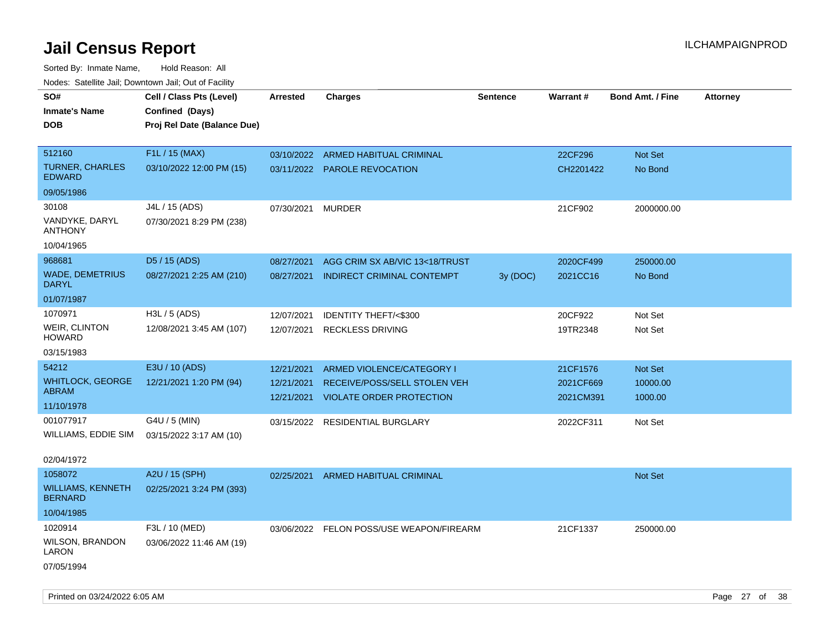| rouco. Calcinic Jan, Downtown Jan, Out of Facility |                             |                 |                                          |                 |           |                         |                 |
|----------------------------------------------------|-----------------------------|-----------------|------------------------------------------|-----------------|-----------|-------------------------|-----------------|
| SO#                                                | Cell / Class Pts (Level)    | <b>Arrested</b> | Charges                                  | <b>Sentence</b> | Warrant#  | <b>Bond Amt. / Fine</b> | <b>Attorney</b> |
| Inmate's Name                                      | Confined (Days)             |                 |                                          |                 |           |                         |                 |
| <b>DOB</b>                                         | Proj Rel Date (Balance Due) |                 |                                          |                 |           |                         |                 |
|                                                    |                             |                 |                                          |                 |           |                         |                 |
| 512160                                             | F1L / 15 (MAX)              | 03/10/2022      | ARMED HABITUAL CRIMINAL                  |                 | 22CF296   | Not Set                 |                 |
| TURNER, CHARLES<br><b>EDWARD</b>                   | 03/10/2022 12:00 PM (15)    |                 | 03/11/2022 PAROLE REVOCATION             |                 | CH2201422 | No Bond                 |                 |
| 09/05/1986                                         |                             |                 |                                          |                 |           |                         |                 |
| 30108                                              | J4L / 15 (ADS)              | 07/30/2021      | <b>MURDER</b>                            |                 | 21CF902   | 2000000.00              |                 |
| VANDYKE, DARYL<br>ANTHONY                          | 07/30/2021 8:29 PM (238)    |                 |                                          |                 |           |                         |                 |
| 10/04/1965                                         |                             |                 |                                          |                 |           |                         |                 |
| 968681                                             | D5 / 15 (ADS)               | 08/27/2021      | AGG CRIM SX AB/VIC 13<18/TRUST           |                 | 2020CF499 | 250000.00               |                 |
| <b>WADE, DEMETRIUS</b><br>DARYL                    | 08/27/2021 2:25 AM (210)    | 08/27/2021      | INDIRECT CRIMINAL CONTEMPT               | 3y(DOC)         | 2021CC16  | No Bond                 |                 |
| 01/07/1987                                         |                             |                 |                                          |                 |           |                         |                 |
| 1070971                                            | H3L / 5 (ADS)               | 12/07/2021      | IDENTITY THEFT/<\$300                    |                 | 20CF922   | Not Set                 |                 |
| WEIR, CLINTON<br>HOWARD                            | 12/08/2021 3:45 AM (107)    | 12/07/2021      | <b>RECKLESS DRIVING</b>                  |                 | 19TR2348  | Not Set                 |                 |
| 03/15/1983                                         |                             |                 |                                          |                 |           |                         |                 |
| 54212                                              | E3U / 10 (ADS)              | 12/21/2021      | ARMED VIOLENCE/CATEGORY I                |                 | 21CF1576  | <b>Not Set</b>          |                 |
| <b>WHITLOCK, GEORGE</b>                            | 12/21/2021 1:20 PM (94)     | 12/21/2021      | RECEIVE/POSS/SELL STOLEN VEH             |                 | 2021CF669 | 10000.00                |                 |
| ABRAM                                              |                             | 12/21/2021      | <b>VIOLATE ORDER PROTECTION</b>          |                 | 2021CM391 | 1000.00                 |                 |
| 11/10/1978                                         |                             |                 |                                          |                 |           |                         |                 |
| 001077917                                          | G4U / 5 (MIN)               | 03/15/2022      | <b>RESIDENTIAL BURGLARY</b>              |                 | 2022CF311 | Not Set                 |                 |
| WILLIAMS, EDDIE SIM                                | 03/15/2022 3:17 AM (10)     |                 |                                          |                 |           |                         |                 |
| 02/04/1972                                         |                             |                 |                                          |                 |           |                         |                 |
| 1058072                                            | A2U / 15 (SPH)              | 02/25/2021      | ARMED HABITUAL CRIMINAL                  |                 |           | Not Set                 |                 |
| WILLIAMS, KENNETH<br><b>BERNARD</b>                | 02/25/2021 3:24 PM (393)    |                 |                                          |                 |           |                         |                 |
| 10/04/1985                                         |                             |                 |                                          |                 |           |                         |                 |
| 1020914                                            | F3L / 10 (MED)              |                 | 03/06/2022 FELON POSS/USE WEAPON/FIREARM |                 | 21CF1337  | 250000.00               |                 |
| WILSON, BRANDON<br>LARON                           | 03/06/2022 11:46 AM (19)    |                 |                                          |                 |           |                         |                 |
| 07/05/1994                                         |                             |                 |                                          |                 |           |                         |                 |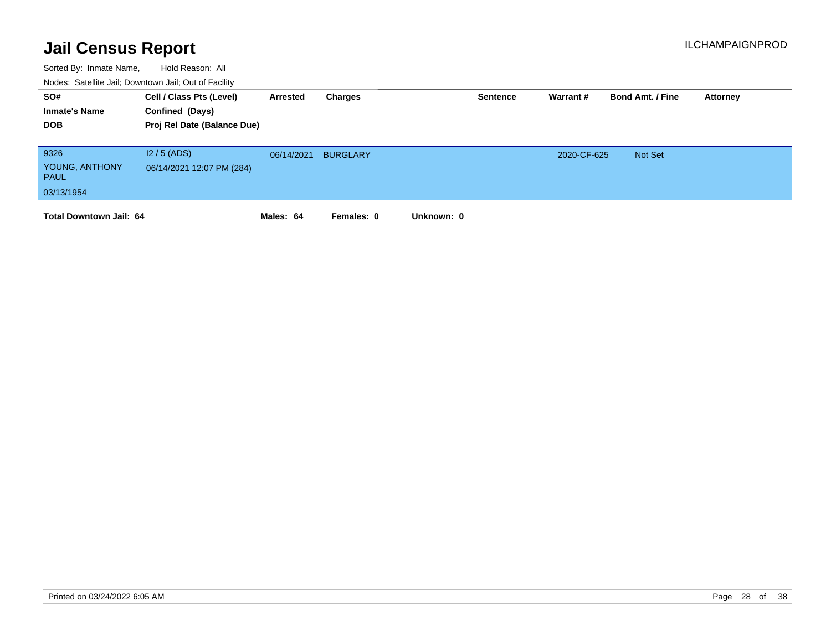| SO#<br><b>Inmate's Name</b><br><b>DOB</b>           | Cell / Class Pts (Level)<br>Confined (Days)<br>Proj Rel Date (Balance Due) | Arrested   | Charges         | <b>Sentence</b> | Warrant #   | <b>Bond Amt. / Fine</b> | Attorney |
|-----------------------------------------------------|----------------------------------------------------------------------------|------------|-----------------|-----------------|-------------|-------------------------|----------|
| 9326<br>YOUNG, ANTHONY<br><b>PAUL</b><br>03/13/1954 | $12/5$ (ADS)<br>06/14/2021 12:07 PM (284)                                  | 06/14/2021 | <b>BURGLARY</b> |                 | 2020-CF-625 | Not Set                 |          |
| <b>Total Downtown Jail: 64</b>                      |                                                                            | Males: 64  | Females: 0      | Unknown: 0      |             |                         |          |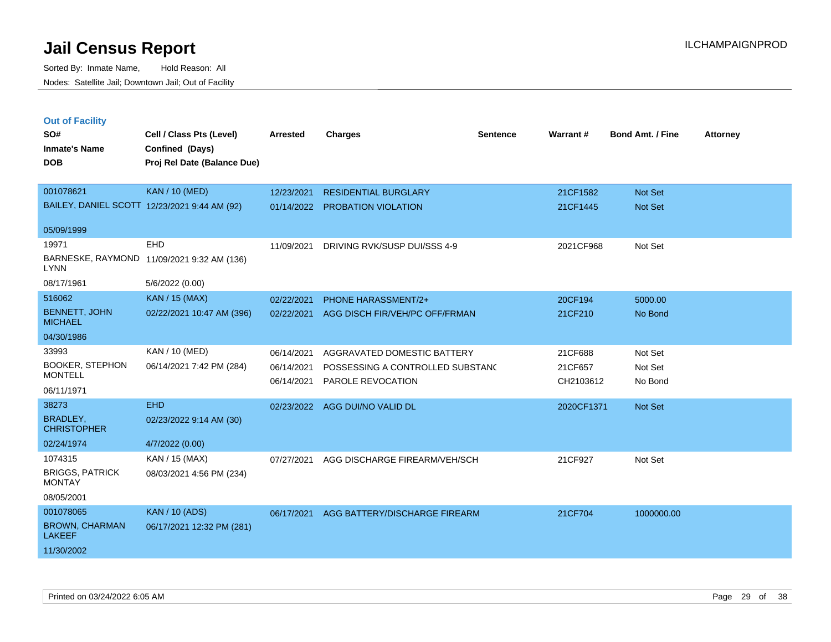Sorted By: Inmate Name, Hold Reason: All Nodes: Satellite Jail; Downtown Jail; Out of Facility

| <b>Out of Facility</b>                       |                                            |                 |                                  |                 |            |                  |                 |
|----------------------------------------------|--------------------------------------------|-----------------|----------------------------------|-----------------|------------|------------------|-----------------|
| SO#                                          | Cell / Class Pts (Level)                   | <b>Arrested</b> | <b>Charges</b>                   | <b>Sentence</b> | Warrant#   | Bond Amt. / Fine | <b>Attorney</b> |
| <b>Inmate's Name</b>                         | Confined (Days)                            |                 |                                  |                 |            |                  |                 |
| <b>DOB</b>                                   | Proj Rel Date (Balance Due)                |                 |                                  |                 |            |                  |                 |
|                                              |                                            |                 |                                  |                 |            |                  |                 |
| 001078621                                    | <b>KAN / 10 (MED)</b>                      | 12/23/2021      | <b>RESIDENTIAL BURGLARY</b>      |                 | 21CF1582   | <b>Not Set</b>   |                 |
| BAILEY, DANIEL SCOTT 12/23/2021 9:44 AM (92) |                                            | 01/14/2022      | <b>PROBATION VIOLATION</b>       |                 | 21CF1445   | <b>Not Set</b>   |                 |
|                                              |                                            |                 |                                  |                 |            |                  |                 |
| 05/09/1999                                   |                                            |                 |                                  |                 |            |                  |                 |
| 19971                                        | EHD                                        | 11/09/2021      | DRIVING RVK/SUSP DUI/SSS 4-9     |                 | 2021CF968  | Not Set          |                 |
| <b>LYNN</b>                                  | BARNESKE, RAYMOND 11/09/2021 9:32 AM (136) |                 |                                  |                 |            |                  |                 |
| 08/17/1961                                   | 5/6/2022 (0.00)                            |                 |                                  |                 |            |                  |                 |
| 516062                                       | <b>KAN / 15 (MAX)</b>                      | 02/22/2021      | <b>PHONE HARASSMENT/2+</b>       |                 | 20CF194    | 5000.00          |                 |
| <b>BENNETT, JOHN</b><br><b>MICHAEL</b>       | 02/22/2021 10:47 AM (396)                  | 02/22/2021      | AGG DISCH FIR/VEH/PC OFF/FRMAN   |                 | 21CF210    | No Bond          |                 |
| 04/30/1986                                   |                                            |                 |                                  |                 |            |                  |                 |
| 33993                                        | KAN / 10 (MED)                             | 06/14/2021      | AGGRAVATED DOMESTIC BATTERY      |                 | 21CF688    | Not Set          |                 |
| <b>BOOKER, STEPHON</b>                       | 06/14/2021 7:42 PM (284)                   | 06/14/2021      | POSSESSING A CONTROLLED SUBSTANC |                 | 21CF657    | Not Set          |                 |
| <b>MONTELL</b>                               |                                            | 06/14/2021      | PAROLE REVOCATION                |                 | CH2103612  | No Bond          |                 |
| 06/11/1971                                   |                                            |                 |                                  |                 |            |                  |                 |
| 38273                                        | <b>EHD</b>                                 | 02/23/2022      | AGG DUI/NO VALID DL              |                 | 2020CF1371 | Not Set          |                 |
| <b>BRADLEY,</b><br><b>CHRISTOPHER</b>        | 02/23/2022 9:14 AM (30)                    |                 |                                  |                 |            |                  |                 |
| 02/24/1974                                   | 4/7/2022 (0.00)                            |                 |                                  |                 |            |                  |                 |
| 1074315                                      | KAN / 15 (MAX)                             | 07/27/2021      | AGG DISCHARGE FIREARM/VEH/SCH    |                 | 21CF927    | Not Set          |                 |
| <b>BRIGGS, PATRICK</b><br><b>MONTAY</b>      | 08/03/2021 4:56 PM (234)                   |                 |                                  |                 |            |                  |                 |
| 08/05/2001                                   |                                            |                 |                                  |                 |            |                  |                 |
| 001078065                                    | <b>KAN / 10 (ADS)</b>                      | 06/17/2021      | AGG BATTERY/DISCHARGE FIREARM    |                 | 21CF704    | 1000000.00       |                 |
| <b>BROWN, CHARMAN</b><br><b>LAKEEF</b>       | 06/17/2021 12:32 PM (281)                  |                 |                                  |                 |            |                  |                 |

11/30/2002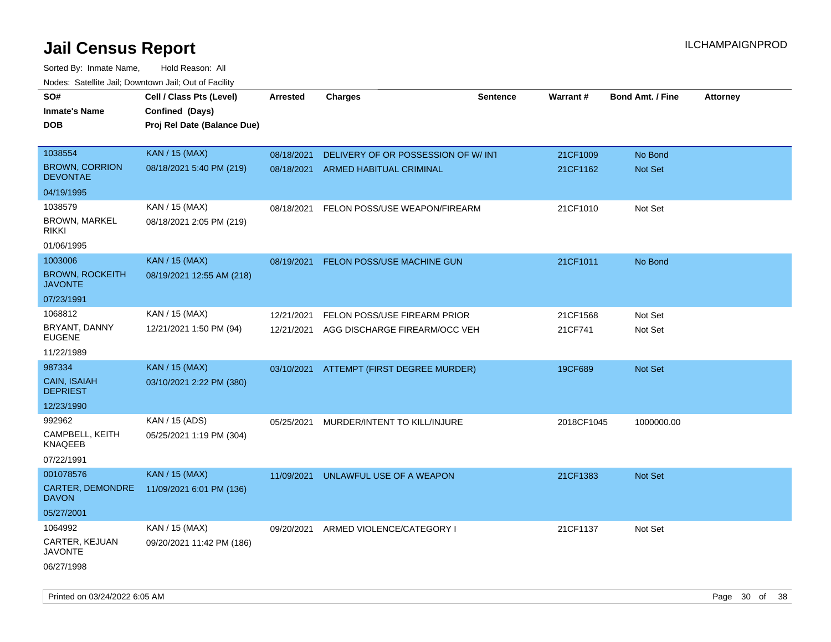| soupois catomic can, Dominomii can, Cat or Faomt<br>SO#<br><b>Inmate's Name</b> | Cell / Class Pts (Level)<br>Confined (Days) | <b>Arrested</b> | <b>Charges</b>                      | <b>Sentence</b> | Warrant#   | <b>Bond Amt. / Fine</b> | Attorney |
|---------------------------------------------------------------------------------|---------------------------------------------|-----------------|-------------------------------------|-----------------|------------|-------------------------|----------|
| <b>DOB</b>                                                                      | Proj Rel Date (Balance Due)                 |                 |                                     |                 |            |                         |          |
|                                                                                 |                                             |                 |                                     |                 |            |                         |          |
| 1038554                                                                         | KAN / 15 (MAX)                              | 08/18/2021      | DELIVERY OF OR POSSESSION OF W/ INT |                 | 21CF1009   | No Bond                 |          |
| <b>BROWN, CORRION</b><br><b>DEVONTAE</b>                                        | 08/18/2021 5:40 PM (219)                    |                 | 08/18/2021 ARMED HABITUAL CRIMINAL  |                 | 21CF1162   | Not Set                 |          |
| 04/19/1995                                                                      |                                             |                 |                                     |                 |            |                         |          |
| 1038579                                                                         | KAN / 15 (MAX)                              | 08/18/2021      | FELON POSS/USE WEAPON/FIREARM       |                 | 21CF1010   | Not Set                 |          |
| <b>BROWN, MARKEL</b><br><b>RIKKI</b>                                            | 08/18/2021 2:05 PM (219)                    |                 |                                     |                 |            |                         |          |
| 01/06/1995                                                                      |                                             |                 |                                     |                 |            |                         |          |
| 1003006                                                                         | <b>KAN / 15 (MAX)</b>                       | 08/19/2021      | <b>FELON POSS/USE MACHINE GUN</b>   |                 | 21CF1011   | No Bond                 |          |
| <b>BROWN, ROCKEITH</b><br><b>JAVONTE</b>                                        | 08/19/2021 12:55 AM (218)                   |                 |                                     |                 |            |                         |          |
| 07/23/1991                                                                      |                                             |                 |                                     |                 |            |                         |          |
| 1068812                                                                         | KAN / 15 (MAX)                              | 12/21/2021      | FELON POSS/USE FIREARM PRIOR        |                 | 21CF1568   | Not Set                 |          |
| BRYANT, DANNY<br><b>EUGENE</b>                                                  | 12/21/2021 1:50 PM (94)                     | 12/21/2021      | AGG DISCHARGE FIREARM/OCC VEH       |                 | 21CF741    | Not Set                 |          |
| 11/22/1989                                                                      |                                             |                 |                                     |                 |            |                         |          |
| 987334                                                                          | <b>KAN / 15 (MAX)</b>                       | 03/10/2021      | ATTEMPT (FIRST DEGREE MURDER)       |                 | 19CF689    | Not Set                 |          |
| <b>CAIN, ISAIAH</b><br><b>DEPRIEST</b>                                          | 03/10/2021 2:22 PM (380)                    |                 |                                     |                 |            |                         |          |
| 12/23/1990                                                                      |                                             |                 |                                     |                 |            |                         |          |
| 992962                                                                          | KAN / 15 (ADS)                              | 05/25/2021      | MURDER/INTENT TO KILL/INJURE        |                 | 2018CF1045 | 1000000.00              |          |
| CAMPBELL, KEITH<br><b>KNAQEEB</b>                                               | 05/25/2021 1:19 PM (304)                    |                 |                                     |                 |            |                         |          |
| 07/22/1991                                                                      |                                             |                 |                                     |                 |            |                         |          |
| 001078576                                                                       | KAN / 15 (MAX)                              | 11/09/2021      | UNLAWFUL USE OF A WEAPON            |                 | 21CF1383   | Not Set                 |          |
| CARTER, DEMONDRE<br><b>DAVON</b>                                                | 11/09/2021 6:01 PM (136)                    |                 |                                     |                 |            |                         |          |
| 05/27/2001                                                                      |                                             |                 |                                     |                 |            |                         |          |
| 1064992                                                                         | KAN / 15 (MAX)                              | 09/20/2021      | ARMED VIOLENCE/CATEGORY I           |                 | 21CF1137   | Not Set                 |          |
| CARTER, KEJUAN<br><b>JAVONTE</b>                                                | 09/20/2021 11:42 PM (186)                   |                 |                                     |                 |            |                         |          |
| 06/27/1998                                                                      |                                             |                 |                                     |                 |            |                         |          |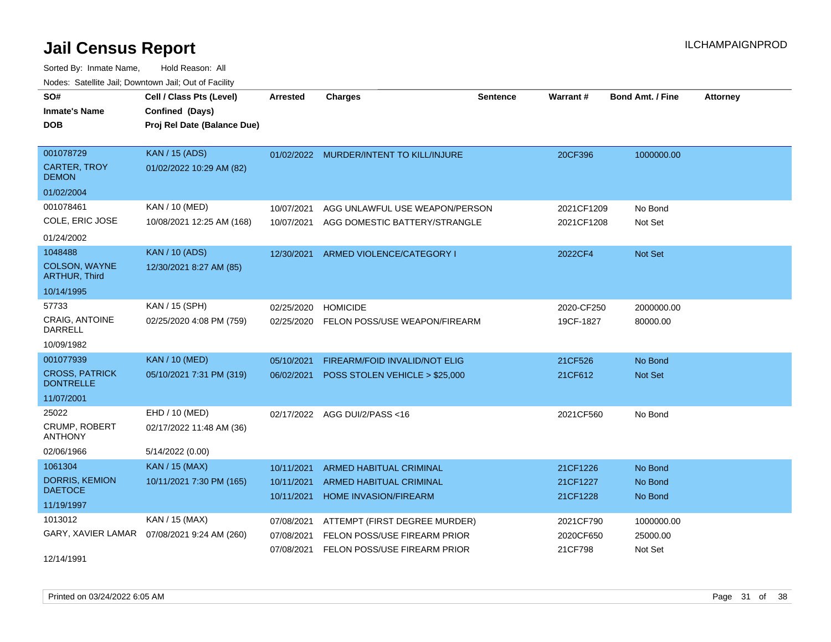| SO#<br><b>Inmate's Name</b><br><b>DOB</b>                            | Cell / Class Pts (Level)<br>Confined (Days)<br>Proj Rel Date (Balance Due) | Arrested                               | <b>Charges</b>                                                                                | <b>Sentence</b> | <b>Warrant#</b>                   | <b>Bond Amt. / Fine</b>           | <b>Attorney</b> |
|----------------------------------------------------------------------|----------------------------------------------------------------------------|----------------------------------------|-----------------------------------------------------------------------------------------------|-----------------|-----------------------------------|-----------------------------------|-----------------|
| 001078729<br><b>CARTER, TROY</b><br><b>DEMON</b><br>01/02/2004       | <b>KAN / 15 (ADS)</b><br>01/02/2022 10:29 AM (82)                          | 01/02/2022                             | MURDER/INTENT TO KILL/INJURE                                                                  |                 | 20CF396                           | 1000000.00                        |                 |
| 001078461<br>COLE, ERIC JOSE<br>01/24/2002                           | KAN / 10 (MED)<br>10/08/2021 12:25 AM (168)                                | 10/07/2021<br>10/07/2021               | AGG UNLAWFUL USE WEAPON/PERSON<br>AGG DOMESTIC BATTERY/STRANGLE                               |                 | 2021CF1209<br>2021CF1208          | No Bond<br>Not Set                |                 |
| 1048488<br>COLSON, WAYNE<br><b>ARTHUR, Third</b><br>10/14/1995       | <b>KAN / 10 (ADS)</b><br>12/30/2021 8:27 AM (85)                           | 12/30/2021                             | ARMED VIOLENCE/CATEGORY I                                                                     |                 | 2022CF4                           | <b>Not Set</b>                    |                 |
| 57733<br>CRAIG, ANTOINE<br><b>DARRELL</b><br>10/09/1982              | KAN / 15 (SPH)<br>02/25/2020 4:08 PM (759)                                 | 02/25/2020<br>02/25/2020               | <b>HOMICIDE</b><br>FELON POSS/USE WEAPON/FIREARM                                              |                 | 2020-CF250<br>19CF-1827           | 2000000.00<br>80000.00            |                 |
| 001077939<br><b>CROSS, PATRICK</b><br><b>DONTRELLE</b><br>11/07/2001 | <b>KAN / 10 (MED)</b><br>05/10/2021 7:31 PM (319)                          | 05/10/2021<br>06/02/2021               | FIREARM/FOID INVALID/NOT ELIG<br>POSS STOLEN VEHICLE > \$25,000                               |                 | 21CF526<br>21CF612                | No Bond<br>Not Set                |                 |
| 25022<br>CRUMP, ROBERT<br><b>ANTHONY</b><br>02/06/1966               | EHD / 10 (MED)<br>02/17/2022 11:48 AM (36)<br>5/14/2022 (0.00)             | 02/17/2022                             | AGG DUI/2/PASS <16                                                                            |                 | 2021CF560                         | No Bond                           |                 |
| 1061304<br><b>DORRIS, KEMION</b><br><b>DAETOCE</b><br>11/19/1997     | <b>KAN / 15 (MAX)</b><br>10/11/2021 7:30 PM (165)                          | 10/11/2021<br>10/11/2021<br>10/11/2021 | ARMED HABITUAL CRIMINAL<br>ARMED HABITUAL CRIMINAL<br><b>HOME INVASION/FIREARM</b>            |                 | 21CF1226<br>21CF1227<br>21CF1228  | No Bond<br>No Bond<br>No Bond     |                 |
| 1013012<br>GARY, XAVIER LAMAR<br>12/14/1991                          | KAN / 15 (MAX)<br>07/08/2021 9:24 AM (260)                                 | 07/08/2021<br>07/08/2021<br>07/08/2021 | ATTEMPT (FIRST DEGREE MURDER)<br>FELON POSS/USE FIREARM PRIOR<br>FELON POSS/USE FIREARM PRIOR |                 | 2021CF790<br>2020CF650<br>21CF798 | 1000000.00<br>25000.00<br>Not Set |                 |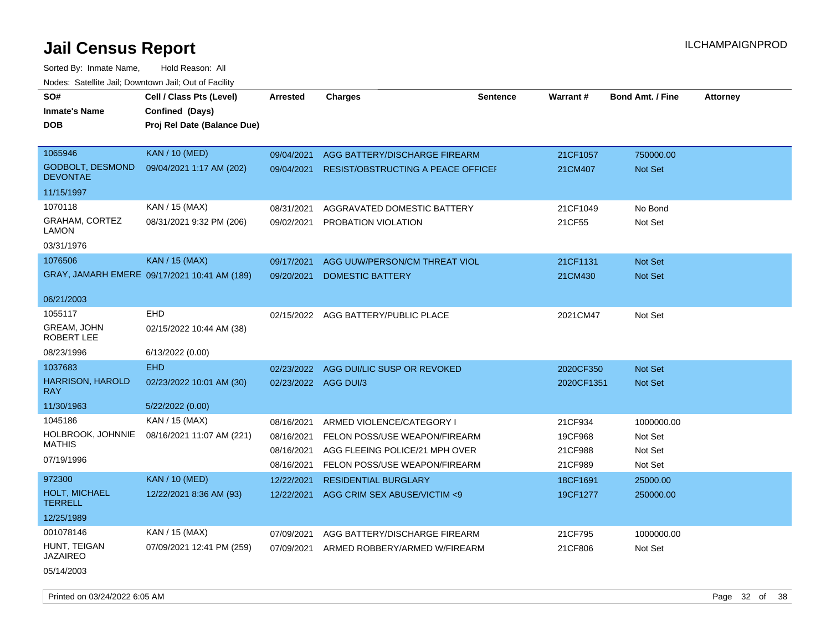| SO#                                        | Cell / Class Pts (Level)                     | <b>Arrested</b>      | <b>Charges</b>                            | <b>Sentence</b> | Warrant#   | <b>Bond Amt. / Fine</b> | <b>Attorney</b> |
|--------------------------------------------|----------------------------------------------|----------------------|-------------------------------------------|-----------------|------------|-------------------------|-----------------|
| <b>Inmate's Name</b>                       | Confined (Days)                              |                      |                                           |                 |            |                         |                 |
| DOB                                        | Proj Rel Date (Balance Due)                  |                      |                                           |                 |            |                         |                 |
|                                            |                                              |                      |                                           |                 |            |                         |                 |
| 1065946                                    | <b>KAN / 10 (MED)</b>                        | 09/04/2021           | AGG BATTERY/DISCHARGE FIREARM             |                 | 21CF1057   | 750000.00               |                 |
| <b>GODBOLT, DESMOND</b><br><b>DEVONTAE</b> | 09/04/2021 1:17 AM (202)                     | 09/04/2021           | <b>RESIST/OBSTRUCTING A PEACE OFFICEF</b> |                 | 21CM407    | Not Set                 |                 |
| 11/15/1997                                 |                                              |                      |                                           |                 |            |                         |                 |
| 1070118                                    | KAN / 15 (MAX)                               | 08/31/2021           | AGGRAVATED DOMESTIC BATTERY               |                 | 21CF1049   | No Bond                 |                 |
| GRAHAM, CORTEZ<br>LAMON                    | 08/31/2021 9:32 PM (206)                     | 09/02/2021           | PROBATION VIOLATION                       |                 | 21CF55     | Not Set                 |                 |
| 03/31/1976                                 |                                              |                      |                                           |                 |            |                         |                 |
| 1076506                                    | <b>KAN / 15 (MAX)</b>                        | 09/17/2021           | AGG UUW/PERSON/CM THREAT VIOL             |                 | 21CF1131   | Not Set                 |                 |
|                                            | GRAY, JAMARH EMERE 09/17/2021 10:41 AM (189) | 09/20/2021           | DOMESTIC BATTERY                          |                 | 21CM430    | <b>Not Set</b>          |                 |
| 06/21/2003                                 |                                              |                      |                                           |                 |            |                         |                 |
| 1055117                                    | <b>EHD</b>                                   | 02/15/2022           | AGG BATTERY/PUBLIC PLACE                  |                 | 2021CM47   | Not Set                 |                 |
| <b>GREAM, JOHN</b><br>ROBERT LEE           | 02/15/2022 10:44 AM (38)                     |                      |                                           |                 |            |                         |                 |
| 08/23/1996                                 | 6/13/2022 (0.00)                             |                      |                                           |                 |            |                         |                 |
| 1037683                                    | <b>EHD</b>                                   | 02/23/2022           | AGG DUI/LIC SUSP OR REVOKED               |                 | 2020CF350  | Not Set                 |                 |
| <b>HARRISON, HAROLD</b><br>RAY             | 02/23/2022 10:01 AM (30)                     | 02/23/2022 AGG DUI/3 |                                           |                 | 2020CF1351 | Not Set                 |                 |
| 11/30/1963                                 | 5/22/2022 (0.00)                             |                      |                                           |                 |            |                         |                 |
| 1045186                                    | KAN / 15 (MAX)                               | 08/16/2021           | ARMED VIOLENCE/CATEGORY I                 |                 | 21CF934    | 1000000.00              |                 |
| HOLBROOK, JOHNNIE                          | 08/16/2021 11:07 AM (221)                    | 08/16/2021           | FELON POSS/USE WEAPON/FIREARM             |                 | 19CF968    | Not Set                 |                 |
| MATHIS                                     |                                              | 08/16/2021           | AGG FLEEING POLICE/21 MPH OVER            |                 | 21CF988    | Not Set                 |                 |
| 07/19/1996                                 |                                              | 08/16/2021           | FELON POSS/USE WEAPON/FIREARM             |                 | 21CF989    | Not Set                 |                 |
| 972300                                     | <b>KAN / 10 (MED)</b>                        | 12/22/2021           | <b>RESIDENTIAL BURGLARY</b>               |                 | 18CF1691   | 25000.00                |                 |
| <b>HOLT, MICHAEL</b><br><b>TERRELL</b>     | 12/22/2021 8:36 AM (93)                      | 12/22/2021           | AGG CRIM SEX ABUSE/VICTIM <9              |                 | 19CF1277   | 250000.00               |                 |
| 12/25/1989                                 |                                              |                      |                                           |                 |            |                         |                 |
| 001078146                                  | KAN / 15 (MAX)                               | 07/09/2021           | AGG BATTERY/DISCHARGE FIREARM             |                 | 21CF795    | 1000000.00              |                 |
| HUNT, TEIGAN<br>JAZAIREO                   | 07/09/2021 12:41 PM (259)                    | 07/09/2021           | ARMED ROBBERY/ARMED W/FIREARM             |                 | 21CF806    | Not Set                 |                 |
| 05/14/2003                                 |                                              |                      |                                           |                 |            |                         |                 |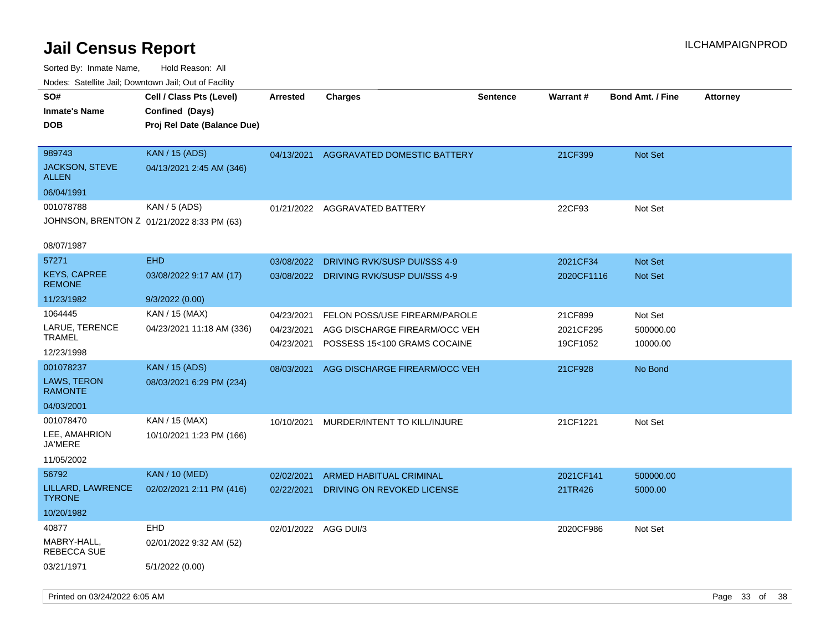| roaco. Calcinio dan, Downtown dan, Cal or Fability |                                                                            |                          |                                                               |                 |                       |                         |                 |
|----------------------------------------------------|----------------------------------------------------------------------------|--------------------------|---------------------------------------------------------------|-----------------|-----------------------|-------------------------|-----------------|
| SO#<br>Inmate's Name<br><b>DOB</b>                 | Cell / Class Pts (Level)<br>Confined (Days)<br>Proj Rel Date (Balance Due) | <b>Arrested</b>          | Charges                                                       | <b>Sentence</b> | Warrant#              | <b>Bond Amt. / Fine</b> | <b>Attorney</b> |
| 989743<br>JACKSON, STEVE<br>ALLEN                  | <b>KAN</b> / 15 (ADS)<br>04/13/2021 2:45 AM (346)                          | 04/13/2021               | <b>AGGRAVATED DOMESTIC BATTERY</b>                            |                 | 21CF399               | <b>Not Set</b>          |                 |
| 06/04/1991<br>001078788                            | KAN / 5 (ADS)                                                              | 01/21/2022               | AGGRAVATED BATTERY                                            |                 | 22CF93                | Not Set                 |                 |
|                                                    | JOHNSON, BRENTON Z 01/21/2022 8:33 PM (63)                                 |                          |                                                               |                 |                       |                         |                 |
| 08/07/1987                                         |                                                                            |                          |                                                               |                 |                       |                         |                 |
| 57271                                              | <b>EHD</b>                                                                 | 03/08/2022               | DRIVING RVK/SUSP DUI/SSS 4-9                                  |                 | 2021CF34              | <b>Not Set</b>          |                 |
| <b>KEYS, CAPREE</b><br><b>REMONE</b>               | 03/08/2022 9:17 AM (17)                                                    | 03/08/2022               | DRIVING RVK/SUSP DUI/SSS 4-9                                  |                 | 2020CF1116            | <b>Not Set</b>          |                 |
| 11/23/1982                                         | 9/3/2022 (0.00)                                                            |                          |                                                               |                 |                       |                         |                 |
| 1064445                                            | KAN / 15 (MAX)                                                             | 04/23/2021               | FELON POSS/USE FIREARM/PAROLE                                 |                 | 21CF899               | Not Set                 |                 |
| LARUE, TERENCE<br>TRAMEL                           | 04/23/2021 11:18 AM (336)                                                  | 04/23/2021<br>04/23/2021 | AGG DISCHARGE FIREARM/OCC VEH<br>POSSESS 15<100 GRAMS COCAINE |                 | 2021CF295<br>19CF1052 | 500000.00<br>10000.00   |                 |
| 12/23/1998                                         |                                                                            |                          |                                                               |                 |                       |                         |                 |
| 001078237                                          | <b>KAN / 15 (ADS)</b>                                                      | 08/03/2021               | AGG DISCHARGE FIREARM/OCC VEH                                 |                 | 21CF928               | No Bond                 |                 |
| <b>LAWS, TERON</b><br><b>RAMONTE</b>               | 08/03/2021 6:29 PM (234)                                                   |                          |                                                               |                 |                       |                         |                 |
| 04/03/2001                                         |                                                                            |                          |                                                               |                 |                       |                         |                 |
| 001078470                                          | KAN / 15 (MAX)                                                             | 10/10/2021               | MURDER/INTENT TO KILL/INJURE                                  |                 | 21CF1221              | Not Set                 |                 |
| LEE, AMAHRION<br>JA'MERE                           | 10/10/2021 1:23 PM (166)                                                   |                          |                                                               |                 |                       |                         |                 |
| 11/05/2002                                         |                                                                            |                          |                                                               |                 |                       |                         |                 |
| 56792                                              | <b>KAN / 10 (MED)</b>                                                      | 02/02/2021               | <b>ARMED HABITUAL CRIMINAL</b>                                |                 | 2021CF141             | 500000.00               |                 |
| LILLARD, LAWRENCE<br><b>TYRONE</b>                 | 02/02/2021 2:11 PM (416)                                                   | 02/22/2021               | DRIVING ON REVOKED LICENSE                                    |                 | 21TR426               | 5000.00                 |                 |
| 10/20/1982                                         |                                                                            |                          |                                                               |                 |                       |                         |                 |
| 40877                                              | <b>EHD</b>                                                                 | 02/01/2022 AGG DUI/3     |                                                               |                 | 2020CF986             | Not Set                 |                 |
| MABRY-HALL,<br>REBECCA SUE                         | 02/01/2022 9:32 AM (52)                                                    |                          |                                                               |                 |                       |                         |                 |
| 03/21/1971                                         | 5/1/2022 (0.00)                                                            |                          |                                                               |                 |                       |                         |                 |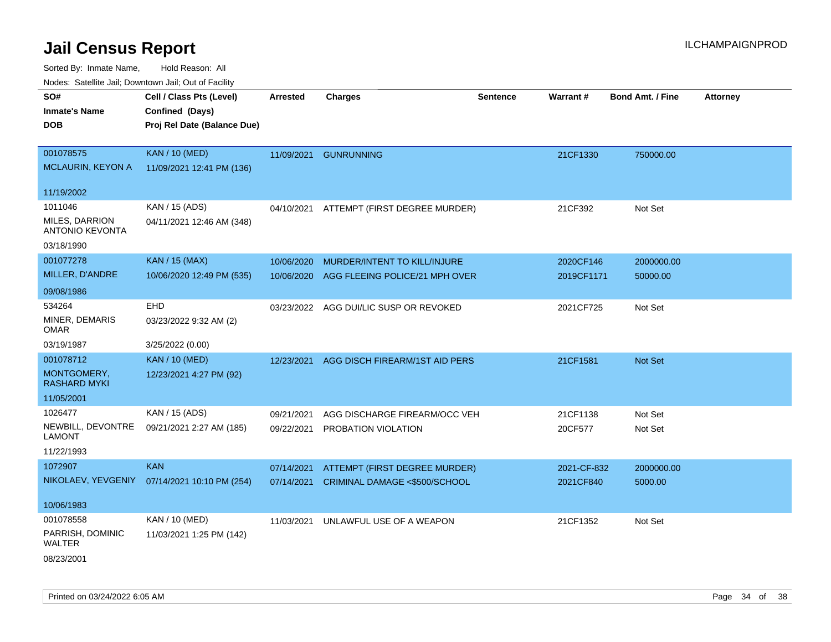| rouce. Calcillic Jali, Downtown Jali, Out of Facility |                                              |                 |                                |                 |             |                         |                 |
|-------------------------------------------------------|----------------------------------------------|-----------------|--------------------------------|-----------------|-------------|-------------------------|-----------------|
| SO#                                                   | Cell / Class Pts (Level)                     | <b>Arrested</b> | <b>Charges</b>                 | <b>Sentence</b> | Warrant#    | <b>Bond Amt. / Fine</b> | <b>Attorney</b> |
| <b>Inmate's Name</b>                                  | Confined (Days)                              |                 |                                |                 |             |                         |                 |
| <b>DOB</b>                                            | Proj Rel Date (Balance Due)                  |                 |                                |                 |             |                         |                 |
|                                                       |                                              |                 |                                |                 |             |                         |                 |
| 001078575                                             | <b>KAN / 10 (MED)</b>                        | 11/09/2021      | <b>GUNRUNNING</b>              |                 | 21CF1330    | 750000.00               |                 |
| <b>MCLAURIN, KEYON A</b>                              | 11/09/2021 12:41 PM (136)                    |                 |                                |                 |             |                         |                 |
|                                                       |                                              |                 |                                |                 |             |                         |                 |
| 11/19/2002                                            |                                              |                 |                                |                 |             |                         |                 |
| 1011046                                               | KAN / 15 (ADS)                               | 04/10/2021      | ATTEMPT (FIRST DEGREE MURDER)  |                 | 21CF392     | Not Set                 |                 |
| <b>MILES, DARRION</b><br><b>ANTONIO KEVONTA</b>       | 04/11/2021 12:46 AM (348)                    |                 |                                |                 |             |                         |                 |
| 03/18/1990                                            |                                              |                 |                                |                 |             |                         |                 |
| 001077278                                             | KAN / 15 (MAX)                               | 10/06/2020      | MURDER/INTENT TO KILL/INJURE   |                 | 2020CF146   | 2000000.00              |                 |
| MILLER, D'ANDRE                                       | 10/06/2020 12:49 PM (535)                    | 10/06/2020      | AGG FLEEING POLICE/21 MPH OVER |                 | 2019CF1171  | 50000.00                |                 |
| 09/08/1986                                            |                                              |                 |                                |                 |             |                         |                 |
| 534264                                                | EHD                                          | 03/23/2022      | AGG DUI/LIC SUSP OR REVOKED    |                 | 2021CF725   | Not Set                 |                 |
| MINER, DEMARIS<br><b>OMAR</b>                         | 03/23/2022 9:32 AM (2)                       |                 |                                |                 |             |                         |                 |
| 03/19/1987                                            | 3/25/2022 (0.00)                             |                 |                                |                 |             |                         |                 |
| 001078712                                             | <b>KAN / 10 (MED)</b>                        | 12/23/2021      | AGG DISCH FIREARM/1ST AID PERS |                 | 21CF1581    | Not Set                 |                 |
| MONTGOMERY,<br><b>RASHARD MYKI</b>                    | 12/23/2021 4:27 PM (92)                      |                 |                                |                 |             |                         |                 |
| 11/05/2001                                            |                                              |                 |                                |                 |             |                         |                 |
| 1026477                                               | KAN / 15 (ADS)                               | 09/21/2021      | AGG DISCHARGE FIREARM/OCC VEH  |                 | 21CF1138    | Not Set                 |                 |
| NEWBILL, DEVONTRE<br><b>LAMONT</b>                    | 09/21/2021 2:27 AM (185)                     |                 | 09/22/2021 PROBATION VIOLATION |                 | 20CF577     | Not Set                 |                 |
| 11/22/1993                                            |                                              |                 |                                |                 |             |                         |                 |
| 1072907                                               | <b>KAN</b>                                   | 07/14/2021      | ATTEMPT (FIRST DEGREE MURDER)  |                 | 2021-CF-832 | 2000000.00              |                 |
|                                                       | NIKOLAEV, YEVGENIY 07/14/2021 10:10 PM (254) | 07/14/2021      | CRIMINAL DAMAGE <\$500/SCHOOL  |                 | 2021CF840   | 5000.00                 |                 |
| 10/06/1983                                            |                                              |                 |                                |                 |             |                         |                 |
| 001078558                                             | KAN / 10 (MED)                               | 11/03/2021      | UNLAWFUL USE OF A WEAPON       |                 | 21CF1352    | Not Set                 |                 |
| PARRISH, DOMINIC<br>WALTER                            | 11/03/2021 1:25 PM (142)                     |                 |                                |                 |             |                         |                 |
| 08/23/2001                                            |                                              |                 |                                |                 |             |                         |                 |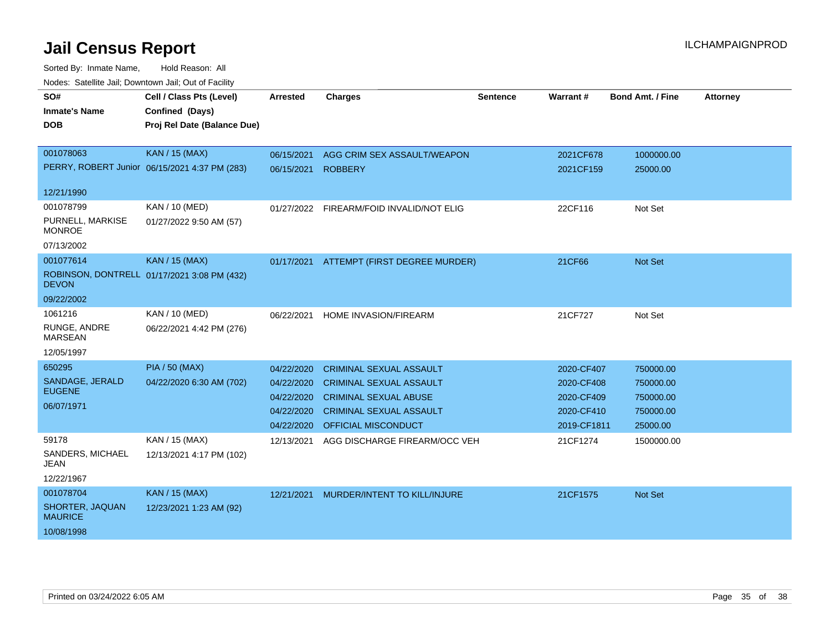| SO#<br><b>Inmate's Name</b><br>DOB | Cell / Class Pts (Level)<br>Confined (Days)<br>Proj Rel Date (Balance Due) | <b>Arrested</b> | <b>Charges</b>                 | <b>Sentence</b> | <b>Warrant#</b> | <b>Bond Amt. / Fine</b> | <b>Attorney</b> |
|------------------------------------|----------------------------------------------------------------------------|-----------------|--------------------------------|-----------------|-----------------|-------------------------|-----------------|
|                                    |                                                                            |                 |                                |                 |                 |                         |                 |
| 001078063                          | KAN / 15 (MAX)<br>PERRY, ROBERT Junior 06/15/2021 4:37 PM (283)            | 06/15/2021      | AGG CRIM SEX ASSAULT/WEAPON    |                 | 2021CF678       | 1000000.00              |                 |
|                                    |                                                                            | 06/15/2021      | <b>ROBBERY</b>                 |                 | 2021CF159       | 25000.00                |                 |
| 12/21/1990                         |                                                                            |                 |                                |                 |                 |                         |                 |
| 001078799                          | KAN / 10 (MED)                                                             | 01/27/2022      | FIREARM/FOID INVALID/NOT ELIG  |                 | 22CF116         | Not Set                 |                 |
| PURNELL, MARKISE<br><b>MONROE</b>  | 01/27/2022 9:50 AM (57)                                                    |                 |                                |                 |                 |                         |                 |
| 07/13/2002                         |                                                                            |                 |                                |                 |                 |                         |                 |
| 001077614                          | <b>KAN / 15 (MAX)</b>                                                      | 01/17/2021      | ATTEMPT (FIRST DEGREE MURDER)  |                 | 21CF66          | <b>Not Set</b>          |                 |
| <b>DEVON</b>                       | ROBINSON, DONTRELL 01/17/2021 3:08 PM (432)                                |                 |                                |                 |                 |                         |                 |
| 09/22/2002                         |                                                                            |                 |                                |                 |                 |                         |                 |
| 1061216                            | KAN / 10 (MED)                                                             | 06/22/2021      | <b>HOME INVASION/FIREARM</b>   |                 | 21CF727         | Not Set                 |                 |
| RUNGE, ANDRE<br><b>MARSEAN</b>     | 06/22/2021 4:42 PM (276)                                                   |                 |                                |                 |                 |                         |                 |
| 12/05/1997                         |                                                                            |                 |                                |                 |                 |                         |                 |
| 650295                             | <b>PIA / 50 (MAX)</b>                                                      | 04/22/2020      | <b>CRIMINAL SEXUAL ASSAULT</b> |                 | 2020-CF407      | 750000.00               |                 |
| SANDAGE, JERALD<br><b>EUGENE</b>   | 04/22/2020 6:30 AM (702)                                                   | 04/22/2020      | <b>CRIMINAL SEXUAL ASSAULT</b> |                 | 2020-CF408      | 750000.00               |                 |
| 06/07/1971                         |                                                                            | 04/22/2020      | <b>CRIMINAL SEXUAL ABUSE</b>   |                 | 2020-CF409      | 750000.00               |                 |
|                                    |                                                                            | 04/22/2020      | <b>CRIMINAL SEXUAL ASSAULT</b> |                 | 2020-CF410      | 750000.00               |                 |
|                                    |                                                                            | 04/22/2020      | OFFICIAL MISCONDUCT            |                 | 2019-CF1811     | 25000.00                |                 |
| 59178                              | KAN / 15 (MAX)                                                             | 12/13/2021      | AGG DISCHARGE FIREARM/OCC VEH  |                 | 21CF1274        | 1500000.00              |                 |
| SANDERS, MICHAEL<br>JEAN           | 12/13/2021 4:17 PM (102)                                                   |                 |                                |                 |                 |                         |                 |
| 12/22/1967                         |                                                                            |                 |                                |                 |                 |                         |                 |
| 001078704                          | KAN / 15 (MAX)                                                             | 12/21/2021      | MURDER/INTENT TO KILL/INJURE   |                 | 21CF1575        | <b>Not Set</b>          |                 |
| SHORTER, JAQUAN<br><b>MAURICE</b>  | 12/23/2021 1:23 AM (92)                                                    |                 |                                |                 |                 |                         |                 |
| 10/08/1998                         |                                                                            |                 |                                |                 |                 |                         |                 |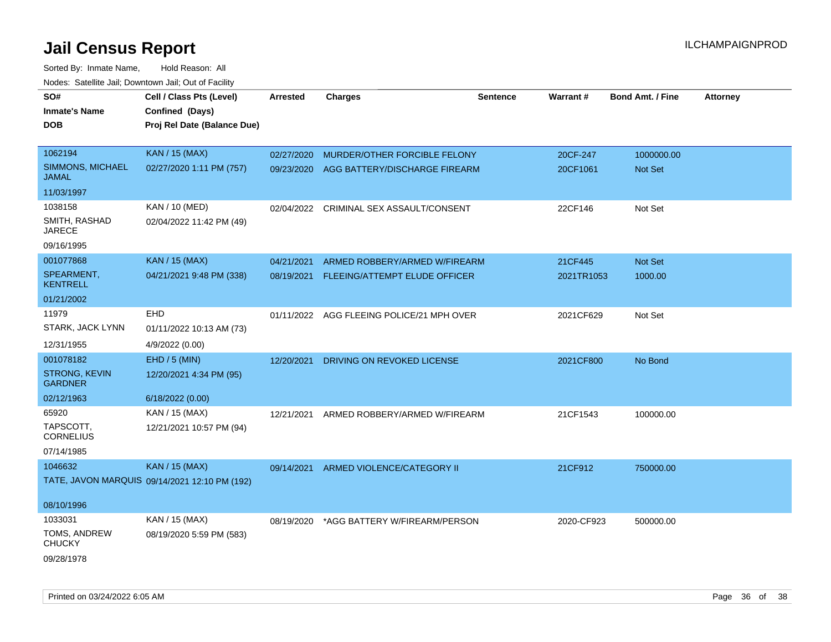| SO#                              | Cell / Class Pts (Level)                      | <b>Arrested</b> | <b>Charges</b>                            | <b>Sentence</b> | Warrant#   | <b>Bond Amt. / Fine</b> | <b>Attorney</b> |
|----------------------------------|-----------------------------------------------|-----------------|-------------------------------------------|-----------------|------------|-------------------------|-----------------|
| <b>Inmate's Name</b>             | Confined (Days)                               |                 |                                           |                 |            |                         |                 |
| <b>DOB</b>                       | Proj Rel Date (Balance Due)                   |                 |                                           |                 |            |                         |                 |
|                                  |                                               |                 |                                           |                 |            |                         |                 |
| 1062194                          | <b>KAN / 15 (MAX)</b>                         | 02/27/2020      | MURDER/OTHER FORCIBLE FELONY              |                 | 20CF-247   | 1000000.00              |                 |
| SIMMONS, MICHAEL<br><b>JAMAL</b> | 02/27/2020 1:11 PM (757)                      | 09/23/2020      | AGG BATTERY/DISCHARGE FIREARM             |                 | 20CF1061   | <b>Not Set</b>          |                 |
| 11/03/1997                       |                                               |                 |                                           |                 |            |                         |                 |
| 1038158                          | <b>KAN / 10 (MED)</b>                         | 02/04/2022      | CRIMINAL SEX ASSAULT/CONSENT              |                 | 22CF146    | Not Set                 |                 |
| SMITH, RASHAD<br><b>JARECE</b>   | 02/04/2022 11:42 PM (49)                      |                 |                                           |                 |            |                         |                 |
| 09/16/1995                       |                                               |                 |                                           |                 |            |                         |                 |
| 001077868                        | <b>KAN / 15 (MAX)</b>                         | 04/21/2021      | ARMED ROBBERY/ARMED W/FIREARM             |                 | 21CF445    | Not Set                 |                 |
| SPEARMENT,<br><b>KENTRELL</b>    | 04/21/2021 9:48 PM (338)                      | 08/19/2021      | FLEEING/ATTEMPT ELUDE OFFICER             |                 | 2021TR1053 | 1000.00                 |                 |
| 01/21/2002                       |                                               |                 |                                           |                 |            |                         |                 |
| 11979                            | EHD                                           |                 | 01/11/2022 AGG FLEEING POLICE/21 MPH OVER |                 | 2021CF629  | Not Set                 |                 |
| STARK, JACK LYNN                 | 01/11/2022 10:13 AM (73)                      |                 |                                           |                 |            |                         |                 |
| 12/31/1955                       | 4/9/2022 (0.00)                               |                 |                                           |                 |            |                         |                 |
| 001078182                        | EHD / 5 (MIN)                                 | 12/20/2021      | DRIVING ON REVOKED LICENSE                |                 | 2021CF800  | No Bond                 |                 |
| <b>STRONG, KEVIN</b>             | 12/20/2021 4:34 PM (95)                       |                 |                                           |                 |            |                         |                 |
| <b>GARDNER</b>                   |                                               |                 |                                           |                 |            |                         |                 |
| 02/12/1963                       | 6/18/2022 (0.00)                              |                 |                                           |                 |            |                         |                 |
| 65920                            | KAN / 15 (MAX)                                | 12/21/2021      | ARMED ROBBERY/ARMED W/FIREARM             |                 | 21CF1543   | 100000.00               |                 |
| TAPSCOTT,<br><b>CORNELIUS</b>    | 12/21/2021 10:57 PM (94)                      |                 |                                           |                 |            |                         |                 |
| 07/14/1985                       |                                               |                 |                                           |                 |            |                         |                 |
| 1046632                          | <b>KAN / 15 (MAX)</b>                         | 09/14/2021      | ARMED VIOLENCE/CATEGORY II                |                 | 21CF912    | 750000.00               |                 |
|                                  | TATE, JAVON MARQUIS 09/14/2021 12:10 PM (192) |                 |                                           |                 |            |                         |                 |
|                                  |                                               |                 |                                           |                 |            |                         |                 |
| 08/10/1996                       |                                               |                 |                                           |                 |            |                         |                 |
| 1033031                          | KAN / 15 (MAX)                                | 08/19/2020      | *AGG BATTERY W/FIREARM/PERSON             |                 | 2020-CF923 | 500000.00               |                 |
| TOMS, ANDREW<br><b>CHUCKY</b>    | 08/19/2020 5:59 PM (583)                      |                 |                                           |                 |            |                         |                 |
| 09/28/1978                       |                                               |                 |                                           |                 |            |                         |                 |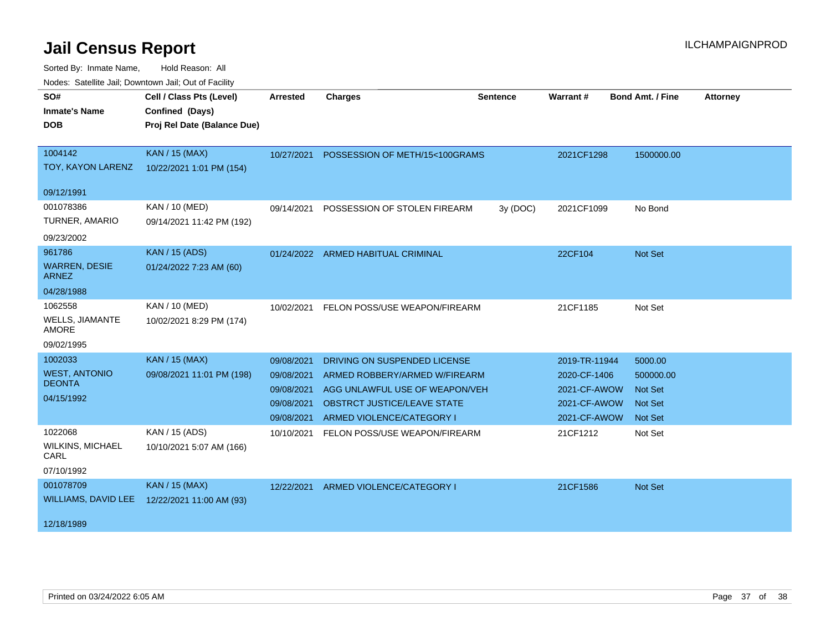| SO#                                    | Cell / Class Pts (Level)    | <b>Arrested</b> | <b>Charges</b>                     | <b>Sentence</b> | <b>Warrant#</b> | <b>Bond Amt. / Fine</b> | <b>Attorney</b> |
|----------------------------------------|-----------------------------|-----------------|------------------------------------|-----------------|-----------------|-------------------------|-----------------|
| <b>Inmate's Name</b>                   | Confined (Days)             |                 |                                    |                 |                 |                         |                 |
| <b>DOB</b>                             | Proj Rel Date (Balance Due) |                 |                                    |                 |                 |                         |                 |
|                                        |                             |                 |                                    |                 |                 |                         |                 |
| 1004142                                | <b>KAN / 15 (MAX)</b>       | 10/27/2021      | POSSESSION OF METH/15<100GRAMS     |                 | 2021CF1298      | 1500000.00              |                 |
| TOY, KAYON LARENZ                      | 10/22/2021 1:01 PM (154)    |                 |                                    |                 |                 |                         |                 |
| 09/12/1991                             |                             |                 |                                    |                 |                 |                         |                 |
| 001078386                              | <b>KAN / 10 (MED)</b>       | 09/14/2021      | POSSESSION OF STOLEN FIREARM       | 3y (DOC)        | 2021CF1099      | No Bond                 |                 |
| TURNER, AMARIO                         | 09/14/2021 11:42 PM (192)   |                 |                                    |                 |                 |                         |                 |
| 09/23/2002                             |                             |                 |                                    |                 |                 |                         |                 |
| 961786                                 | <b>KAN / 15 (ADS)</b>       |                 | 01/24/2022 ARMED HABITUAL CRIMINAL |                 | 22CF104         | Not Set                 |                 |
| <b>WARREN, DESIE</b><br><b>ARNEZ</b>   | 01/24/2022 7:23 AM (60)     |                 |                                    |                 |                 |                         |                 |
| 04/28/1988                             |                             |                 |                                    |                 |                 |                         |                 |
| 1062558                                | KAN / 10 (MED)              | 10/02/2021      | FELON POSS/USE WEAPON/FIREARM      |                 | 21CF1185        | Not Set                 |                 |
| <b>WELLS, JIAMANTE</b><br><b>AMORE</b> | 10/02/2021 8:29 PM (174)    |                 |                                    |                 |                 |                         |                 |
| 09/02/1995                             |                             |                 |                                    |                 |                 |                         |                 |
| 1002033                                | <b>KAN / 15 (MAX)</b>       | 09/08/2021      | DRIVING ON SUSPENDED LICENSE       |                 | 2019-TR-11944   | 5000.00                 |                 |
| <b>WEST, ANTONIO</b>                   | 09/08/2021 11:01 PM (198)   | 09/08/2021      | ARMED ROBBERY/ARMED W/FIREARM      |                 | 2020-CF-1406    | 500000.00               |                 |
| <b>DEONTA</b>                          |                             | 09/08/2021      | AGG UNLAWFUL USE OF WEAPON/VEH     |                 | 2021-CF-AWOW    | <b>Not Set</b>          |                 |
| 04/15/1992                             |                             | 09/08/2021      | OBSTRCT JUSTICE/LEAVE STATE        |                 | 2021-CF-AWOW    | <b>Not Set</b>          |                 |
|                                        |                             | 09/08/2021      | ARMED VIOLENCE/CATEGORY I          |                 | 2021-CF-AWOW    | Not Set                 |                 |
| 1022068                                | KAN / 15 (ADS)              | 10/10/2021      | FELON POSS/USE WEAPON/FIREARM      |                 | 21CF1212        | Not Set                 |                 |
| <b>WILKINS, MICHAEL</b><br>CARL        | 10/10/2021 5:07 AM (166)    |                 |                                    |                 |                 |                         |                 |
| 07/10/1992                             |                             |                 |                                    |                 |                 |                         |                 |
| 001078709                              | <b>KAN / 15 (MAX)</b>       | 12/22/2021      | ARMED VIOLENCE/CATEGORY I          |                 | 21CF1586        | Not Set                 |                 |
| WILLIAMS, DAVID LEE                    | 12/22/2021 11:00 AM (93)    |                 |                                    |                 |                 |                         |                 |
| 12/18/1989                             |                             |                 |                                    |                 |                 |                         |                 |